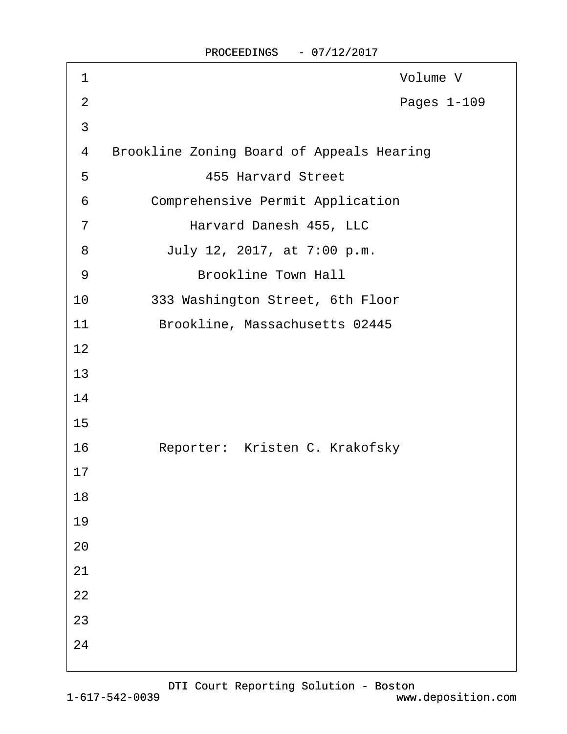| 1              | Volume V                                         |
|----------------|--------------------------------------------------|
| $\overline{2}$ | Pages 1-109                                      |
| 3              |                                                  |
| 4              | <b>Brookline Zoning Board of Appeals Hearing</b> |
| 5              | <b>455 Harvard Street</b>                        |
| 6              | <b>Comprehensive Permit Application</b>          |
| $\overline{7}$ | Harvard Danesh 455, LLC                          |
| 8              | July 12, 2017, at 7:00 p.m.                      |
| 9              | <b>Brookline Town Hall</b>                       |
| 10             | 333 Washington Street, 6th Floor                 |
| 11             | Brookline, Massachusetts 02445                   |
| 12             |                                                  |
| 13             |                                                  |
| 14             |                                                  |
| 15             |                                                  |
| 16             | Reporter: Kristen C. Krakofsky                   |
| 17             |                                                  |
| 18             |                                                  |
| 19             |                                                  |
| 20             |                                                  |
| 21             |                                                  |
| 22             |                                                  |
| 23             |                                                  |
| 24             |                                                  |
|                |                                                  |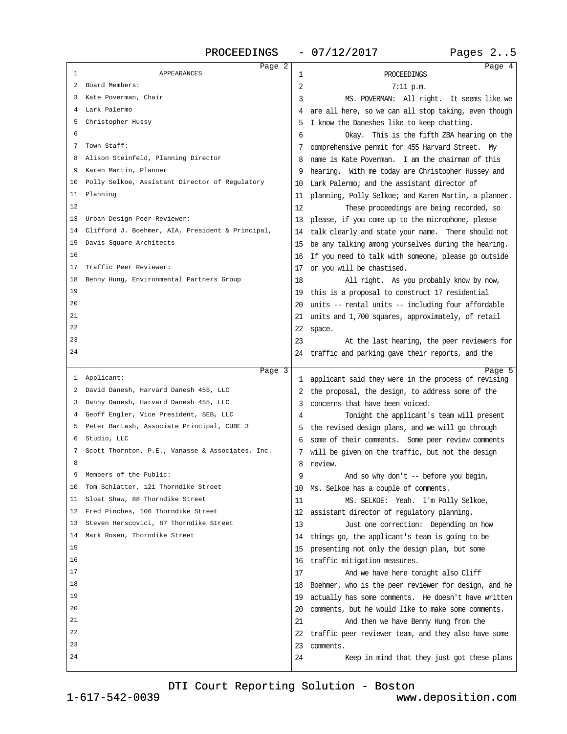PROCEEDINGS - 07/12/2017 Pages 2..5

<span id="page-1-0"></span>

| Page 2<br><b>APPEARANCES</b><br>1                   | <b>PROCEEDINGS</b><br>1                                                                                 | Page 4 |
|-----------------------------------------------------|---------------------------------------------------------------------------------------------------------|--------|
| 2 Board Members:                                    | 2<br>7:11 p.m.                                                                                          |        |
| 3 Kate Poverman, Chair                              | 3<br>MS. POVERMAN: All right. It seems like we                                                          |        |
| 4 Lark Palermo                                      | 4 are all here, so we can all stop taking, even though                                                  |        |
| 5 Christopher Hussy                                 | 5 I know the Daneshes like to keep chatting.                                                            |        |
| 6                                                   | 6                                                                                                       |        |
| 7 Town Staff:                                       | Okay. This is the fifth ZBA hearing on the                                                              |        |
| 8 Alison Steinfeld, Planning Director               | 7 comprehensive permit for 455 Harvard Street. My<br>8 name is Kate Poverman. I am the chairman of this |        |
| 9 Karen Martin, Planner                             |                                                                                                         |        |
|                                                     | 9 hearing. With me today are Christopher Hussey and                                                     |        |
| 10 Polly Selkoe, Assistant Director of Regulatory   | 10 Lark Palermo; and the assistant director of                                                          |        |
| 11 Planning<br>12                                   | 11 planning, Polly Selkoe; and Karen Martin, a planner.                                                 |        |
|                                                     | 12<br>These proceedings are being recorded, so                                                          |        |
| 13 Urban Design Peer Reviewer:                      | 13 please, if you come up to the microphone, please                                                     |        |
| 14 Clifford J. Boehmer, AIA, President & Principal, | 14 talk clearly and state your name. There should not                                                   |        |
| 15 Davis Square Architects                          | 15 be any talking among yourselves during the hearing.                                                  |        |
| 16                                                  | 16 If you need to talk with someone, please go outside                                                  |        |
| 17 Traffic Peer Reviewer:                           | 17 or you will be chastised.                                                                            |        |
| 18 Benny Hung, Environmental Partners Group         | 18<br>All right. As you probably know by now,                                                           |        |
| 19                                                  | 19 this is a proposal to construct 17 residential                                                       |        |
| 20                                                  | 20 units -- rental units -- including four affordable                                                   |        |
| 21                                                  | 21 units and 1,700 squares, approximately, of retail                                                    |        |
| 22                                                  | 22 space.                                                                                               |        |
| 23                                                  | 23<br>At the last hearing, the peer reviewers for                                                       |        |
| 24                                                  | 24 traffic and parking gave their reports, and the                                                      |        |
|                                                     |                                                                                                         |        |
|                                                     |                                                                                                         |        |
| Page 3<br>1 Applicant:                              | 1 applicant said they were in the process of revising                                                   | Page 5 |
| 2 David Danesh, Harvard Danesh 455, LLC             | 2 the proposal, the design, to address some of the                                                      |        |
| 3 Danny Danesh, Harvard Danesh 455, LLC             | 3 concerns that have been voiced.                                                                       |        |
| 4 Geoff Engler, Vice President, SEB, LLC            | Tonight the applicant's team will present<br>4                                                          |        |
| 5 Peter Bartash, Associate Principal, CUBE 3        | 5 the revised design plans, and we will go through                                                      |        |
| 6 Studio, LLC                                       | 6 some of their comments. Some peer review comments                                                     |        |
| 7 Scott Thornton, P.E., Vanasse & Associates, Inc.  | 7 will be given on the traffic, but not the design                                                      |        |
| 8                                                   | 8 review.                                                                                               |        |
| 9 Members of the Public:                            | 9<br>And so why don't -- before you begin,                                                              |        |
| 10 Tom Schlatter, 121 Thorndike Street              | 10 Ms. Selkoe has a couple of comments.                                                                 |        |
| 11 Sloat Shaw, 88 Thorndike Street                  | 11<br>MS. SELKOE: Yeah. I'm Polly Selkoe,                                                               |        |
| 12 Fred Pinches, 106 Thorndike Street               | 12 assistant director of regulatory planning.                                                           |        |
| 13 Steven Herscovici, 87 Thorndike Street           | 13<br>Just one correction: Depending on how                                                             |        |
| 14 Mark Rosen, Thorndike Street                     | 14 things go, the applicant's team is going to be                                                       |        |
| 15                                                  |                                                                                                         |        |
| 16                                                  | 15 presenting not only the design plan, but some                                                        |        |
| 17                                                  | 16 traffic mitigation measures.<br>17                                                                   |        |
| 18                                                  | And we have here tonight also Cliff                                                                     |        |
| 19                                                  | 18 Boehmer, who is the peer reviewer for design, and he                                                 |        |
| 20                                                  | 19 actually has some comments. He doesn't have written                                                  |        |
| 21                                                  | 20 comments, but he would like to make some comments.                                                   |        |
| 22                                                  | 21<br>And then we have Benny Hung from the                                                              |        |
| 23                                                  | 22 traffic peer reviewer team, and they also have some                                                  |        |
| 24                                                  | 23 comments.<br>24<br>Keep in mind that they just got these plans                                       |        |

[DTI Court Reporting Solution - Boston](http://www.deposition.com)

1-617-542-0039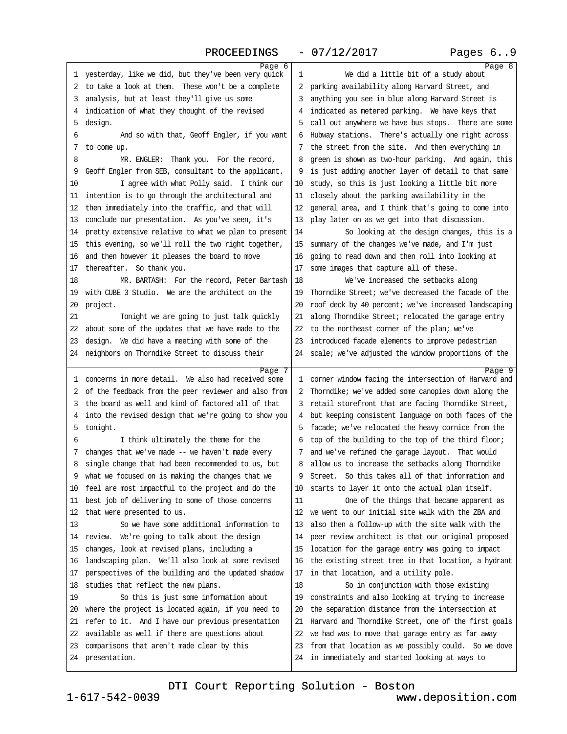### PROCEEDINGS - 07/12/2017 Pages 6..9

<span id="page-2-0"></span>

| Page 6                                                         |                                                         | Page 8 |
|----------------------------------------------------------------|---------------------------------------------------------|--------|
| 1 yesterday, like we did, but they've been very quick          | We did a little bit of a study about<br>1               |        |
| 2 to take a look at them. These won't be a complete            | 2 parking availability along Harvard Street, and        |        |
| 3 analysis, but at least they'll give us some                  | 3 anything you see in blue along Harvard Street is      |        |
| 4 indication of what they thought of the revised               | 4 indicated as metered parking. We have keys that       |        |
| 5 design.                                                      | 5 call out anywhere we have bus stops. There are some   |        |
| 6<br>And so with that, Geoff Engler, if you want               | 6 Hubway stations. There's actually one right across    |        |
| 7 to come up.                                                  | 7 the street from the site. And then everything in      |        |
| 8<br>MR. ENGLER: Thank you. For the record,                    | 8 green is shown as two-hour parking. And again, this   |        |
| 9 Geoff Engler from SEB, consultant to the applicant.          | 9 is just adding another layer of detail to that same   |        |
| 10<br>I agree with what Polly said. I think our                | 10 study, so this is just looking a little bit more     |        |
| 11 intention is to go through the architectural and            | 11 closely about the parking availability in the        |        |
| 12 then immediately into the traffic, and that will            | 12 general area, and I think that's going to come into  |        |
| 13 conclude our presentation. As you've seen, it's             | 13 play later on as we get into that discussion.        |        |
| 14 pretty extensive relative to what we plan to present        | So looking at the design changes, this is a<br>14       |        |
| 15 this evening, so we'll roll the two right together,         | 15 summary of the changes we've made, and I'm just      |        |
| 16 and then however it pleases the board to move               | 16 going to read down and then roll into looking at     |        |
| 17 thereafter. So thank you.                                   | 17 some images that capture all of these.               |        |
| 18<br>MR. BARTASH: For the record, Peter Bartash               | We've increased the setbacks along<br>18                |        |
| 19 with CUBE 3 Studio. We are the architect on the             | 19 Thorndike Street; we've decreased the facade of the  |        |
| 20 project.                                                    | 20 roof deck by 40 percent; we've increased landscaping |        |
| 21<br>Tonight we are going to just talk quickly                | 21 along Thorndike Street; relocated the garage entry   |        |
| 22 about some of the updates that we have made to the          | 22 to the northeast corner of the plan; we've           |        |
| 23 design. We did have a meeting with some of the              | 23 introduced facade elements to improve pedestrian     |        |
| 24 neighbors on Thorndike Street to discuss their              | 24 scale; we've adjusted the window proportions of the  |        |
|                                                                |                                                         |        |
| Page 7<br>1 concerns in more detail. We also had received some | 1 corner window facing the intersection of Harvard and  | Page 9 |
| 2 of the feedback from the peer reviewer and also from         | 2 Thorndike; we've added some canopies down along the   |        |
| 3 the board as well and kind of factored all of that           | 3 retail storefront that are facing Thorndike Street,   |        |
| 4 into the revised design that we're going to show you         | 4 but keeping consistent language on both faces of the  |        |
| 5 tonight.                                                     | 5 facade; we've relocated the heavy cornice from the    |        |
| 6<br>I think ultimately the theme for the                      | 6 top of the building to the top of the third floor;    |        |
| 7 changes that we've made -- we haven't made every             | 7 and we've refined the garage layout. That would       |        |
| 8 single change that had been recommended to us, but           | 8 allow us to increase the setbacks along Thomdike      |        |
| 9 what we focused on is making the changes that we             | 9 Street. So this takes all of that information and     |        |
| 10 feel are most impactful to the project and do the           | 10 starts to layer it onto the actual plan itself.      |        |
| 11 best job of delivering to some of those concerns            | 11<br>One of the things that became apparent as         |        |
| 12 that were presented to us.                                  | 12 we went to our initial site walk with the ZBA and    |        |
| 13<br>So we have some additional information to                | 13 also then a follow-up with the site walk with the    |        |
| 14 review. We're going to talk about the design                | 14 peer review architect is that our original proposed  |        |
| 15 changes, look at revised plans, including a                 | 15 location for the garage entry was going to impact    |        |
| 16 landscaping plan. We'll also look at some revised           | 16 the existing street tree in that location, a hydrant |        |
| 17 perspectives of the building and the updated shadow         | 17 in that location, and a utility pole.                |        |
| 18 studies that reflect the new plans.                         | 18<br>So in conjunction with those existing             |        |
| 19<br>So this is just some information about                   | 19 constraints and also looking at trying to increase   |        |
| 20 where the project is located again, if you need to          | 20 the separation distance from the intersection at     |        |
| 21 refer to it. And I have our previous presentation           | 21 Harvard and Thorndike Street, one of the first goals |        |
| 22 available as well if there are questions about              | 22 we had was to move that garage entry as far away     |        |
| 23 comparisons that aren't made clear by this                  | 23 from that location as we possibly could. So we dove  |        |
| 24 presentation.                                               | 24 in immediately and started looking at ways to        |        |
|                                                                |                                                         |        |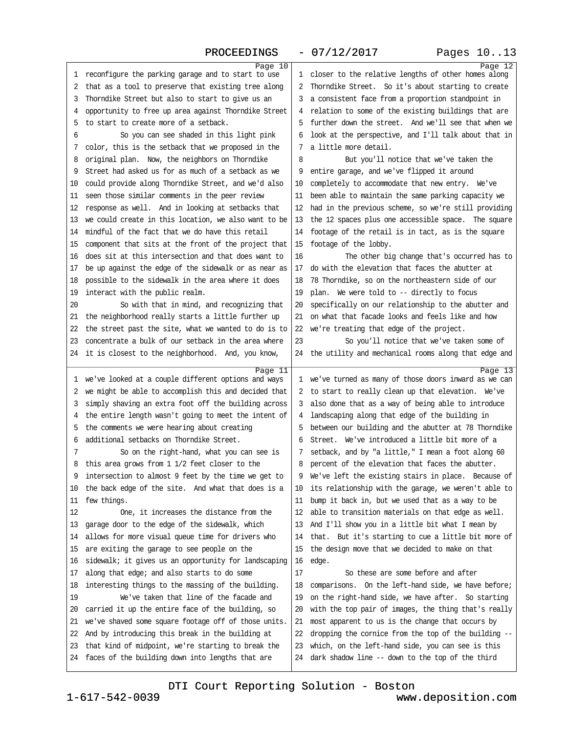<span id="page-3-0"></span>

| PROCEEDINGS                                                                                                      | $-07/12/2017$                                                                                           | Pages 1013 |
|------------------------------------------------------------------------------------------------------------------|---------------------------------------------------------------------------------------------------------|------------|
| Page 10                                                                                                          |                                                                                                         | Page 12    |
| 1 reconfigure the parking garage and to start to use                                                             | 1 closer to the relative lengths of other homes along                                                   |            |
| 2 that as a tool to preserve that existing tree along                                                            | 2 Thorndike Street. So it's about starting to create                                                    |            |
| 3 Thorndike Street but also to start to give us an                                                               | 3 a consistent face from a proportion standpoint in                                                     |            |
| 4 opportunity to free up area against Thorndike Street                                                           | 4 relation to some of the existing buildings that are                                                   |            |
| 5 to start to create more of a setback.                                                                          | 5 further down the street. And we'll see that when we                                                   |            |
| So you can see shaded in this light pink<br>6                                                                    | 6 look at the perspective, and I'll talk about that in                                                  |            |
| 7 color, this is the setback that we proposed in the                                                             | 7 a little more detail.                                                                                 |            |
| 8 original plan. Now, the neighbors on Thomdike                                                                  | 8<br>But you'll notice that we've taken the                                                             |            |
| 9 Street had asked us for as much of a setback as we                                                             | 9 entire garage, and we've flipped it around                                                            |            |
| 10 could provide along Thorndike Street, and we'd also                                                           | 10 completely to accommodate that new entry. We've                                                      |            |
| 11 seen those similar comments in the peer review                                                                | 11 been able to maintain the same parking capacity we                                                   |            |
| 12 response as well. And in looking at setbacks that                                                             | 12 had in the previous scheme, so we're still providing                                                 |            |
| 13 we could create in this location, we also want to be                                                          | 13 the 12 spaces plus one accessible space. The square                                                  |            |
| 14 mindful of the fact that we do have this retail                                                               | 14 footage of the retail is in tact, as is the square                                                   |            |
| 15 component that sits at the front of the project that                                                          | 15 footage of the lobby.                                                                                |            |
| 16 does sit at this intersection and that does want to                                                           | 16<br>The other big change that's occurred has to<br>17 do with the elevation that faces the abutter at |            |
| 17 be up against the edge of the sidewalk or as near as<br>18 possible to the sidewalk in the area where it does | 18 78 Thorndike, so on the northeastem side of our                                                      |            |
| 19 interact with the public realm.                                                                               | 19 plan. We were told to -- directly to focus                                                           |            |
| 20<br>So with that in mind, and recognizing that                                                                 | 20 specifically on our relationship to the abutter and                                                  |            |
| 21 the neighborhood really starts a little further up                                                            | 21 on what that facade looks and feels like and how                                                     |            |
| 22 the street past the site, what we wanted to do is to                                                          | 22 we're treating that edge of the project.                                                             |            |
| 23 concentrate a bulk of our setback in the area where                                                           | 23<br>So you'll notice that we've taken some of                                                         |            |
| 24 it is closest to the neighborhood. And, you know,                                                             | 24 the utility and mechanical rooms along that edge and                                                 |            |
|                                                                                                                  |                                                                                                         |            |
| Page 11<br>1 we've looked at a couple different options and ways                                                 | 1 we've turned as many of those doors inward as we can                                                  | Page 13    |
| 2 we might be able to accomplish this and decided that                                                           | 2 to start to really clean up that elevation. We've                                                     |            |
| 3 simply shaving an extra foot off the building across                                                           | 3 also done that as a way of being able to introduce                                                    |            |
| 4 the entire length wasn't going to meet the intent of                                                           | 4 landscaping along that edge of the building in                                                        |            |
| 5 the comments we were hearing about creating                                                                    | 5 between our building and the abutter at 78 Thorndike                                                  |            |
| 6 additional setbacks on Thorndike Street.                                                                       | 6 Street. We've introduced a little bit more of a                                                       |            |
| So on the right-hand, what you can see is<br>7                                                                   | 7 setback, and by "a little," I mean a foot along 60                                                    |            |
| 8 this area grows from 1 1/2 feet closer to the                                                                  | 8 percent of the elevation that faces the abutter.                                                      |            |
| 9 intersection to almost 9 feet by the time we get to                                                            | 9 We've left the existing stairs in place. Because of                                                   |            |
| 10 the back edge of the site. And what that does is a                                                            | 10 its relationship with the garage, we weren't able to                                                 |            |
| 11 few things.                                                                                                   | 11 bump it back in, but we used that as a way to be                                                     |            |
| 12<br>One, it increases the distance from the                                                                    | 12 able to transition materials on that edge as well.                                                   |            |
| 13 garage door to the edge of the sidewalk, which                                                                | 13 And I'll show you in a little bit what I mean by                                                     |            |
| 14 allows for more visual queue time for drivers who                                                             | 14 that. But it's starting to cue a little bit more of                                                  |            |
| 15 are exiting the garage to see people on the                                                                   | 15 the design move that we decided to make on that                                                      |            |
| 16 sidewalk; it gives us an opportunity for landscaping                                                          | 16 edge.                                                                                                |            |
| 17 along that edge; and also starts to do some                                                                   | 17<br>So these are some before and after                                                                |            |
| 18 interesting things to the massing of the building.                                                            | 18 comparisons. On the left-hand side, we have before;                                                  |            |
| We've taken that line of the facade and<br>19                                                                    | 19 on the right-hand side, we have after. So starting                                                   |            |
| 20 carried it up the entire face of the building, so                                                             | 20 with the top pair of images, the thing that's really                                                 |            |
| 21 we've shaved some square footage off of those units.                                                          | 21 most apparent to us is the change that occurs by                                                     |            |
| 22 And by introducing this break in the building at                                                              | 22 dropping the cornice from the top of the building --                                                 |            |
| 23 that kind of midpoint, we're starting to break the                                                            | 23 which, on the left-hand side, you can see is this                                                    |            |
| 24 faces of the building down into lengths that are                                                              | 24 dark shadow line -- down to the top of the third                                                     |            |
|                                                                                                                  |                                                                                                         |            |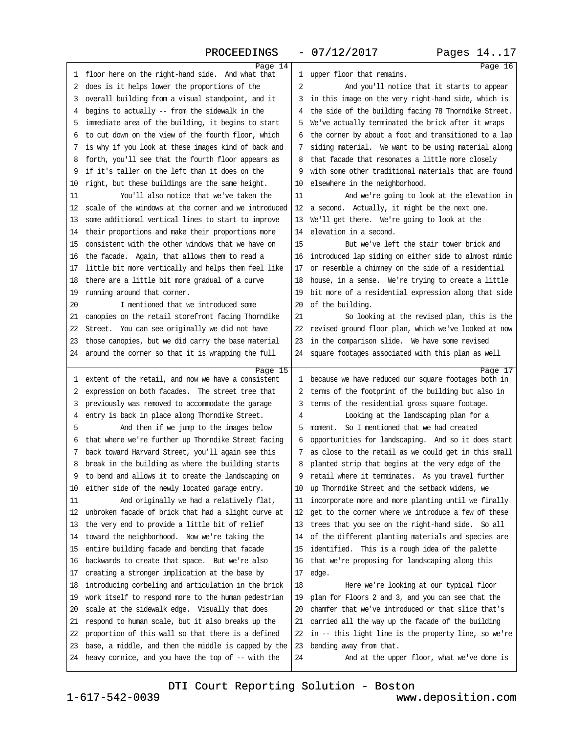<span id="page-4-0"></span>

| PROCEEDINGS                                                                                                   | $-07/12/2017$                                                                                                    | Pages 1417 |
|---------------------------------------------------------------------------------------------------------------|------------------------------------------------------------------------------------------------------------------|------------|
| Page 14                                                                                                       | 1 upper floor that remains.                                                                                      | Page 16    |
| 1 floor here on the right-hand side. And what that                                                            |                                                                                                                  |            |
| 2 does is it helps lower the proportions of the                                                               | 2<br>And you'll notice that it starts to appear                                                                  |            |
| 3 overall building from a visual standpoint, and it                                                           | 3 in this image on the very right-hand side, which is                                                            |            |
| 4 begins to actually -- from the sidewalk in the                                                              | 4 the side of the building facing 78 Thomdike Street.                                                            |            |
| 5 immediate area of the building, it begins to start                                                          | 5 We've actually terminated the brick after it wraps                                                             |            |
| 6 to cut down on the view of the fourth floor, which                                                          | 6 the corner by about a foot and transitioned to a lap                                                           |            |
| 7 is why if you look at these images kind of back and                                                         | 7 siding material. We want to be using material along                                                            |            |
| 8 forth, you'll see that the fourth floor appears as                                                          | 8 that facade that resonates a little more closely                                                               |            |
| 9 if it's taller on the left than it does on the                                                              | 9 with some other traditional materials that are found                                                           |            |
| 10 right, but these buildings are the same height.                                                            | 10 elsewhere in the neighborhood.                                                                                |            |
| You'll also notice that we've taken the<br>11                                                                 | 11<br>And we're going to look at the elevation in                                                                |            |
| 12 scale of the windows at the corner and we introduced                                                       | 12 a second. Actually, it might be the next one.                                                                 |            |
| 13 some additional vertical lines to start to improve                                                         | 13 We'll get there. We're going to look at the                                                                   |            |
| 14 their proportions and make their proportions more                                                          | 14 elevation in a second.                                                                                        |            |
| 15 consistent with the other windows that we have on                                                          | But we've left the stair tower brick and<br>15                                                                   |            |
| 16 the facade. Again, that allows them to read a                                                              | 16 introduced lap siding on either side to almost mimic                                                          |            |
| 17 little bit more vertically and helps them feel like                                                        | 17 or resemble a chimney on the side of a residential                                                            |            |
| 18 there are a little bit more gradual of a curve                                                             | 18 house, in a sense. We're trying to create a little                                                            |            |
| 19 running around that corner.                                                                                | 19 bit more of a residential expression along that side                                                          |            |
| I mentioned that we introduced some<br>20                                                                     | 20 of the building.                                                                                              |            |
| 21 canopies on the retail storefront facing Thorndike                                                         | 21<br>So looking at the revised plan, this is the                                                                |            |
| 22 Street. You can see originally we did not have                                                             | 22 revised ground floor plan, which we've looked at now                                                          |            |
| 23 those canopies, but we did carry the base material                                                         | 23 in the comparison slide. We have some revised                                                                 |            |
| 24 around the corner so that it is wrapping the full                                                          | 24 square footages associated with this plan as well                                                             |            |
| Page 15                                                                                                       |                                                                                                                  | Page 17    |
| 1 extent of the retail, and now we have a consistent                                                          | 1 because we have reduced our square footages both in                                                            |            |
| 2 expression on both facades. The street tree that                                                            | 2 terms of the footprint of the building but also in                                                             |            |
| 3 previously was removed to accommodate the garage                                                            | 3 terms of the residential gross square footage.                                                                 |            |
| 4 entry is back in place along Thorndike Street.                                                              | Looking at the landscaping plan for a<br>4                                                                       |            |
| 5<br>And then if we jump to the images below<br>6 that where we're further up Thorndike Street facing         | 5 moment. So I mentioned that we had created                                                                     |            |
|                                                                                                               | 6 opportunities for landscaping. And so it does start                                                            |            |
| 7 back toward Harvard Street, you'll again see this                                                           | 7 as close to the retail as we could get in this small                                                           |            |
| 8 break in the building as where the building starts                                                          | 8 planted strip that begins at the very edge of the                                                              |            |
| 9 to bend and allows it to create the landscaping on                                                          | 9 retail where it terminates. As you travel further                                                              |            |
| 10 either side of the newly located garage entry.<br>11                                                       | 10 up Thorndike Street and the setback widens, we                                                                |            |
| And originally we had a relatively flat,<br>12 unbroken facade of brick that had a slight curve at            | 11 incorporate more and more planting until we finally<br>12 get to the corner where we introduce a few of these |            |
| 13 the very end to provide a little bit of relief                                                             | 13 trees that you see on the right-hand side. So all                                                             |            |
| 14 toward the neighborhood. Now we're taking the                                                              | 14 of the different planting materials and species are                                                           |            |
| 15 entire building facade and bending that facade                                                             | 15 identified. This is a rough idea of the palette                                                               |            |
|                                                                                                               |                                                                                                                  |            |
| 16 backwards to create that space. But we're also<br>17 creating a stronger implication at the base by        | 16 that we're proposing for landscaping along this<br>17 edge.                                                   |            |
| 18 introducing corbeling and articulation in the brick                                                        | 18<br>Here we're looking at our typical floor                                                                    |            |
| 19 work itself to respond more to the human pedestrian                                                        | 19 plan for Floors 2 and 3, and you can see that the                                                             |            |
| 20 scale at the sidewalk edge. Visually that does                                                             | 20 chamfer that we've introduced or that slice that's                                                            |            |
|                                                                                                               | 21 carried all the way up the facade of the building                                                             |            |
| 21 respond to human scale, but it also breaks up the<br>22 proportion of this wall so that there is a defined | 22 in -- this light line is the property line, so we're                                                          |            |
| 23 base, a middle, and then the middle is capped by the                                                       |                                                                                                                  |            |
| 24 heavy cornice, and you have the top of -- with the                                                         | 23 bending away from that.<br>24<br>And at the upper floor, what we've done is                                   |            |
|                                                                                                               |                                                                                                                  |            |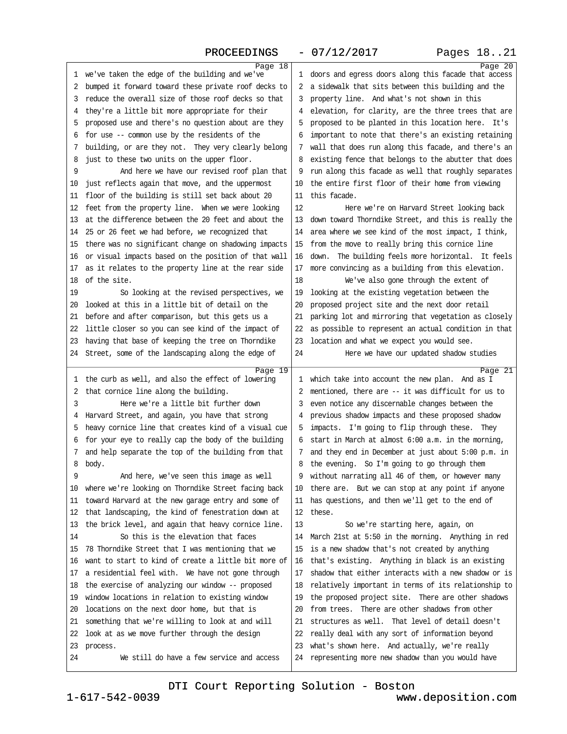<span id="page-5-0"></span>

| PROCEEDINGS                                             | $-07/12/2017$                                           | Pages 1821 |
|---------------------------------------------------------|---------------------------------------------------------|------------|
| Page 18                                                 |                                                         | Page 20    |
| 1 we've taken the edge of the building and we've        | 1 doors and egress doors along this facade that access  |            |
| 2 bumped it forward toward these private roof decks to  | 2 a sidewalk that sits between this building and the    |            |
| 3 reduce the overall size of those roof decks so that   | 3 property line. And what's not shown in this           |            |
| 4 they're a little bit more appropriate for their       | 4 elevation, for clarity, are the three trees that are  |            |
| 5 proposed use and there's no question about are they   | 5 proposed to be planted in this location here. It's    |            |
| 6 for use -- common use by the residents of the         | 6 important to note that there's an existing retaining  |            |
| 7 building, or are they not. They very clearly belong   | 7 wall that does run along this facade, and there's an  |            |
| 8 just to these two units on the upper floor.           | 8 existing fence that belongs to the abutter that does  |            |
| And here we have our revised roof plan that<br>9        | 9 run along this facade as well that roughly separates  |            |
| 10 just reflects again that move, and the uppermost     | 10 the entire first floor of their home from viewing    |            |
| 11 floor of the building is still set back about 20     | 11 this facade.                                         |            |
| 12 feet from the property line. When we were looking    | 12<br>Here we're on Harvard Street looking back         |            |
| 13 at the difference between the 20 feet and about the  | 13 down toward Thorndike Street, and this is really the |            |
| 14 25 or 26 feet we had before, we recognized that      | 14 area where we see kind of the most impact, I think,  |            |
| 15 there was no significant change on shadowing impacts | 15 from the move to really bring this cornice line      |            |
| 16 or visual impacts based on the position of that wall | 16 down. The building feels more horizontal. It feels   |            |
| 17 as it relates to the property line at the rear side  | 17 more convincing as a building from this elevation.   |            |
| 18 of the site.                                         | 18<br>We've also gone through the extent of             |            |
| 19<br>So looking at the revised perspectives, we        | 19 looking at the existing vegetation between the       |            |
| 20 looked at this in a little bit of detail on the      | 20 proposed project site and the next door retail       |            |
| 21 before and after comparison, but this gets us a      | 21 parking lot and mirroring that vegetation as closely |            |
| 22 little closer so you can see kind of the impact of   | 22 as possible to represent an actual condition in that |            |
| 23 having that base of keeping the tree on Thorndike    | 23 location and what we expect you would see.           |            |
| 24 Street, some of the landscaping along the edge of    | Here we have our updated shadow studies<br>24           |            |
| Page 19                                                 |                                                         | Page 21    |
| 1 the curb as well, and also the effect of lowering     | 1 which take into account the new plan. And as I        |            |
| 2 that comice line along the building.                  | 2 mentioned, there are -- it was difficult for us to    |            |
| 3<br>Here we're a little bit further down               | 3 even notice any discernable changes between the       |            |
| 4 Harvard Street, and again, you have that strong       | 4 previous shadow impacts and these proposed shadow     |            |
| 5 heavy comice line that creates kind of a visual cue   | 5 impacts. I'm going to flip through these. They        |            |
| 6 for your eye to really cap the body of the building   | 6 start in March at almost 6:00 a.m. in the morning,    |            |
| 7 and help separate the top of the building from that   | 7 and they end in December at just about 5:00 p.m. in   |            |
| 8 body.                                                 | 8 the evening. So I'm going to go through them          |            |
| 9<br>And here, we've seen this image as well            | 9 without narrating all 46 of them, or however many     |            |
| 10 where we're looking on Thorndike Street facing back  | 10 there are. But we can stop at any point if anyone    |            |
| 11 toward Harvard at the new garage entry and some of   | 11 has questions, and then we'll get to the end of      |            |
| 12 that landscaping, the kind of fenestration down at   | 12 these.                                               |            |
| 13 the brick level, and again that heavy cornice line.  | 13<br>So we're starting here, again, on                 |            |
| So this is the elevation that faces<br>14               | 14 March 21st at 5:50 in the morning. Anything in red   |            |
| 15 78 Thorndike Street that I was mentioning that we    | 15 is a new shadow that's not created by anything       |            |
| 16 want to start to kind of create a little bit more of | 16 that's existing. Anything in black is an existing    |            |
| 17 a residential feel with. We have not gone through    | 17 shadow that either interacts with a new shadow or is |            |
| 18 the exercise of analyzing our window -- proposed     | 18 relatively important in terms of its relationship to |            |
| 19 window locations in relation to existing window      | 19 the proposed project site. There are other shadows   |            |
| 20 locations on the next door home, but that is         | 20 from trees. There are other shadows from other       |            |
| 21 something that we're willing to look at and will     | 21 structures as well. That level of detail doesn't     |            |
| 22 look at as we move further through the design        | 22 really deal with any sort of information beyond      |            |
| 23 process.                                             | 23 what's shown here. And actually, we're really        |            |
| We still do have a few service and access<br>24         | 24 representing more new shadow than you would have     |            |
|                                                         |                                                         |            |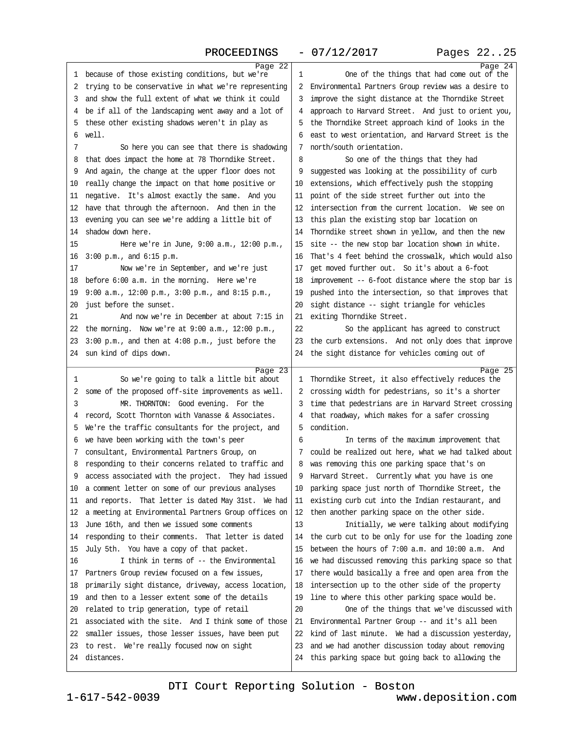<span id="page-6-0"></span>

| Page 22                                                        |                                                                                                               | Page 24 |
|----------------------------------------------------------------|---------------------------------------------------------------------------------------------------------------|---------|
| 1 because of those existing conditions, but we're              | One of the things that had come out of the<br>1                                                               |         |
| 2 trying to be conservative in what we're representing         | 2 Environmental Partners Group review was a desire to                                                         |         |
| 3 and show the full extent of what we think it could           | 3 improve the sight distance at the Thorndike Street                                                          |         |
| 4 be if all of the landscaping went away and a lot of          | 4 approach to Harvard Street. And just to orient you,                                                         |         |
| 5 these other existing shadows weren't in play as              | 5 the Thorndike Street approach kind of looks in the                                                          |         |
| 6 well.                                                        | 6 east to west orientation, and Harvard Street is the                                                         |         |
| 7<br>So here you can see that there is shadowing               | 7 north/south orientation.                                                                                    |         |
| 8 that does impact the home at 78 Thorndike Street.            | 8<br>So one of the things that they had                                                                       |         |
| 9 And again, the change at the upper floor does not            | 9 suggested was looking at the possibility of curb                                                            |         |
| 10 really change the impact on that home positive or           | 10 extensions, which effectively push the stopping                                                            |         |
| 11 negative. It's almost exactly the same. And you             | 11 point of the side street further out into the                                                              |         |
| 12 have that through the afternoon. And then in the            | 12 intersection from the current location. We see on                                                          |         |
| 13 evening you can see we're adding a little bit of            | 13 this plan the existing stop bar location on                                                                |         |
| 14 shadow down here.                                           | 14 Thorndike street shown in yellow, and then the new                                                         |         |
| 15<br>Here we're in June, 9:00 a.m., 12:00 p.m.,               | 15 site -- the new stop bar location shown in white.                                                          |         |
| 16 3:00 p.m., and 6:15 p.m.                                    | 16 That's 4 feet behind the crosswalk, which would also                                                       |         |
| 17<br>Now we're in September, and we're just                   | 17 get moved further out. So it's about a 6-foot                                                              |         |
| 18 before 6:00 a.m. in the morning. Here we're                 | 18 improvement -- 6-foot distance where the stop bar is                                                       |         |
| 19 9:00 a.m., 12:00 p.m., 3:00 p.m., and 8:15 p.m.,            | 19 pushed into the intersection, so that improves that                                                        |         |
| 20 just before the sunset.                                     | 20 sight distance -- sight triangle for vehicles                                                              |         |
| 21<br>And now we're in December at about 7:15 in               | 21 exiting Thomdike Street.                                                                                   |         |
| 22 the morning. Now we're at 9:00 a.m., 12:00 p.m.,            | 22<br>So the applicant has agreed to construct                                                                |         |
| 23 3:00 p.m., and then at 4:08 p.m., just before the           | 23 the curb extensions. And not only does that improve                                                        |         |
| 24 sun kind of dips down.                                      | 24 the sight distance for vehicles coming out of                                                              |         |
|                                                                |                                                                                                               |         |
|                                                                |                                                                                                               |         |
| Page 23                                                        |                                                                                                               | Page 25 |
| So we're going to talk a little bit about<br>1                 | 1 Thorndike Street, it also effectively reduces the                                                           |         |
| 2 some of the proposed off-site improvements as well.          | 2 crossing width for pedestrians, so it's a shorter                                                           |         |
| 3<br>MR. THORNTON: Good evening. For the                       | 3 time that pedestrians are in Harvard Street crossing                                                        |         |
| 4 record, Scott Thornton with Vanasse & Associates.            | 4 that roadway, which makes for a safer crossing                                                              |         |
| 5 We're the traffic consultants for the project, and           | 5 condition.                                                                                                  |         |
| 6 we have been working with the town's peer                    | 6<br>In terms of the maximum improvement that                                                                 |         |
| 7 consultant, Environmental Partners Group, on                 | 7 could be realized out here, what we had talked about                                                        |         |
| 8 responding to their concerns related to traffic and          | 8 was removing this one parking space that's on                                                               |         |
| 9 access associated with the project. They had issued          | 9 Harvard Street. Currently what you have is one                                                              |         |
| 10 a comment letter on some of our previous analyses           | 10 parking space just north of Thorndike Street, the                                                          |         |
| 11 and reports. That letter is dated May 31st. We had          | 11 existing curb cut into the Indian restaurant, and                                                          |         |
| 12 a meeting at Environmental Partners Group offices on        | 12 then another parking space on the other side.                                                              |         |
| 13 June 16th, and then we issued some comments                 | 13<br>Initially, we were talking about modifying                                                              |         |
| 14 responding to their comments. That letter is dated          | 14 the curb cut to be only for use for the loading zone                                                       |         |
| 15 July 5th. You have a copy of that packet.                   | 15 between the hours of 7:00 a.m. and 10:00 a.m. And                                                          |         |
| I think in terms of -- the Environmental<br>16                 | 16 we had discussed removing this parking space so that                                                       |         |
| 17 Partners Group review focused on a few issues,              | 17 there would basically a free and open area from the                                                        |         |
| 18 primarily sight distance, driveway, access location,        | 18 intersection up to the other side of the property                                                          |         |
| 19 and then to a lesser extent some of the details             | 19 line to where this other parking space would be.                                                           |         |
| 20 related to trip generation, type of retail                  | 20<br>One of the things that we've discussed with                                                             |         |
| 21 associated with the site. And I think some of those         | 21 Environmental Partner Group -- and it's all been                                                           |         |
| 22 smaller issues, those lesser issues, have been put          | 22 kind of last minute. We had a discussion yesterday,                                                        |         |
| 23 to rest. We're really focused now on sight<br>24 distances. | 23 and we had another discussion today about removing<br>24 this parking space but going back to allowing the |         |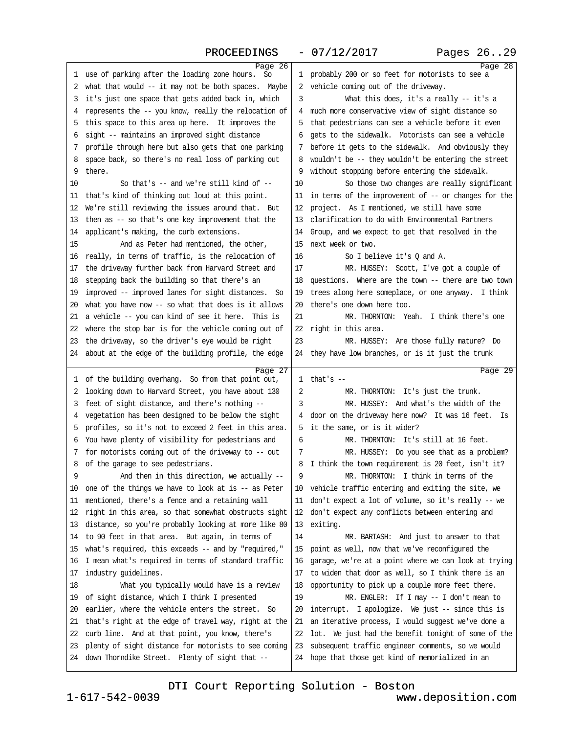## PROCEEDINGS - 07/12/2017

<span id="page-7-0"></span>

| Page 26                                                                                                      |                                                                                                           | Page 28 |
|--------------------------------------------------------------------------------------------------------------|-----------------------------------------------------------------------------------------------------------|---------|
| 1 use of parking after the loading zone hours. So                                                            | 1 probably 200 or so feet for motorists to see a                                                          |         |
| 2 what that would -- it may not be both spaces. Maybe                                                        | 2 vehicle coming out of the driveway.                                                                     |         |
| 3 it's just one space that gets added back in, which                                                         | 3<br>What this does, it's a really -- it's a                                                              |         |
| 4 represents the -- you know, really the relocation of                                                       | 4 much more conservative view of sight distance so                                                        |         |
| 5 this space to this area up here. It improves the                                                           | 5 that pedestrians can see a vehicle before it even                                                       |         |
| 6 sight -- maintains an improved sight distance                                                              | 6 gets to the sidewalk. Motorists can see a vehicle                                                       |         |
| 7 profile through here but also gets that one parking                                                        | 7 before it gets to the sidewalk. And obviously they                                                      |         |
| 8 space back, so there's no real loss of parking out                                                         | 8 wouldn't be -- they wouldn't be entering the street                                                     |         |
| 9 there.                                                                                                     | 9 without stopping before entering the sidewalk.                                                          |         |
| So that's -- and we're still kind of --<br>10                                                                | 10<br>So those two changes are really significant                                                         |         |
| 11 that's kind of thinking out loud at this point.                                                           | 11 in terms of the improvement of -- or changes for the                                                   |         |
| 12 We're still reviewing the issues around that. But                                                         | 12 project. As I mentioned, we still have some                                                            |         |
| 13 then as -- so that's one key improvement that the                                                         | 13 clarification to do with Environmental Partners                                                        |         |
| 14 applicant's making, the curb extensions.                                                                  | 14 Group, and we expect to get that resolved in the                                                       |         |
| 15<br>And as Peter had mentioned, the other,                                                                 | 15 next week or two.                                                                                      |         |
| 16 really, in terms of traffic, is the relocation of                                                         | 16<br>So I believe it's Q and A.                                                                          |         |
| 17 the driveway further back from Harvard Street and                                                         | 17<br>MR. HUSSEY: Scott, I've got a couple of                                                             |         |
| 18 stepping back the building so that there's an                                                             | 18 questions. Where are the town - there are two town                                                     |         |
| 19 improved -- improved lanes for sight distances. So                                                        | 19 trees along here someplace, or one anyway. I think                                                     |         |
| 20 what you have now -- so what that does is it allows                                                       | 20 there's one down here too.                                                                             |         |
| 21 a vehicle -- you can kind of see it here. This is                                                         | 21<br>MR. THORNTON: Yeah. I think there's one                                                             |         |
| 22 where the stop bar is for the vehicle coming out of                                                       | 22 right in this area.                                                                                    |         |
| 23 the driveway, so the driver's eye would be right                                                          | 23<br>MR. HUSSEY: Are those fully mature? Do                                                              |         |
| 24 about at the edge of the building profile, the edge                                                       | 24 they have low branches, or is it just the trunk                                                        |         |
|                                                                                                              |                                                                                                           |         |
|                                                                                                              |                                                                                                           |         |
| Page 27<br>1 of the building overhang. So from that point out,                                               | 1 that's $-$                                                                                              | Page 29 |
| 2 looking down to Harvard Street, you have about 130                                                         | 2<br>MR. THORNTON: It's just the trunk.                                                                   |         |
| 3 feet of sight distance, and there's nothing --                                                             | MR. HUSSEY: And what's the width of the<br>3                                                              |         |
| 4 vegetation has been designed to be below the sight                                                         | 4 door on the driveway here now? It was 16 feet. Is                                                       |         |
| 5 profiles, so it's not to exceed 2 feet in this area.                                                       | 5 it the same, or is it wider?                                                                            |         |
| 6 You have plenty of visibility for pedestrians and                                                          | 6<br>MR. THORNTON: It's still at 16 feet.                                                                 |         |
| 7 for motorists coming out of the driveway to -- out                                                         | MR. HUSSEY: Do you see that as a problem?<br>7                                                            |         |
| 8 of the garage to see pedestrians.                                                                          | 8 I think the town requirement is 20 feet, isn't it?                                                      |         |
| 9<br>And then in this direction, we actually --                                                              | 9<br>MR. THORNTON: I think in terms of the                                                                |         |
| 10 one of the things we have to look at is -- as Peter                                                       | 10 vehicle traffic entering and exiting the site, we                                                      |         |
| 11 mentioned, there's a fence and a retaining wall                                                           | 11 don't expect a lot of volume, so it's really -- we                                                     |         |
| 12 right in this area, so that somewhat obstructs sight                                                      | 12 don't expect any conflicts between entering and                                                        |         |
| 13 distance, so you're probably looking at more like 80                                                      | 13 exiting.                                                                                               |         |
| 14 to 90 feet in that area. But again, in terms of                                                           | 14<br>MR. BARTASH: And just to answer to that                                                             |         |
| 15 what's required, this exceeds - and by "required,"                                                        | 15 point as well, now that we've reconfigured the                                                         |         |
| 16 I mean what's required in terms of standard traffic                                                       | 16 garage, we're at a point where we can look at trying                                                   |         |
| 17 industry guidelines.                                                                                      | 17 to widen that door as well, so I think there is an                                                     |         |
| 18<br>What you typically would have is a review                                                              | 18 opportunity to pick up a couple more feet there.                                                       |         |
| 19 of sight distance, which I think I presented                                                              | 19<br>MR. ENGLER: If I may - I don't mean to                                                              |         |
| 20 earlier, where the vehicle enters the street. So                                                          | 20 interrupt. I apologize. We just -- since this is                                                       |         |
| that's right at the edge of travel way, right at the<br>21                                                   | 21 an iterative process, I would suggest we've done a                                                     |         |
| 22 curb line. And at that point, you know, there's                                                           | 22 lot. We just had the benefit tonight of some of the                                                    |         |
| 23 plenty of sight distance for motorists to see coming<br>24 down Thorndike Street. Plenty of sight that -- | 23 subsequent traffic engineer comments, so we would<br>24 hope that those get kind of memorialized in an |         |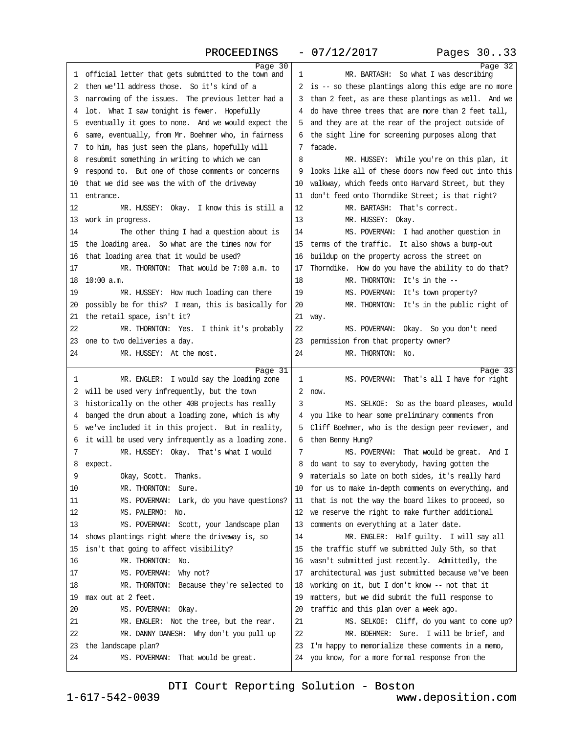<span id="page-8-0"></span>

| Page 30<br>Page 32<br>1 official letter that gets submitted to the town and<br>1<br>MR. BARTASH: So what I was describing<br>2 then we'll address those. So it's kind of a<br>2 is -- so these plantings along this edge are no more<br>3 narrowing of the issues. The previous letter had a<br>3 than 2 feet, as are these plantings as well. And we<br>4 lot. What I saw tonight is fewer. Hopefully<br>4 do have three trees that are more than 2 feet tall,<br>5 eventually it goes to none. And we would expect the<br>5 and they are at the rear of the project outside of<br>6 same, eventually, from Mr. Boehmer who, in fairness<br>6 the sight line for screening purposes along that<br>7 facade.<br>7 to him, has just seen the plans, hopefully will<br>8 resubmit something in writing to which we can<br>8<br>MR. HUSSEY: While you're on this plan, it<br>9 respond to. But one of those comments or concerns<br>9 looks like all of these doors now feed out into this<br>10 that we did see was the with of the driveway<br>10 walkway, which feeds onto Harvard Street, but they<br>11 don't feed onto Thorndike Street; is that right?<br>11 entrance.<br>MR. BARTASH: That's correct.<br>12<br>12<br>MR. HUSSEY: Okay. I know this is still a<br>MR. HUSSEY: Okay.<br>13 work in progress.<br>13<br>MS. POVERMAN: I had another question in<br>14<br>The other thing I had a question about is<br>14<br>15 the loading area. So what are the times now for<br>15 terms of the traffic. It also shows a bump-out<br>16 that loading area that it would be used?<br>16 buildup on the property across the street on<br>MR. THORNTON: That would be 7:00 a.m. to<br>17 Thorndike. How do you have the ability to do that?<br>17<br>18 10:00 a.m.<br>18<br>MR. THORNTON: It's in the --<br>MS. POVERMAN: It's town property?<br>19<br>MR. HUSSEY: How much loading can there<br>19<br>20 possibly be for this? I mean, this is basically for<br>20<br>MR. THORNTON: It's in the public right of<br>21 the retail space, isn't it?<br>21 way.<br>22<br>22<br>MS. POVERMAN: Okay. So you don't need<br>MR. THORNTON: Yes. I think it's probably<br>23 one to two deliveries a day.<br>23 permission from that property owner?<br>MR. THORNTON: No.<br>24<br>MR. HUSSEY: At the most.<br>24<br>Page 31<br>Page 33<br>MS. POVERMAN: That's all I have for right<br>MR. ENGLER: I would say the loading zone<br>1<br>1<br>2 will be used very infrequently, but the town<br>2 now.<br>3 historically on the other 40B projects has really<br>3<br>MS. SELKOE: So as the board pleases, would<br>4 banged the drum about a loading zone, which is why<br>4 you like to hear some preliminary comments from<br>5 we've included it in this project. But in reality,<br>5 Cliff Boehmer, who is the design peer reviewer, and<br>6 it will be used very infrequently as a loading zone.<br>6 then Benny Hung?<br>MR. HUSSEY: Okay. That's what I would<br>MS. POVERMAN: That would be great. And I<br>7<br>7<br>8 do want to say to everybody, having gotten the<br>8 expect.<br>9<br>Okay, Scott. Thanks.<br>9 materials so late on both sides, it's really hard<br>MR. THORNTON: Sure.<br>10 for us to make in-depth comments on everything, and<br>10<br>11 that is not the way the board likes to proceed, so<br>MS. POVERMAN: Lark, do you have questions?<br>11<br>12<br>MS. PALERMO: No.<br>12 we reserve the right to make further additional<br>13<br>MS. POVERMAN: Scott, your landscape plan<br>13 comments on everything at a later date.<br>14<br>MR. ENGLER: Half guilty. I will say all<br>14 shows plantings right where the driveway is, so |
|-----------------------------------------------------------------------------------------------------------------------------------------------------------------------------------------------------------------------------------------------------------------------------------------------------------------------------------------------------------------------------------------------------------------------------------------------------------------------------------------------------------------------------------------------------------------------------------------------------------------------------------------------------------------------------------------------------------------------------------------------------------------------------------------------------------------------------------------------------------------------------------------------------------------------------------------------------------------------------------------------------------------------------------------------------------------------------------------------------------------------------------------------------------------------------------------------------------------------------------------------------------------------------------------------------------------------------------------------------------------------------------------------------------------------------------------------------------------------------------------------------------------------------------------------------------------------------------------------------------------------------------------------------------------------------------------------------------------------------------------------------------------------------------------------------------------------------------------------------------------------------------------------------------------------------------------------------------------------------------------------------------------------------------------------------------------------------------------------------------------------------------------------------------------------------------------------------------------------------------------------------------------------------------------------------------------------------------------------------------------------------------------------------------------------------------------------------------------------------------------------------------------------------------------------------------------------------------------------------------------------------------------------------------------------------------------------------------------------------------------------------------------------------------------------------------------------------------------------------------------------------------------------------------------------------------------------------------------------------------------------------------------------------------------------------------------------------------------------------------------------------------------------------------------------------------------------------------------------------------------------------------------------------------------------------------------------------------------------------------------------------------------------------------------------------------------------------------------------------------------------------------------------------------------------------------------------------------------------------------------------------------------------------------------------|
|                                                                                                                                                                                                                                                                                                                                                                                                                                                                                                                                                                                                                                                                                                                                                                                                                                                                                                                                                                                                                                                                                                                                                                                                                                                                                                                                                                                                                                                                                                                                                                                                                                                                                                                                                                                                                                                                                                                                                                                                                                                                                                                                                                                                                                                                                                                                                                                                                                                                                                                                                                                                                                                                                                                                                                                                                                                                                                                                                                                                                                                                                                                                                                                                                                                                                                                                                                                                                                                                                                                                                                                                                                                                       |
|                                                                                                                                                                                                                                                                                                                                                                                                                                                                                                                                                                                                                                                                                                                                                                                                                                                                                                                                                                                                                                                                                                                                                                                                                                                                                                                                                                                                                                                                                                                                                                                                                                                                                                                                                                                                                                                                                                                                                                                                                                                                                                                                                                                                                                                                                                                                                                                                                                                                                                                                                                                                                                                                                                                                                                                                                                                                                                                                                                                                                                                                                                                                                                                                                                                                                                                                                                                                                                                                                                                                                                                                                                                                       |
|                                                                                                                                                                                                                                                                                                                                                                                                                                                                                                                                                                                                                                                                                                                                                                                                                                                                                                                                                                                                                                                                                                                                                                                                                                                                                                                                                                                                                                                                                                                                                                                                                                                                                                                                                                                                                                                                                                                                                                                                                                                                                                                                                                                                                                                                                                                                                                                                                                                                                                                                                                                                                                                                                                                                                                                                                                                                                                                                                                                                                                                                                                                                                                                                                                                                                                                                                                                                                                                                                                                                                                                                                                                                       |
|                                                                                                                                                                                                                                                                                                                                                                                                                                                                                                                                                                                                                                                                                                                                                                                                                                                                                                                                                                                                                                                                                                                                                                                                                                                                                                                                                                                                                                                                                                                                                                                                                                                                                                                                                                                                                                                                                                                                                                                                                                                                                                                                                                                                                                                                                                                                                                                                                                                                                                                                                                                                                                                                                                                                                                                                                                                                                                                                                                                                                                                                                                                                                                                                                                                                                                                                                                                                                                                                                                                                                                                                                                                                       |
|                                                                                                                                                                                                                                                                                                                                                                                                                                                                                                                                                                                                                                                                                                                                                                                                                                                                                                                                                                                                                                                                                                                                                                                                                                                                                                                                                                                                                                                                                                                                                                                                                                                                                                                                                                                                                                                                                                                                                                                                                                                                                                                                                                                                                                                                                                                                                                                                                                                                                                                                                                                                                                                                                                                                                                                                                                                                                                                                                                                                                                                                                                                                                                                                                                                                                                                                                                                                                                                                                                                                                                                                                                                                       |
|                                                                                                                                                                                                                                                                                                                                                                                                                                                                                                                                                                                                                                                                                                                                                                                                                                                                                                                                                                                                                                                                                                                                                                                                                                                                                                                                                                                                                                                                                                                                                                                                                                                                                                                                                                                                                                                                                                                                                                                                                                                                                                                                                                                                                                                                                                                                                                                                                                                                                                                                                                                                                                                                                                                                                                                                                                                                                                                                                                                                                                                                                                                                                                                                                                                                                                                                                                                                                                                                                                                                                                                                                                                                       |
|                                                                                                                                                                                                                                                                                                                                                                                                                                                                                                                                                                                                                                                                                                                                                                                                                                                                                                                                                                                                                                                                                                                                                                                                                                                                                                                                                                                                                                                                                                                                                                                                                                                                                                                                                                                                                                                                                                                                                                                                                                                                                                                                                                                                                                                                                                                                                                                                                                                                                                                                                                                                                                                                                                                                                                                                                                                                                                                                                                                                                                                                                                                                                                                                                                                                                                                                                                                                                                                                                                                                                                                                                                                                       |
|                                                                                                                                                                                                                                                                                                                                                                                                                                                                                                                                                                                                                                                                                                                                                                                                                                                                                                                                                                                                                                                                                                                                                                                                                                                                                                                                                                                                                                                                                                                                                                                                                                                                                                                                                                                                                                                                                                                                                                                                                                                                                                                                                                                                                                                                                                                                                                                                                                                                                                                                                                                                                                                                                                                                                                                                                                                                                                                                                                                                                                                                                                                                                                                                                                                                                                                                                                                                                                                                                                                                                                                                                                                                       |
|                                                                                                                                                                                                                                                                                                                                                                                                                                                                                                                                                                                                                                                                                                                                                                                                                                                                                                                                                                                                                                                                                                                                                                                                                                                                                                                                                                                                                                                                                                                                                                                                                                                                                                                                                                                                                                                                                                                                                                                                                                                                                                                                                                                                                                                                                                                                                                                                                                                                                                                                                                                                                                                                                                                                                                                                                                                                                                                                                                                                                                                                                                                                                                                                                                                                                                                                                                                                                                                                                                                                                                                                                                                                       |
|                                                                                                                                                                                                                                                                                                                                                                                                                                                                                                                                                                                                                                                                                                                                                                                                                                                                                                                                                                                                                                                                                                                                                                                                                                                                                                                                                                                                                                                                                                                                                                                                                                                                                                                                                                                                                                                                                                                                                                                                                                                                                                                                                                                                                                                                                                                                                                                                                                                                                                                                                                                                                                                                                                                                                                                                                                                                                                                                                                                                                                                                                                                                                                                                                                                                                                                                                                                                                                                                                                                                                                                                                                                                       |
|                                                                                                                                                                                                                                                                                                                                                                                                                                                                                                                                                                                                                                                                                                                                                                                                                                                                                                                                                                                                                                                                                                                                                                                                                                                                                                                                                                                                                                                                                                                                                                                                                                                                                                                                                                                                                                                                                                                                                                                                                                                                                                                                                                                                                                                                                                                                                                                                                                                                                                                                                                                                                                                                                                                                                                                                                                                                                                                                                                                                                                                                                                                                                                                                                                                                                                                                                                                                                                                                                                                                                                                                                                                                       |
|                                                                                                                                                                                                                                                                                                                                                                                                                                                                                                                                                                                                                                                                                                                                                                                                                                                                                                                                                                                                                                                                                                                                                                                                                                                                                                                                                                                                                                                                                                                                                                                                                                                                                                                                                                                                                                                                                                                                                                                                                                                                                                                                                                                                                                                                                                                                                                                                                                                                                                                                                                                                                                                                                                                                                                                                                                                                                                                                                                                                                                                                                                                                                                                                                                                                                                                                                                                                                                                                                                                                                                                                                                                                       |
|                                                                                                                                                                                                                                                                                                                                                                                                                                                                                                                                                                                                                                                                                                                                                                                                                                                                                                                                                                                                                                                                                                                                                                                                                                                                                                                                                                                                                                                                                                                                                                                                                                                                                                                                                                                                                                                                                                                                                                                                                                                                                                                                                                                                                                                                                                                                                                                                                                                                                                                                                                                                                                                                                                                                                                                                                                                                                                                                                                                                                                                                                                                                                                                                                                                                                                                                                                                                                                                                                                                                                                                                                                                                       |
|                                                                                                                                                                                                                                                                                                                                                                                                                                                                                                                                                                                                                                                                                                                                                                                                                                                                                                                                                                                                                                                                                                                                                                                                                                                                                                                                                                                                                                                                                                                                                                                                                                                                                                                                                                                                                                                                                                                                                                                                                                                                                                                                                                                                                                                                                                                                                                                                                                                                                                                                                                                                                                                                                                                                                                                                                                                                                                                                                                                                                                                                                                                                                                                                                                                                                                                                                                                                                                                                                                                                                                                                                                                                       |
|                                                                                                                                                                                                                                                                                                                                                                                                                                                                                                                                                                                                                                                                                                                                                                                                                                                                                                                                                                                                                                                                                                                                                                                                                                                                                                                                                                                                                                                                                                                                                                                                                                                                                                                                                                                                                                                                                                                                                                                                                                                                                                                                                                                                                                                                                                                                                                                                                                                                                                                                                                                                                                                                                                                                                                                                                                                                                                                                                                                                                                                                                                                                                                                                                                                                                                                                                                                                                                                                                                                                                                                                                                                                       |
|                                                                                                                                                                                                                                                                                                                                                                                                                                                                                                                                                                                                                                                                                                                                                                                                                                                                                                                                                                                                                                                                                                                                                                                                                                                                                                                                                                                                                                                                                                                                                                                                                                                                                                                                                                                                                                                                                                                                                                                                                                                                                                                                                                                                                                                                                                                                                                                                                                                                                                                                                                                                                                                                                                                                                                                                                                                                                                                                                                                                                                                                                                                                                                                                                                                                                                                                                                                                                                                                                                                                                                                                                                                                       |
|                                                                                                                                                                                                                                                                                                                                                                                                                                                                                                                                                                                                                                                                                                                                                                                                                                                                                                                                                                                                                                                                                                                                                                                                                                                                                                                                                                                                                                                                                                                                                                                                                                                                                                                                                                                                                                                                                                                                                                                                                                                                                                                                                                                                                                                                                                                                                                                                                                                                                                                                                                                                                                                                                                                                                                                                                                                                                                                                                                                                                                                                                                                                                                                                                                                                                                                                                                                                                                                                                                                                                                                                                                                                       |
|                                                                                                                                                                                                                                                                                                                                                                                                                                                                                                                                                                                                                                                                                                                                                                                                                                                                                                                                                                                                                                                                                                                                                                                                                                                                                                                                                                                                                                                                                                                                                                                                                                                                                                                                                                                                                                                                                                                                                                                                                                                                                                                                                                                                                                                                                                                                                                                                                                                                                                                                                                                                                                                                                                                                                                                                                                                                                                                                                                                                                                                                                                                                                                                                                                                                                                                                                                                                                                                                                                                                                                                                                                                                       |
|                                                                                                                                                                                                                                                                                                                                                                                                                                                                                                                                                                                                                                                                                                                                                                                                                                                                                                                                                                                                                                                                                                                                                                                                                                                                                                                                                                                                                                                                                                                                                                                                                                                                                                                                                                                                                                                                                                                                                                                                                                                                                                                                                                                                                                                                                                                                                                                                                                                                                                                                                                                                                                                                                                                                                                                                                                                                                                                                                                                                                                                                                                                                                                                                                                                                                                                                                                                                                                                                                                                                                                                                                                                                       |
|                                                                                                                                                                                                                                                                                                                                                                                                                                                                                                                                                                                                                                                                                                                                                                                                                                                                                                                                                                                                                                                                                                                                                                                                                                                                                                                                                                                                                                                                                                                                                                                                                                                                                                                                                                                                                                                                                                                                                                                                                                                                                                                                                                                                                                                                                                                                                                                                                                                                                                                                                                                                                                                                                                                                                                                                                                                                                                                                                                                                                                                                                                                                                                                                                                                                                                                                                                                                                                                                                                                                                                                                                                                                       |
|                                                                                                                                                                                                                                                                                                                                                                                                                                                                                                                                                                                                                                                                                                                                                                                                                                                                                                                                                                                                                                                                                                                                                                                                                                                                                                                                                                                                                                                                                                                                                                                                                                                                                                                                                                                                                                                                                                                                                                                                                                                                                                                                                                                                                                                                                                                                                                                                                                                                                                                                                                                                                                                                                                                                                                                                                                                                                                                                                                                                                                                                                                                                                                                                                                                                                                                                                                                                                                                                                                                                                                                                                                                                       |
|                                                                                                                                                                                                                                                                                                                                                                                                                                                                                                                                                                                                                                                                                                                                                                                                                                                                                                                                                                                                                                                                                                                                                                                                                                                                                                                                                                                                                                                                                                                                                                                                                                                                                                                                                                                                                                                                                                                                                                                                                                                                                                                                                                                                                                                                                                                                                                                                                                                                                                                                                                                                                                                                                                                                                                                                                                                                                                                                                                                                                                                                                                                                                                                                                                                                                                                                                                                                                                                                                                                                                                                                                                                                       |
|                                                                                                                                                                                                                                                                                                                                                                                                                                                                                                                                                                                                                                                                                                                                                                                                                                                                                                                                                                                                                                                                                                                                                                                                                                                                                                                                                                                                                                                                                                                                                                                                                                                                                                                                                                                                                                                                                                                                                                                                                                                                                                                                                                                                                                                                                                                                                                                                                                                                                                                                                                                                                                                                                                                                                                                                                                                                                                                                                                                                                                                                                                                                                                                                                                                                                                                                                                                                                                                                                                                                                                                                                                                                       |
|                                                                                                                                                                                                                                                                                                                                                                                                                                                                                                                                                                                                                                                                                                                                                                                                                                                                                                                                                                                                                                                                                                                                                                                                                                                                                                                                                                                                                                                                                                                                                                                                                                                                                                                                                                                                                                                                                                                                                                                                                                                                                                                                                                                                                                                                                                                                                                                                                                                                                                                                                                                                                                                                                                                                                                                                                                                                                                                                                                                                                                                                                                                                                                                                                                                                                                                                                                                                                                                                                                                                                                                                                                                                       |
|                                                                                                                                                                                                                                                                                                                                                                                                                                                                                                                                                                                                                                                                                                                                                                                                                                                                                                                                                                                                                                                                                                                                                                                                                                                                                                                                                                                                                                                                                                                                                                                                                                                                                                                                                                                                                                                                                                                                                                                                                                                                                                                                                                                                                                                                                                                                                                                                                                                                                                                                                                                                                                                                                                                                                                                                                                                                                                                                                                                                                                                                                                                                                                                                                                                                                                                                                                                                                                                                                                                                                                                                                                                                       |
|                                                                                                                                                                                                                                                                                                                                                                                                                                                                                                                                                                                                                                                                                                                                                                                                                                                                                                                                                                                                                                                                                                                                                                                                                                                                                                                                                                                                                                                                                                                                                                                                                                                                                                                                                                                                                                                                                                                                                                                                                                                                                                                                                                                                                                                                                                                                                                                                                                                                                                                                                                                                                                                                                                                                                                                                                                                                                                                                                                                                                                                                                                                                                                                                                                                                                                                                                                                                                                                                                                                                                                                                                                                                       |
|                                                                                                                                                                                                                                                                                                                                                                                                                                                                                                                                                                                                                                                                                                                                                                                                                                                                                                                                                                                                                                                                                                                                                                                                                                                                                                                                                                                                                                                                                                                                                                                                                                                                                                                                                                                                                                                                                                                                                                                                                                                                                                                                                                                                                                                                                                                                                                                                                                                                                                                                                                                                                                                                                                                                                                                                                                                                                                                                                                                                                                                                                                                                                                                                                                                                                                                                                                                                                                                                                                                                                                                                                                                                       |
|                                                                                                                                                                                                                                                                                                                                                                                                                                                                                                                                                                                                                                                                                                                                                                                                                                                                                                                                                                                                                                                                                                                                                                                                                                                                                                                                                                                                                                                                                                                                                                                                                                                                                                                                                                                                                                                                                                                                                                                                                                                                                                                                                                                                                                                                                                                                                                                                                                                                                                                                                                                                                                                                                                                                                                                                                                                                                                                                                                                                                                                                                                                                                                                                                                                                                                                                                                                                                                                                                                                                                                                                                                                                       |
|                                                                                                                                                                                                                                                                                                                                                                                                                                                                                                                                                                                                                                                                                                                                                                                                                                                                                                                                                                                                                                                                                                                                                                                                                                                                                                                                                                                                                                                                                                                                                                                                                                                                                                                                                                                                                                                                                                                                                                                                                                                                                                                                                                                                                                                                                                                                                                                                                                                                                                                                                                                                                                                                                                                                                                                                                                                                                                                                                                                                                                                                                                                                                                                                                                                                                                                                                                                                                                                                                                                                                                                                                                                                       |
|                                                                                                                                                                                                                                                                                                                                                                                                                                                                                                                                                                                                                                                                                                                                                                                                                                                                                                                                                                                                                                                                                                                                                                                                                                                                                                                                                                                                                                                                                                                                                                                                                                                                                                                                                                                                                                                                                                                                                                                                                                                                                                                                                                                                                                                                                                                                                                                                                                                                                                                                                                                                                                                                                                                                                                                                                                                                                                                                                                                                                                                                                                                                                                                                                                                                                                                                                                                                                                                                                                                                                                                                                                                                       |
|                                                                                                                                                                                                                                                                                                                                                                                                                                                                                                                                                                                                                                                                                                                                                                                                                                                                                                                                                                                                                                                                                                                                                                                                                                                                                                                                                                                                                                                                                                                                                                                                                                                                                                                                                                                                                                                                                                                                                                                                                                                                                                                                                                                                                                                                                                                                                                                                                                                                                                                                                                                                                                                                                                                                                                                                                                                                                                                                                                                                                                                                                                                                                                                                                                                                                                                                                                                                                                                                                                                                                                                                                                                                       |
|                                                                                                                                                                                                                                                                                                                                                                                                                                                                                                                                                                                                                                                                                                                                                                                                                                                                                                                                                                                                                                                                                                                                                                                                                                                                                                                                                                                                                                                                                                                                                                                                                                                                                                                                                                                                                                                                                                                                                                                                                                                                                                                                                                                                                                                                                                                                                                                                                                                                                                                                                                                                                                                                                                                                                                                                                                                                                                                                                                                                                                                                                                                                                                                                                                                                                                                                                                                                                                                                                                                                                                                                                                                                       |
|                                                                                                                                                                                                                                                                                                                                                                                                                                                                                                                                                                                                                                                                                                                                                                                                                                                                                                                                                                                                                                                                                                                                                                                                                                                                                                                                                                                                                                                                                                                                                                                                                                                                                                                                                                                                                                                                                                                                                                                                                                                                                                                                                                                                                                                                                                                                                                                                                                                                                                                                                                                                                                                                                                                                                                                                                                                                                                                                                                                                                                                                                                                                                                                                                                                                                                                                                                                                                                                                                                                                                                                                                                                                       |
|                                                                                                                                                                                                                                                                                                                                                                                                                                                                                                                                                                                                                                                                                                                                                                                                                                                                                                                                                                                                                                                                                                                                                                                                                                                                                                                                                                                                                                                                                                                                                                                                                                                                                                                                                                                                                                                                                                                                                                                                                                                                                                                                                                                                                                                                                                                                                                                                                                                                                                                                                                                                                                                                                                                                                                                                                                                                                                                                                                                                                                                                                                                                                                                                                                                                                                                                                                                                                                                                                                                                                                                                                                                                       |
|                                                                                                                                                                                                                                                                                                                                                                                                                                                                                                                                                                                                                                                                                                                                                                                                                                                                                                                                                                                                                                                                                                                                                                                                                                                                                                                                                                                                                                                                                                                                                                                                                                                                                                                                                                                                                                                                                                                                                                                                                                                                                                                                                                                                                                                                                                                                                                                                                                                                                                                                                                                                                                                                                                                                                                                                                                                                                                                                                                                                                                                                                                                                                                                                                                                                                                                                                                                                                                                                                                                                                                                                                                                                       |
|                                                                                                                                                                                                                                                                                                                                                                                                                                                                                                                                                                                                                                                                                                                                                                                                                                                                                                                                                                                                                                                                                                                                                                                                                                                                                                                                                                                                                                                                                                                                                                                                                                                                                                                                                                                                                                                                                                                                                                                                                                                                                                                                                                                                                                                                                                                                                                                                                                                                                                                                                                                                                                                                                                                                                                                                                                                                                                                                                                                                                                                                                                                                                                                                                                                                                                                                                                                                                                                                                                                                                                                                                                                                       |
|                                                                                                                                                                                                                                                                                                                                                                                                                                                                                                                                                                                                                                                                                                                                                                                                                                                                                                                                                                                                                                                                                                                                                                                                                                                                                                                                                                                                                                                                                                                                                                                                                                                                                                                                                                                                                                                                                                                                                                                                                                                                                                                                                                                                                                                                                                                                                                                                                                                                                                                                                                                                                                                                                                                                                                                                                                                                                                                                                                                                                                                                                                                                                                                                                                                                                                                                                                                                                                                                                                                                                                                                                                                                       |
|                                                                                                                                                                                                                                                                                                                                                                                                                                                                                                                                                                                                                                                                                                                                                                                                                                                                                                                                                                                                                                                                                                                                                                                                                                                                                                                                                                                                                                                                                                                                                                                                                                                                                                                                                                                                                                                                                                                                                                                                                                                                                                                                                                                                                                                                                                                                                                                                                                                                                                                                                                                                                                                                                                                                                                                                                                                                                                                                                                                                                                                                                                                                                                                                                                                                                                                                                                                                                                                                                                                                                                                                                                                                       |
|                                                                                                                                                                                                                                                                                                                                                                                                                                                                                                                                                                                                                                                                                                                                                                                                                                                                                                                                                                                                                                                                                                                                                                                                                                                                                                                                                                                                                                                                                                                                                                                                                                                                                                                                                                                                                                                                                                                                                                                                                                                                                                                                                                                                                                                                                                                                                                                                                                                                                                                                                                                                                                                                                                                                                                                                                                                                                                                                                                                                                                                                                                                                                                                                                                                                                                                                                                                                                                                                                                                                                                                                                                                                       |
|                                                                                                                                                                                                                                                                                                                                                                                                                                                                                                                                                                                                                                                                                                                                                                                                                                                                                                                                                                                                                                                                                                                                                                                                                                                                                                                                                                                                                                                                                                                                                                                                                                                                                                                                                                                                                                                                                                                                                                                                                                                                                                                                                                                                                                                                                                                                                                                                                                                                                                                                                                                                                                                                                                                                                                                                                                                                                                                                                                                                                                                                                                                                                                                                                                                                                                                                                                                                                                                                                                                                                                                                                                                                       |
| 15 isn't that going to affect visibility?<br>15 the traffic stuff we submitted July 5th, so that                                                                                                                                                                                                                                                                                                                                                                                                                                                                                                                                                                                                                                                                                                                                                                                                                                                                                                                                                                                                                                                                                                                                                                                                                                                                                                                                                                                                                                                                                                                                                                                                                                                                                                                                                                                                                                                                                                                                                                                                                                                                                                                                                                                                                                                                                                                                                                                                                                                                                                                                                                                                                                                                                                                                                                                                                                                                                                                                                                                                                                                                                                                                                                                                                                                                                                                                                                                                                                                                                                                                                                      |
| MR. THORNTON: No.<br>16 wasn't submitted just recently. Admittedly, the<br>16                                                                                                                                                                                                                                                                                                                                                                                                                                                                                                                                                                                                                                                                                                                                                                                                                                                                                                                                                                                                                                                                                                                                                                                                                                                                                                                                                                                                                                                                                                                                                                                                                                                                                                                                                                                                                                                                                                                                                                                                                                                                                                                                                                                                                                                                                                                                                                                                                                                                                                                                                                                                                                                                                                                                                                                                                                                                                                                                                                                                                                                                                                                                                                                                                                                                                                                                                                                                                                                                                                                                                                                         |
| 17<br>MS. POVERMAN: Why not?<br>17 architectural was just submitted because we've been                                                                                                                                                                                                                                                                                                                                                                                                                                                                                                                                                                                                                                                                                                                                                                                                                                                                                                                                                                                                                                                                                                                                                                                                                                                                                                                                                                                                                                                                                                                                                                                                                                                                                                                                                                                                                                                                                                                                                                                                                                                                                                                                                                                                                                                                                                                                                                                                                                                                                                                                                                                                                                                                                                                                                                                                                                                                                                                                                                                                                                                                                                                                                                                                                                                                                                                                                                                                                                                                                                                                                                                |
| 18 working on it, but I don't know -- not that it<br>18<br>MR. THORNTON: Because they're selected to                                                                                                                                                                                                                                                                                                                                                                                                                                                                                                                                                                                                                                                                                                                                                                                                                                                                                                                                                                                                                                                                                                                                                                                                                                                                                                                                                                                                                                                                                                                                                                                                                                                                                                                                                                                                                                                                                                                                                                                                                                                                                                                                                                                                                                                                                                                                                                                                                                                                                                                                                                                                                                                                                                                                                                                                                                                                                                                                                                                                                                                                                                                                                                                                                                                                                                                                                                                                                                                                                                                                                                  |
| 19 matters, but we did submit the full response to<br>19 max out at 2 feet.                                                                                                                                                                                                                                                                                                                                                                                                                                                                                                                                                                                                                                                                                                                                                                                                                                                                                                                                                                                                                                                                                                                                                                                                                                                                                                                                                                                                                                                                                                                                                                                                                                                                                                                                                                                                                                                                                                                                                                                                                                                                                                                                                                                                                                                                                                                                                                                                                                                                                                                                                                                                                                                                                                                                                                                                                                                                                                                                                                                                                                                                                                                                                                                                                                                                                                                                                                                                                                                                                                                                                                                           |
| 20<br>MS. POVERMAN: Okay.<br>20 traffic and this plan over a week ago.                                                                                                                                                                                                                                                                                                                                                                                                                                                                                                                                                                                                                                                                                                                                                                                                                                                                                                                                                                                                                                                                                                                                                                                                                                                                                                                                                                                                                                                                                                                                                                                                                                                                                                                                                                                                                                                                                                                                                                                                                                                                                                                                                                                                                                                                                                                                                                                                                                                                                                                                                                                                                                                                                                                                                                                                                                                                                                                                                                                                                                                                                                                                                                                                                                                                                                                                                                                                                                                                                                                                                                                                |
| 21<br>21                                                                                                                                                                                                                                                                                                                                                                                                                                                                                                                                                                                                                                                                                                                                                                                                                                                                                                                                                                                                                                                                                                                                                                                                                                                                                                                                                                                                                                                                                                                                                                                                                                                                                                                                                                                                                                                                                                                                                                                                                                                                                                                                                                                                                                                                                                                                                                                                                                                                                                                                                                                                                                                                                                                                                                                                                                                                                                                                                                                                                                                                                                                                                                                                                                                                                                                                                                                                                                                                                                                                                                                                                                                              |
| MR. ENGLER: Not the tree, but the rear.<br>MS. SELKOE: Cliff, do you want to come up?                                                                                                                                                                                                                                                                                                                                                                                                                                                                                                                                                                                                                                                                                                                                                                                                                                                                                                                                                                                                                                                                                                                                                                                                                                                                                                                                                                                                                                                                                                                                                                                                                                                                                                                                                                                                                                                                                                                                                                                                                                                                                                                                                                                                                                                                                                                                                                                                                                                                                                                                                                                                                                                                                                                                                                                                                                                                                                                                                                                                                                                                                                                                                                                                                                                                                                                                                                                                                                                                                                                                                                                 |
| 22<br>MR. BOEHMER: Sure. I will be brief, and<br>22<br>MR. DANNY DANESH: Why don't you pull up                                                                                                                                                                                                                                                                                                                                                                                                                                                                                                                                                                                                                                                                                                                                                                                                                                                                                                                                                                                                                                                                                                                                                                                                                                                                                                                                                                                                                                                                                                                                                                                                                                                                                                                                                                                                                                                                                                                                                                                                                                                                                                                                                                                                                                                                                                                                                                                                                                                                                                                                                                                                                                                                                                                                                                                                                                                                                                                                                                                                                                                                                                                                                                                                                                                                                                                                                                                                                                                                                                                                                                        |
|                                                                                                                                                                                                                                                                                                                                                                                                                                                                                                                                                                                                                                                                                                                                                                                                                                                                                                                                                                                                                                                                                                                                                                                                                                                                                                                                                                                                                                                                                                                                                                                                                                                                                                                                                                                                                                                                                                                                                                                                                                                                                                                                                                                                                                                                                                                                                                                                                                                                                                                                                                                                                                                                                                                                                                                                                                                                                                                                                                                                                                                                                                                                                                                                                                                                                                                                                                                                                                                                                                                                                                                                                                                                       |
| 23 I'm happy to memorialize these comments in a memo,<br>23 the landscape plan?<br>24<br>24 you know, for a more formal response from the<br>MS. POVERMAN: That would be great.                                                                                                                                                                                                                                                                                                                                                                                                                                                                                                                                                                                                                                                                                                                                                                                                                                                                                                                                                                                                                                                                                                                                                                                                                                                                                                                                                                                                                                                                                                                                                                                                                                                                                                                                                                                                                                                                                                                                                                                                                                                                                                                                                                                                                                                                                                                                                                                                                                                                                                                                                                                                                                                                                                                                                                                                                                                                                                                                                                                                                                                                                                                                                                                                                                                                                                                                                                                                                                                                                       |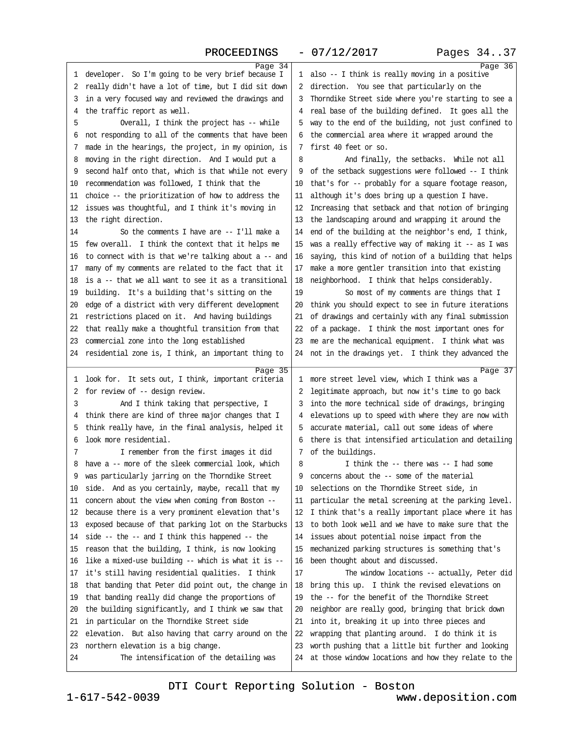### PROCEEDINGS - 07/12/2017 Pages 34..37

<span id="page-9-0"></span>

| Page 34                                                                                  |                                                                                                                   | Page 36 |
|------------------------------------------------------------------------------------------|-------------------------------------------------------------------------------------------------------------------|---------|
| 1 developer. So I'm going to be very brief because I                                     | 1 also -- I think is really moving in a positive                                                                  |         |
| 2 really didn't have a lot of time, but I did sit down                                   | 2 direction. You see that particularly on the                                                                     |         |
| 3 in a very focused way and reviewed the drawings and                                    | 3 Thorndike Street side where you're starting to see a                                                            |         |
| 4 the traffic report as well.                                                            | 4 real base of the building defined. It goes all the                                                              |         |
| Overall, I think the project has -- while<br>5                                           | 5 way to the end of the building, not just confined to                                                            |         |
| 6 not responding to all of the comments that have been                                   | 6 the commercial area where it wrapped around the                                                                 |         |
| 7 made in the hearings, the project, in my opinion, is                                   | 7 first 40 feet or so.                                                                                            |         |
| 8 moving in the right direction. And I would put a                                       | 8<br>And finally, the setbacks. While not all                                                                     |         |
| 9 second half onto that, which is that while not every                                   | 9 of the setback suggestions were followed -- I think                                                             |         |
| 10 recommendation was followed, I think that the                                         | 10 that's for -- probably for a square footage reason,                                                            |         |
| 11 choice -- the prioritization of how to address the                                    | 11 although it's does bring up a question I have.                                                                 |         |
| 12 issues was thoughtful, and I think it's moving in                                     | 12 Increasing that setback and that notion of bringing                                                            |         |
| 13 the right direction.                                                                  | 13 the landscaping around and wrapping it around the                                                              |         |
| So the comments I have are -- I'll make a<br>14                                          | 14 end of the building at the neighbor's end, I think,                                                            |         |
| 15 few overall. I think the context that it helps me                                     | 15 was a really effective way of making it -- as I was                                                            |         |
| 16 to connect with is that we're talking about a -- and                                  | 16 saying, this kind of notion of a building that helps                                                           |         |
| 17 many of my comments are related to the fact that it                                   | 17 make a more gentler transition into that existing                                                              |         |
| 18 is a -- that we all want to see it as a transitional                                  | 18 neighborhood. I think that helps considerably.                                                                 |         |
| 19 building. It's a building that's sitting on the                                       | 19<br>So most of my comments are things that I                                                                    |         |
| 20 edge of a district with very different development                                    | 20 think you should expect to see in future iterations                                                            |         |
| 21 restrictions placed on it. And having buildings                                       | 21 of drawings and certainly with any final submission                                                            |         |
| 22 that really make a thoughtful transition from that                                    | 22 of a package. I think the most important ones for                                                              |         |
| 23 commercial zone into the long established                                             | 23 me are the mechanical equipment. I think what was                                                              |         |
| 24 residential zone is, I think, an important thing to                                   | 24 not in the drawings yet. I think they advanced the                                                             |         |
|                                                                                          |                                                                                                                   |         |
| Page 35<br>1 look for. It sets out, I think, important criteria                          | 1 more street level view, which I think was a                                                                     | Page 37 |
| 2 for review of -- design review.                                                        | 2 legitimate approach, but now it's time to go back                                                               |         |
| 3<br>And I think taking that perspective, I                                              | 3 into the more technical side of drawings, bringing                                                              |         |
| 4 think there are kind of three major changes that I                                     | 4 elevations up to speed with where they are now with                                                             |         |
| 5 think really have, in the final analysis, helped it                                    | 5 accurate material, call out some ideas of where                                                                 |         |
| 6 look more residential.                                                                 | 6 there is that intensified articulation and detailing                                                            |         |
| I remember from the first images it did<br>7                                             | 7 of the buildings.                                                                                               |         |
| 8 have a -- more of the sleek commercial look, which                                     | 8<br>I think the -- there was -- I had some                                                                       |         |
| 9 was particularly jarring on the Thorndike Street                                       | 9 concerns about the - some of the material                                                                       |         |
| 10 side. And as you certainly, maybe, recall that my                                     | 10 selections on the Thorndike Street side, in                                                                    |         |
| 11 concern about the view when coming from Boston --                                     | 11 particular the metal screening at the parking level.                                                           |         |
| 12 because there is a very prominent elevation that's                                    | 12 I think that's a really important place where it has                                                           |         |
| 13 exposed because of that parking lot on the Starbucks                                  | 13 to both look well and we have to make sure that the                                                            |         |
| 14 side -- the -- and I think this happened -- the                                       | 14 issues about potential noise impact from the                                                                   |         |
| 15 reason that the building, I think, is now looking                                     | 15 mechanized parking structures is something that's                                                              |         |
| 16 like a mixed-use building -- which is what it is --                                   | 16 been thought about and discussed.                                                                              |         |
| 17 it's still having residential qualities. I think                                      |                                                                                                                   |         |
|                                                                                          |                                                                                                                   |         |
|                                                                                          | 17<br>The window locations -- actually, Peter did                                                                 |         |
| 18 that banding that Peter did point out, the change in                                  | 18 bring this up. I think the revised elevations on                                                               |         |
| 19 that banding really did change the proportions of                                     | 19 the -- for the benefit of the Thorndike Street                                                                 |         |
| 20 the building significantly, and I think we saw that                                   | 20 neighbor are really good, bringing that brick down                                                             |         |
| 21 in particular on the Thorndike Street side                                            | 21 into it, breaking it up into three pieces and                                                                  |         |
| 22 elevation. But also having that carry around on the                                   | 22 wrapping that planting around. I do think it is                                                                |         |
| 23 northern elevation is a big change.<br>24<br>The intensification of the detailing was | 23 worth pushing that a little bit further and looking<br>24 at those window locations and how they relate to the |         |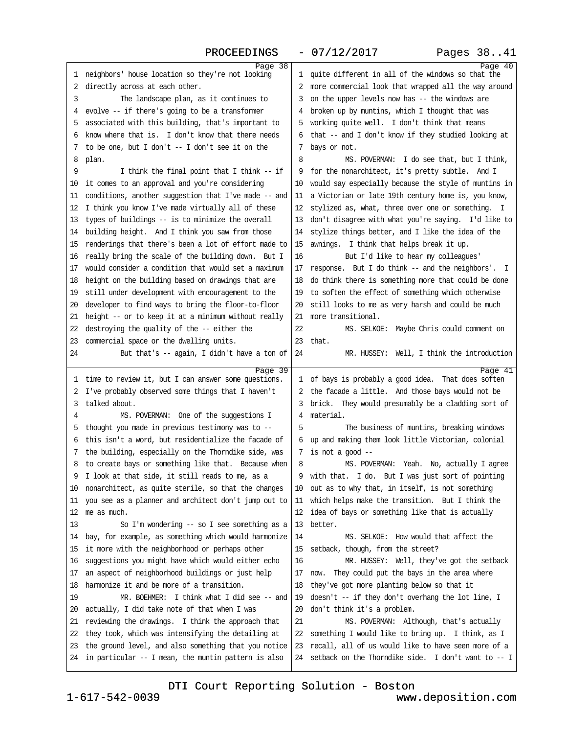### PROCEEDINGS - 07/12/2017 Pages 38..41

<span id="page-10-0"></span>

| Page 38                                                          |                                                                                                                 | Page 40 |
|------------------------------------------------------------------|-----------------------------------------------------------------------------------------------------------------|---------|
| 1 neighbors' house location so they're not looking               | 1 quite different in all of the windows so that the                                                             |         |
| 2 directly across at each other.                                 | 2 more commercial look that wrapped all the way around                                                          |         |
| 3<br>The landscape plan, as it continues to                      | 3 on the upper levels now has -- the windows are                                                                |         |
| 4 evolve -- if there's going to be a transformer                 | 4 broken up by muntins, which I thought that was                                                                |         |
| 5 associated with this building, that's important to             | 5 working quite well. I don't think that means                                                                  |         |
| 6 know where that is. I don't know that there needs              | 6 that -- and I don't know if they studied looking at                                                           |         |
| 7 to be one, but I don't - I don't see it on the                 | 7 bays or not.                                                                                                  |         |
| 8 plan.                                                          | 8<br>MS. POVERMAN: I do see that, but I think,                                                                  |         |
| 9<br>I think the final point that I think -- if                  | 9 for the nonarchitect, it's pretty subtle. And I                                                               |         |
| 10 it comes to an approval and you're considering                | 10 would say especially because the style of muntins in                                                         |         |
| 11 conditions, another suggestion that I've made -- and          | 11 a Victorian or late 19th century home is, you know,                                                          |         |
| 12 I think you know I've made virtually all of these             | 12 stylized as, what, three over one or something. I                                                            |         |
| 13 types of buildings -- is to minimize the overall              | 13 don't disagree with what you're saying. I'd like to                                                          |         |
| 14 building height. And I think you saw from those               | 14 stylize things better, and I like the idea of the                                                            |         |
| 15 renderings that there's been a lot of effort made to          | 15 awnings. I think that helps break it up.                                                                     |         |
| 16 really bring the scale of the building down. But I            | 16<br>But I'd like to hear my colleagues'                                                                       |         |
| 17 would consider a condition that would set a maximum           | 17 response. But I do think -- and the neighbors'. I                                                            |         |
| 18 height on the building based on drawings that are             | 18 do think there is something more that could be done                                                          |         |
| 19 still under development with encouragement to the             | 19 to soften the effect of something which otherwise                                                            |         |
| 20 developer to find ways to bring the floor-to-floor            | 20 still looks to me as very harsh and could be much                                                            |         |
| 21 height -- or to keep it at a minimum without really           | 21 more transitional.                                                                                           |         |
| 22 destroying the quality of the -- either the                   | 22<br>MS. SELKOE: Maybe Chris could comment on                                                                  |         |
| 23 commercial space or the dwelling units.                       | 23 that.                                                                                                        |         |
| 24<br>But that's -- again, I didn't have a ton of                | 24<br>MR. HUSSEY: Well, I think the introduction                                                                |         |
|                                                                  |                                                                                                                 |         |
| Page 39<br>1 time to review it, but I can answer some questions. | 1 of bays is probably a good idea. That does soften                                                             | Page 41 |
| 2 I've probably observed some things that I haven't              | 2 the facade a little. And those bays would not be                                                              |         |
| 3 talked about.                                                  | 3 brick. They would presumably be a cladding sort of                                                            |         |
| MS. POVERMAN: One of the suggestions I<br>4                      | 4 material.                                                                                                     |         |
| 5 thought you made in previous testimony was to --               | 5<br>The business of muntins, breaking windows                                                                  |         |
| 6 this isn't a word, but residentialize the facade of            | 6 up and making them look little Victorian, colonial                                                            |         |
| 7 the building, especially on the Thorndike side, was            | 7 is not a good $-$                                                                                             |         |
| 8 to create bays or something like that. Because when            | MS. POVERMAN: Yeah. No, actually I agree<br>8                                                                   |         |
| 9 I look at that side, it still reads to me, as a                | 9 with that. I do. But I was just sort of pointing                                                              |         |
| 10 nonarchitect, as quite sterile, so that the changes           | 10 out as to why that, in itself, is not something                                                              |         |
| 11 you see as a planner and architect don't jump out to          | 11 which helps make the transition. But I think the                                                             |         |
| 12 me as much.                                                   | 12 idea of bays or something like that is actually                                                              |         |
| 13<br>So I'm wondering -- so I see something as a                | 13 better.                                                                                                      |         |
| 14 bay, for example, as something which would harmonize          | 14<br>MS. SELKOE: How would that affect the                                                                     |         |
| 15 it more with the neighborhood or perhaps other                | 15 setback, though, from the street?                                                                            |         |
| 16 suggestions you might have which would either echo            | MR. HUSSEY: Well, they've got the setback<br>16                                                                 |         |
| 17 an aspect of neighborhood buildings or just help              | 17 now. They could put the bays in the area where                                                               |         |
| 18 harmonize it and be more of a transition.                     | 18 they've got more planting below so that it                                                                   |         |
| MR. BOEHMER: I think what I did see -- and<br>19                 | 19 doesn't -- if they don't overhang the lot line, I                                                            |         |
| 20 actually, I did take note of that when I was                  | 20 don't think it's a problem.                                                                                  |         |
| 21 reviewing the drawings. I think the approach that             | 21<br>MS. POVERMAN: Although, that's actually                                                                   |         |
| 22 they took, which was intensifying the detailing at            | 22 something I would like to bring up. I think, as I                                                            |         |
| 23 the ground level, and also something that you notice          |                                                                                                                 |         |
|                                                                  |                                                                                                                 |         |
| 24 in particular - I mean, the muntin pattern is also            | 23 recall, all of us would like to have seen more of a<br>24 setback on the Thomdike side. I don't want to -- I |         |

[DTI Court Reporting Solution - Boston](http://www.deposition.com)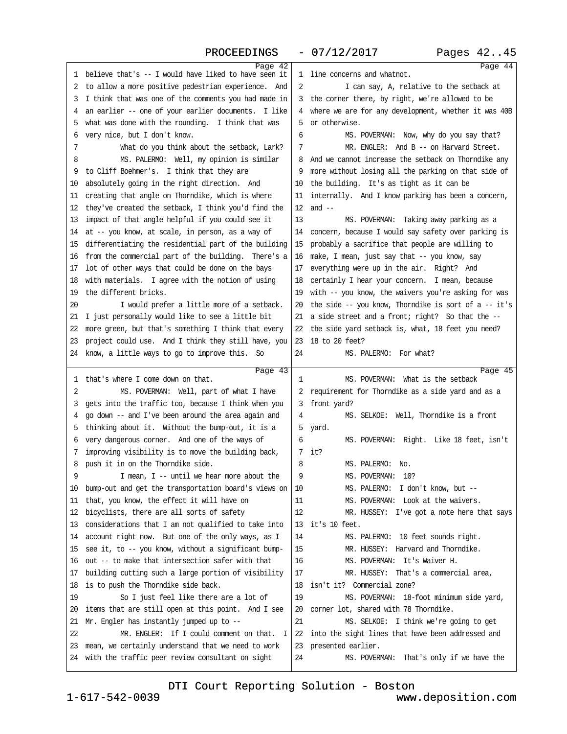### PROCEEDINGS - 07/12/2017 Pages 42..45

<span id="page-11-0"></span>

| Page 42                                                 |                                                         | Page 44 |
|---------------------------------------------------------|---------------------------------------------------------|---------|
| 1 believe that's -- I would have liked to have seen it  | 1 line concerns and whatnot.                            |         |
| 2 to allow a more positive pedestrian experience. And   | 2<br>I can say, A, relative to the setback at           |         |
| 3 I think that was one of the comments you had made in  | 3 the corner there, by right, we're allowed to be       |         |
| 4 an earlier -- one of your earlier documents. I like   | 4 where we are for any development, whether it was 40B  |         |
| 5 what was done with the rounding. I think that was     | 5 or otherwise.                                         |         |
| 6 very nice, but I don't know.                          | MS. POVERMAN: Now, why do you say that?<br>6            |         |
| 7<br>What do you think about the setback, Lark?         | MR. ENGLER: And B - on Harvard Street.<br>7             |         |
| 8<br>MS. PALERMO: Well, my opinion is similar           | 8 And we cannot increase the setback on Thorndike any   |         |
| 9 to Cliff Boehmer's. I think that they are             | 9 more without losing all the parking on that side of   |         |
| 10 absolutely going in the right direction. And         | 10 the building. It's as tight as it can be             |         |
| 11 creating that angle on Thorndike, which is where     | 11 internally. And I know parking has been a concern,   |         |
| 12 they've created the setback, I think you'd find the  | 12 and $-$                                              |         |
| 13 impact of that angle helpful if you could see it     | 13<br>MS. POVERMAN: Taking away parking as a            |         |
| 14 at -- you know, at scale, in person, as a way of     | 14 concern, because I would say safety over parking is  |         |
| 15 differentiating the residential part of the building | 15 probably a sacrifice that people are willing to      |         |
| 16 from the commercial part of the building. There's a  | 16 make, I mean, just say that - you know, say          |         |
| 17 lot of other ways that could be done on the bays     | 17 everything were up in the air. Right? And            |         |
| 18 with materials. I agree with the notion of using     | 18 certainly I hear your concern. I mean, because       |         |
| 19 the different bricks.                                | 19 with -- you know, the waivers you're asking for was  |         |
| 20<br>I would prefer a little more of a setback.        | 20 the side -- you know, Thorndike is sort of a -- it's |         |
| 21 I just personally would like to see a little bit     | 21 a side street and a front; right? So that the --     |         |
| 22 more green, but that's something I think that every  | 22 the side yard setback is, what, 18 feet you need?    |         |
| 23 project could use. And I think they still have, you  | 23 18 to 20 feet?                                       |         |
| 24 know, a little ways to go to improve this. So        | 24<br>MS. PALERMO: For what?                            |         |
| Page 43                                                 |                                                         | Page 45 |
| 1 that's where I come down on that.                     | MS. POVERMAN: What is the setback<br>1                  |         |
| 2<br>MS. POVERMAN: Well, part of what I have            | 2 requirement for Thorndike as a side yard and as a     |         |
| 3 gets into the traffic too, because I think when you   | 3 front yard?                                           |         |
| 4 go down -- and I've been around the area again and    | MS. SELKOE: Well, Thorndike is a front<br>4             |         |
| 5 thinking about it. Without the bump-out, it is a      | 5 yard.                                                 |         |
| 6 very dangerous corner. And one of the ways of         | 6<br>MS. POVERMAN: Right. Like 18 feet, isn't           |         |
| 7 improving visibility is to move the building back,    | 7 it?                                                   |         |
| 8 push it in on the Thorndike side.                     | MS. PALERMO: No.<br>8                                   |         |
| I mean, I -- until we hear more about the               | MS. POVERMAN: 10?<br>9                                  |         |
| 10 bump-out and get the transportation board's views on | MS. PALERMO: I don't know, but --<br>10                 |         |
| 11 that, you know, the effect it will have on           | MS. POVERMAN: Look at the waivers.<br>11                |         |
| 12 bicyclists, there are all sorts of safety            | 12<br>MR. HUSSEY: I've got a note here that says        |         |
| 13 considerations that I am not qualified to take into  | 13 it's 10 feet.                                        |         |
| 14 account right now. But one of the only ways, as I    | 14<br>MS. PALERMO: 10 feet sounds right.                |         |
| 15 see it, to -- you know, without a significant bump-  | 15<br>MR. HUSSEY: Harvard and Thorndike.                |         |
| 16 out -- to make that intersection safer with that     | MS. POVERMAN: It's Waiver H.<br>16                      |         |
| 17 building cutting such a large portion of visibility  | 17<br>MR. HUSSEY: That's a commercial area,             |         |
| 18 is to push the Thorndike side back.                  | 18 isn't it? Commercial zone?                           |         |
| So I just feel like there are a lot of<br>19            | 19<br>MS. POVERMAN: 18-foot minimum side yard,          |         |
| 20 items that are still open at this point. And I see   | 20 corner lot, shared with 78 Thorndike.                |         |
| 21 Mr. Engler has instantly jumped up to -              | 21<br>MS. SELKOE: I think we're going to get            |         |
| MR. ENGLER: If I could comment on that. I<br>22         | 22 into the sight lines that have been addressed and    |         |
| 23 mean, we certainly understand that we need to work   | 23 presented earlier.                                   |         |
| 24 with the traffic peer review consultant on sight     | 24<br>MS. POVERMAN: That's only if we have the          |         |
|                                                         |                                                         |         |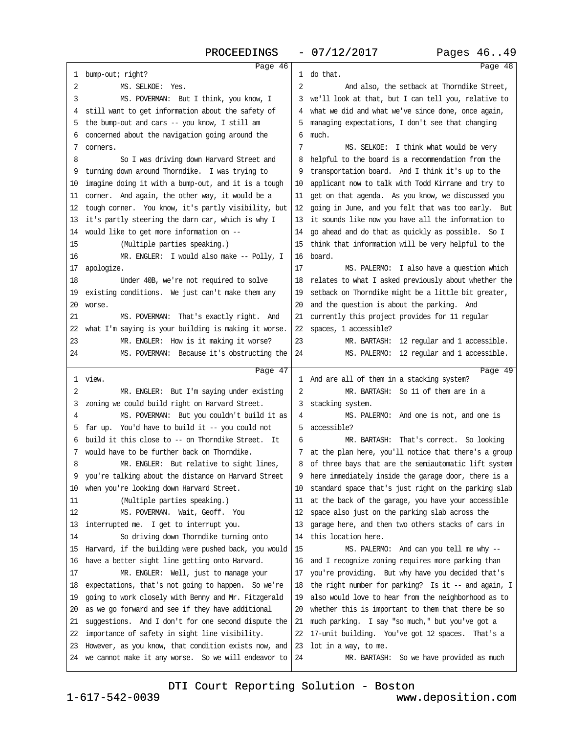<span id="page-12-0"></span>

| Page 46                                                                                                           |                                                                           | Page 48 |
|-------------------------------------------------------------------------------------------------------------------|---------------------------------------------------------------------------|---------|
| 1 bump-out; right?                                                                                                | 1 do that.                                                                |         |
| MS. SELKOE: Yes.<br>2                                                                                             | 2<br>And also, the setback at Thorndike Street,                           |         |
| 3<br>MS. POVERMAN: But I think, you know, I                                                                       | 3 we'll look at that, but I can tell you, relative to                     |         |
| 4 still want to get information about the safety of                                                               | 4 what we did and what we've since done, once again,                      |         |
| 5 the bump-out and cars -- you know, I still am                                                                   | 5 managing expectations, I don't see that changing                        |         |
| 6 concerned about the navigation going around the                                                                 | 6 much.                                                                   |         |
| 7 comers.                                                                                                         | 7<br>MS. SELKOE: I think what would be very                               |         |
| 8<br>So I was driving down Harvard Street and                                                                     | 8 helpful to the board is a recommendation from the                       |         |
| 9 turning down around Thorndike. I was trying to                                                                  | 9 transportation board. And I think it's up to the                        |         |
| 10 imagine doing it with a bump-out, and it is a tough                                                            | 10 applicant now to talk with Todd Kirrane and try to                     |         |
| 11 corner. And again, the other way, it would be a                                                                | 11 get on that agenda. As you know, we discussed you                      |         |
| 12 tough comer. You know, it's partly visibility, but                                                             | 12 going in June, and you felt that was too early. But                    |         |
| 13 it's partly steering the dam car, which is why I                                                               | 13 it sounds like now you have all the information to                     |         |
| 14 would like to get more information on --                                                                       | 14 go ahead and do that as quickly as possible. So I                      |         |
| 15<br>(Multiple parties speaking.)                                                                                | 15 think that information will be very helpful to the                     |         |
| MR. ENGLER: I would also make -- Polly, I<br>16                                                                   | 16 board.                                                                 |         |
| 17 apologize.                                                                                                     | 17<br>MS. PALERMO: I also have a question which                           |         |
| 18<br>Under 40B, we're not required to solve                                                                      | 18 relates to what I asked previously about whether the                   |         |
| 19 existing conditions. We just can't make them any                                                               | 19 setback on Thorndike might be a little bit greater,                    |         |
| 20 worse.                                                                                                         | 20 and the question is about the parking. And                             |         |
| 21<br>MS. POVERMAN: That's exactly right. And                                                                     | 21 currently this project provides for 11 regular                         |         |
| 22 what I'm saying is your building is making it worse.                                                           | 22 spaces, 1 accessible?                                                  |         |
| 23<br>MR. ENGLER: How is it making it worse?                                                                      | 23<br>MR. BARTASH: 12 regular and 1 accessible.                           |         |
| 24<br>MS. POVERMAN: Because it's obstructing the                                                                  | 24<br>MS. PALERMO: 12 regular and 1 accessible.                           |         |
|                                                                                                                   |                                                                           |         |
|                                                                                                                   |                                                                           |         |
| Page 47                                                                                                           |                                                                           | Page 49 |
| 1 view.                                                                                                           | 1 And are all of them in a stacking system?                               |         |
| 2<br>MR. ENGLER: But I'm saying under existing                                                                    | $\overline{2}$<br>MR. BARTASH: So 11 of them are in a                     |         |
| 3 zoning we could build right on Harvard Street.                                                                  | 3 stacking system.                                                        |         |
| MS. POVERMAN: But you couldn't build it as<br>4                                                                   | MS. PALERMO: And one is not, and one is<br>4                              |         |
| 5 far up. You'd have to build it -- you could not                                                                 | 5 accessible?                                                             |         |
| 6 build it this close to -- on Thorndike Street. It                                                               | 6<br>MR. BARTASH: That's correct. So looking                              |         |
| 7 would have to be further back on Thorndike.                                                                     | 7 at the plan here, you'll notice that there's a group                    |         |
| MR. ENGLER: But relative to sight lines,<br>8                                                                     | 8 of three bays that are the semiautomatic lift system                    |         |
| 9 you're talking about the distance on Harvard Street                                                             | 9 here immediately inside the garage door, there is a                     |         |
| 10 when you're looking down Harvard Street.                                                                       | 10 standard space that's just right on the parking slab                   |         |
| 11<br>(Multiple parties speaking.)                                                                                | 11 at the back of the garage, you have your accessible                    |         |
| 12<br>MS. POVERMAN. Wait, Geoff. You                                                                              | 12 space also just on the parking slab across the                         |         |
| 13 interrupted me. I get to interrupt you.                                                                        | 13 garage here, and then two others stacks of cars in                     |         |
| 14<br>So driving down Thorndike turning onto                                                                      | 14 this location here.                                                    |         |
| 15 Harvard, if the building were pushed back, you would                                                           | 15<br>MS. PALERMO: And can you tell me why --                             |         |
| 16 have a better sight line getting onto Harvard.                                                                 | 16 and I recognize zoning requires more parking than                      |         |
| MR. ENGLER: Well, just to manage your<br>17                                                                       | 17 you're providing. But why have you decided that's                      |         |
| 18 expectations, that's not going to happen. So we're                                                             | 18 the right number for parking? Is it -- and again, I                    |         |
| 19 going to work closely with Benny and Mr. Fitzgerald                                                            | 19 also would love to hear from the neighborhood as to                    |         |
| 20 as we go forward and see if they have additional                                                               | 20 whether this is important to them that there be so                     |         |
| 21 suggestions. And I don't for one second dispute the                                                            | 21 much parking. I say "so much," but you've got a                        |         |
| 22 importance of safety in sight line visibility.                                                                 | 22 17-unit building. You've got 12 spaces. That's a                       |         |
| 23 However, as you know, that condition exists now, and<br>24 we cannot make it any worse. So we will endeavor to | 23 lot in a way, to me.<br>24<br>MR. BARTASH: So we have provided as much |         |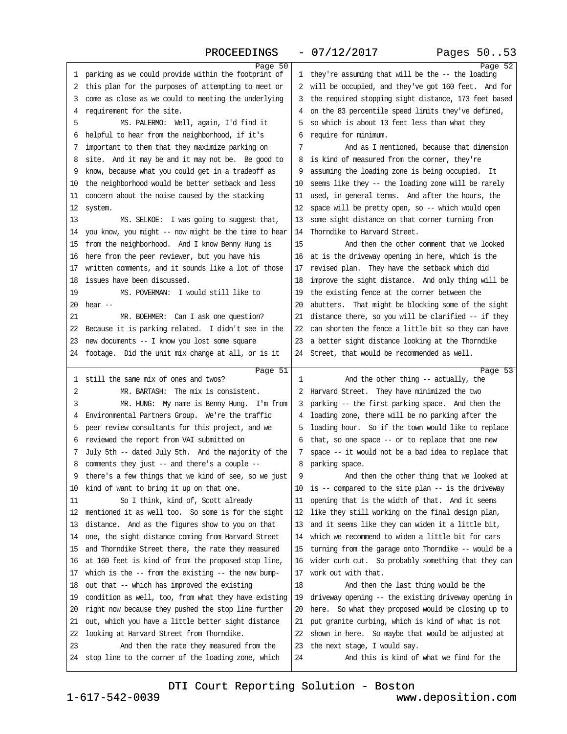### PROCEEDINGS - 07/12/2017 Pages 50..53

<span id="page-13-0"></span>

| Page 50<br>1 parking as we could provide within the footprint of                              | Page 52<br>1 they're assuming that will be the -- the loading                                                    |
|-----------------------------------------------------------------------------------------------|------------------------------------------------------------------------------------------------------------------|
| 2 this plan for the purposes of attempting to meet or                                         | 2 will be occupied, and they've got 160 feet. And for                                                            |
| 3 come as close as we could to meeting the underlying                                         | 3 the required stopping sight distance, 173 feet based                                                           |
| 4 requirement for the site.                                                                   | 4 on the 83 percentile speed limits they've defined,                                                             |
| MS. PALERMO: Well, again, I'd find it<br>5                                                    | 5 so which is about 13 feet less than what they                                                                  |
| 6 helpful to hear from the neighborhood, if it's                                              | 6 require for minimum.                                                                                           |
| 7 important to them that they maximize parking on                                             | And as I mentioned, because that dimension<br>7                                                                  |
| 8 site. And it may be and it may not be. Be good to                                           | 8 is kind of measured from the corner, they're                                                                   |
| 9 know, because what you could get in a tradeoff as                                           | 9 assuming the loading zone is being occupied. It                                                                |
| 10 the neighborhood would be better setback and less                                          | 10 seems like they -- the loading zone will be rarely                                                            |
| 11 concern about the noise caused by the stacking                                             | 11 used, in general terms. And after the hours, the                                                              |
| 12 system.                                                                                    | 12 space will be pretty open, so -- which would open                                                             |
| 13<br>MS. SELKOE: I was going to suggest that,                                                | 13 some sight distance on that corner turning from                                                               |
| 14 you know, you might -- now might be the time to hear                                       | 14 Thorndike to Harvard Street.                                                                                  |
| 15 from the neighborhood. And I know Benny Hung is                                            | And then the other comment that we looked<br>15                                                                  |
| 16 here from the peer reviewer, but you have his                                              | 16 at is the driveway opening in here, which is the                                                              |
| 17 written comments, and it sounds like a lot of those                                        | 17 revised plan. They have the setback which did                                                                 |
| 18 issues have been discussed.                                                                | 18 improve the sight distance. And only thing will be                                                            |
| MS. POVERMAN: I would still like to<br>19                                                     | 19 the existing fence at the corner between the                                                                  |
| $20$ hear $-$                                                                                 | 20 abutters. That might be blocking some of the sight                                                            |
| 21                                                                                            |                                                                                                                  |
| MR. BOEHMER: Can I ask one question?<br>22 Because it is parking related. I didn't see in the | 21 distance there, so you will be clarified -- if they<br>22 can shorten the fence a little bit so they can have |
| 23 new documents -- I know you lost some square                                               | 23 a better sight distance looking at the Thorndike                                                              |
|                                                                                               |                                                                                                                  |
| 24 footage. Did the unit mix change at all, or is it                                          | 24 Street, that would be recommended as well.                                                                    |
| Page 51                                                                                       | Page 53                                                                                                          |
| 1 still the same mix of ones and twos?                                                        | And the other thing -- actually, the<br>1                                                                        |
| MR. BARTASH: The mix is consistent.<br>2                                                      | 2 Harvard Street. They have minimized the two                                                                    |
| 3<br>MR. HUNG: My name is Benny Hung. I'm from                                                | 3 parking -- the first parking space. And then the                                                               |
| 4 Environmental Partners Group. We're the traffic                                             | 4 loading zone, there will be no parking after the                                                               |
| peer review consultants for this project, and we<br>5                                         | 5 loading hour. So if the town would like to replace                                                             |
| 6 reviewed the report from VAI submitted on                                                   | 6 that, so one space -- or to replace that one new                                                               |
| 7 July 5th -- dated July 5th. And the majority of the                                         | 7 space -- it would not be a bad idea to replace that                                                            |
| 8 comments they just -- and there's a couple --                                               | 8 parking space.                                                                                                 |
| 9 there's a few things that we kind of see, so we just                                        | 9<br>And then the other thing that we looked at                                                                  |
| 10 kind of want to bring it up on that one.                                                   | 10 is -- compared to the site plan -- is the driveway                                                            |
| So I think, kind of, Scott already<br>11                                                      | 11 opening that is the width of that. And it seems                                                               |
| 12 mentioned it as well too. So some is for the sight                                         | 12 like they still working on the final design plan,                                                             |
| 13 distance. And as the figures show to you on that                                           | 13 and it seems like they can widen it a little bit,                                                             |
| 14 one, the sight distance coming from Harvard Street                                         | 14 which we recommend to widen a little bit for cars                                                             |
| 15 and Thorndike Street there, the rate they measured                                         | 15 turning from the garage onto Thorndike -- would be a                                                          |
| 16 at 160 feet is kind of from the proposed stop line,                                        | 16 wider curb cut. So probably something that they can                                                           |
| 17 which is the -- from the existing -- the new bump-                                         | 17 work out with that.                                                                                           |
| 18 out that -- which has improved the existing                                                | 18<br>And then the last thing would be the                                                                       |
| 19 condition as well, too, from what they have existing                                       | 19 driveway opening -- the existing driveway opening in                                                          |
| 20 right now because they pushed the stop line further                                        | 20 here. So what they proposed would be closing up to                                                            |
| 21 out, which you have a little better sight distance                                         | 21 put granite curbing, which is kind of what is not                                                             |
| 22 looking at Harvard Street from Thorndike.                                                  | 22 shown in here. So maybe that would be adjusted at                                                             |
| 23<br>And then the rate they measured from the                                                | 23 the next stage, I would say.                                                                                  |
| 24 stop line to the corner of the loading zone, which                                         | 24<br>And this is kind of what we find for the                                                                   |
|                                                                                               |                                                                                                                  |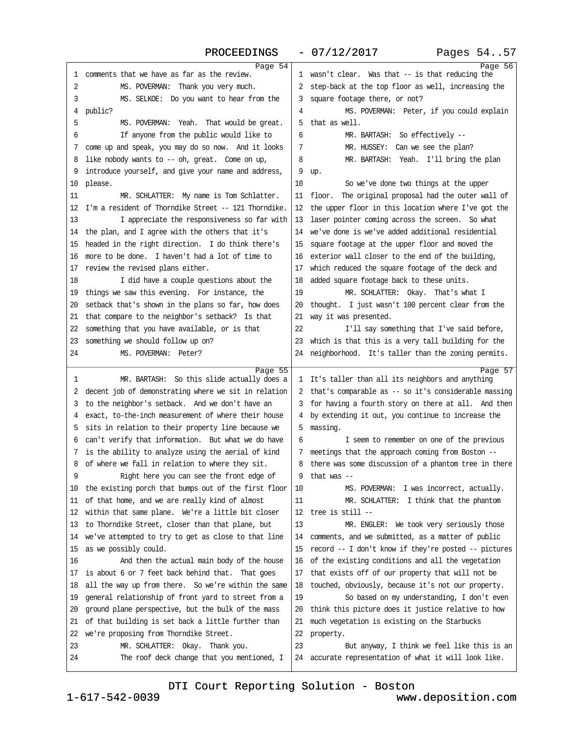### PROCEEDINGS - 07/12/2017 Pages 54..57

<span id="page-14-0"></span>

|                                                                                                            | Page 54                                                                                                      | Page 56 |
|------------------------------------------------------------------------------------------------------------|--------------------------------------------------------------------------------------------------------------|---------|
| 1 comments that we have as far as the review.                                                              | 1 wasn't clear. Was that -- is that reducing the                                                             |         |
| 2<br>MS. POVERMAN: Thank you very much.                                                                    | 2 step-back at the top floor as well, increasing the                                                         |         |
| 3<br>MS. SELKOE: Do you want to hear from the                                                              | 3 square footage there, or not?                                                                              |         |
| 4 public?                                                                                                  | MS. POVERMAN: Peter, if you could explain<br>4                                                               |         |
| 5<br>MS. POVERMAN: Yeah. That would be great.                                                              | 5 that as well.                                                                                              |         |
| If anyone from the public would like to<br>6                                                               | 6<br>MR. BARTASH: So effectively --                                                                          |         |
| 7 come up and speak, you may do so now. And it looks                                                       | 7<br>MR. HUSSEY: Can we see the plan?                                                                        |         |
| 8 like nobody wants to -- oh, great. Come on up,                                                           | MR. BARTASH: Yeah. I'll bring the plan<br>8                                                                  |         |
| 9 introduce yourself, and give your name and address,                                                      | 9 up.                                                                                                        |         |
| 10 please.                                                                                                 | 10<br>So we've done two things at the upper                                                                  |         |
| 11<br>MR. SCHLATTER: My name is Tom Schlatter.                                                             | 11 floor. The original proposal had the outer wall of                                                        |         |
| 12 I'm a resident of Thorndike Street -- 121 Thorndike.                                                    | 12 the upper floor in this location where I've got the                                                       |         |
| 13<br>I appreciate the responsiveness so far with                                                          | 13 laser pointer coming across the screen. So what                                                           |         |
| 14 the plan, and I agree with the others that it's                                                         | 14 we've done is we've added additional residential                                                          |         |
| 15 headed in the right direction. I do think there's                                                       | 15 square footage at the upper floor and moved the                                                           |         |
| 16 more to be done. I haven't had a lot of time to                                                         | 16 exterior wall closer to the end of the building,                                                          |         |
| 17 review the revised plans either.                                                                        | 17 which reduced the square footage of the deck and                                                          |         |
| 18<br>I did have a couple questions about the                                                              | 18 added square footage back to these units.                                                                 |         |
| 19 things we saw this evening. For instance, the                                                           | 19<br>MR. SCHLATTER: Okay. That's what I                                                                     |         |
| 20 setback that's shown in the plans so far, how does                                                      | 20 thought. I just wasn't 100 percent clear from the                                                         |         |
| 21 that compare to the neighbor's setback? Is that                                                         | 21 way it was presented.                                                                                     |         |
| 22 something that you have available, or is that                                                           | 22<br>I'll say something that I've said before,                                                              |         |
| 23 something we should follow up on?                                                                       | 23 which is that this is a very tall building for the                                                        |         |
| 24<br>MS. POVERMAN: Peter?                                                                                 | 24 neighborhood. It's taller than the zoning permits.                                                        |         |
|                                                                                                            |                                                                                                              |         |
|                                                                                                            | Page 55                                                                                                      | Page 57 |
| 1<br>MR. BARTASH: So this slide actually does a                                                            | 1 It's taller than all its neighbors and anything                                                            |         |
| 2 decent job of demonstrating where we sit in relation                                                     | 2 that's comparable as -- so it's considerable massing                                                       |         |
| 3 to the neighbor's setback. And we don't have an<br>4 exact, to-the-inch measurement of where their house | 3 for having a fourth story on there at all. And then<br>4 by extending it out, you continue to increase the |         |
| 5 sits in relation to their property line because we                                                       | 5 massing.                                                                                                   |         |
| 6 can't verify that information. But what we do have                                                       | 6                                                                                                            |         |
| 7 is the ability to analyze using the aerial of kind                                                       | I seem to remember on one of the previous<br>7 meetings that the approach coming from Boston --              |         |
|                                                                                                            | 8 there was some discussion of a phantom tree in there                                                       |         |
| 8 of where we fall in relation to where they sit.                                                          |                                                                                                              |         |
| Right here you can see the front edge of<br>9                                                              | 9 that was --                                                                                                |         |
| 10 the existing porch that bumps out of the first floor                                                    | 10<br>MS. POVERMAN: I was incorrect, actually.                                                               |         |
| 11 of that home, and we are really kind of almost                                                          | 11<br>MR. SCHLATTER: I think that the phantom                                                                |         |
| 12 within that same plane. We're a little bit closer                                                       | 12 tree is still $-$                                                                                         |         |
| 13 to Thorndike Street, closer than that plane, but                                                        | 13<br>MR. ENGLER: We took very seriously those                                                               |         |
| 14 we've attempted to try to get as close to that line                                                     | 14 comments, and we submitted, as a matter of public                                                         |         |
| 15 as we possibly could.                                                                                   | 15 record -- I don't know if they're posted -- pictures                                                      |         |
| 16<br>And then the actual main body of the house                                                           | 16 of the existing conditions and all the vegetation                                                         |         |
| 17 is about 6 or 7 feet back behind that. That goes                                                        | 17 that exists off of our property that will not be                                                          |         |
| 18 all the way up from there. So we're within the same                                                     | 18 touched, obviously, because it's not our property.                                                        |         |
| 19 general relationship of front yard to street from a                                                     | 19<br>So based on my understanding, I don't even                                                             |         |
| 20 ground plane perspective, but the bulk of the mass                                                      | 20 think this picture does it justice relative to how                                                        |         |
| 21 of that building is set back a little further than                                                      | 21 much vegetation is existing on the Starbucks                                                              |         |
| 22 we're proposing from Thorndike Street.                                                                  | 22 property.                                                                                                 |         |
| 23<br>MR. SCHLATTER: Okay. Thank you.                                                                      | 23<br>But anyway, I think we feel like this is an                                                            |         |
| 24<br>The roof deck change that you mentioned, I                                                           | 24 accurate representation of what it will look like.                                                        |         |
|                                                                                                            |                                                                                                              |         |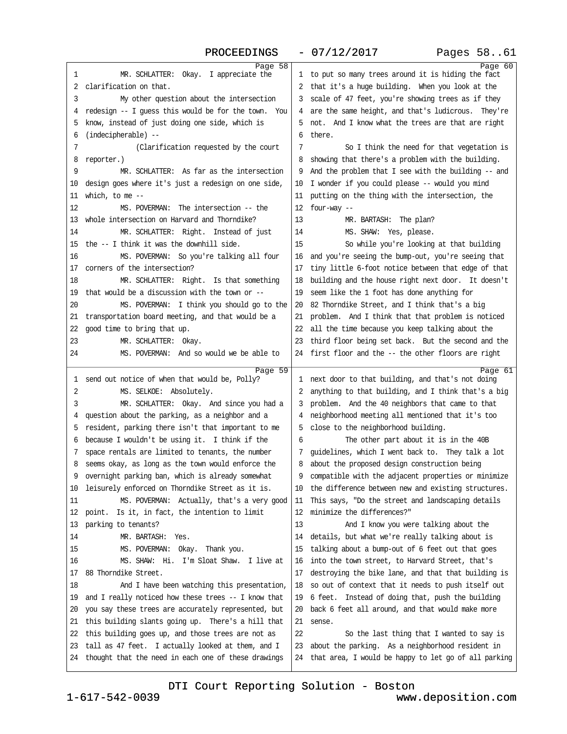### PROCEEDINGS - 07/12/2017 Pages 58..61

<span id="page-15-0"></span>

| 1<br>MR. SCHLATTER: Okay. I appreciate the                | Page 58 | 1 to put so many trees around it is hiding the fact     | Page 60 |
|-----------------------------------------------------------|---------|---------------------------------------------------------|---------|
| 2 clarification on that.                                  |         | 2 that it's a huge building. When you look at the       |         |
| 3<br>My other question about the intersection             |         | 3 scale of 47 feet, you're showing trees as if they     |         |
| 4 redesign -- I guess this would be for the town. You     |         | 4 are the same height, and that's ludicrous. They're    |         |
| 5 know, instead of just doing one side, which is          |         | 5 not. And I know what the trees are that are right     |         |
| 6 (indecipherable) -                                      |         | 6 there.                                                |         |
| 7<br>(Clarification requested by the court                |         | 7<br>So I think the need for that vegetation is         |         |
|                                                           |         | 8 showing that there's a problem with the building.     |         |
| 8 reporter.)<br>MR. SCHLATTER: As far as the intersection |         | 9 And the problem that I see with the building -- and   |         |
| 9                                                         |         |                                                         |         |
| 10 design goes where it's just a redesign on one side,    |         | 10 I wonder if you could please -- would you mind       |         |
| 11 which, to me --                                        |         | 11 putting on the thing with the intersection, the      |         |
| 12<br>MS. POVERMAN: The intersection -- the               |         | 12 four-way -                                           |         |
| 13 whole intersection on Harvard and Thorndike?           |         | MR. BARTASH: The plan?<br>13                            |         |
| MR. SCHLATTER: Right. Instead of just<br>14               |         | MS. SHAW: Yes, please.<br>14                            |         |
| 15 the -- I think it was the downhill side.               |         | So while you're looking at that building<br>15          |         |
| 16<br>MS. POVERMAN: So you're talking all four            |         | 16 and you're seeing the bump-out, you're seeing that   |         |
| 17 comers of the intersection?                            |         | 17 tiny little 6-foot notice between that edge of that  |         |
| 18<br>MR. SCHLATTER: Right. Is that something             |         | 18 building and the house right next door. It doesn't   |         |
| 19 that would be a discussion with the town or --         |         | 19 seem like the 1 foot has done anything for           |         |
| MS. POVERMAN: I think you should go to the<br>20          |         | 20 82 Thorndike Street, and I think that's a big        |         |
| 21 transportation board meeting, and that would be a      |         | 21 problem. And I think that that problem is noticed    |         |
| 22 good time to bring that up.                            |         | 22 all the time because you keep talking about the      |         |
| 23<br>MR. SCHLATTER: Okay.                                |         | 23 third floor being set back. But the second and the   |         |
| MS. POVERMAN: And so would we be able to<br>24            |         | 24 first floor and the -- the other floors are right    |         |
|                                                           | Page 59 |                                                         | Page 61 |
| 1 send out notice of when that would be, Polly?           |         | 1 next door to that building, and that's not doing      |         |
| MS. SELKOE: Absolutely.<br>2                              |         | 2 anything to that building, and I think that's a big   |         |
| 3<br>MR. SCHLATTER: Okay. And since you had a             |         | 3 problem. And the 40 neighbors that came to that       |         |
| 4 question about the parking, as a neighbor and a         |         | 4 neighborhood meeting all mentioned that it's too      |         |
| 5 resident, parking there isn't that important to me      |         | 5 close to the neighborhood building.                   |         |
| 6 because I wouldn't be using it. I think if the          |         | The other part about it is in the 40B<br>6              |         |
| 7 space rentals are limited to tenants, the number        |         | 7 guidelines, which I went back to. They talk a lot     |         |
| 8 seems okay, as long as the town would enforce the       |         | 8 about the proposed design construction being          |         |
| 9 overnight parking ban, which is already somewhat        |         | 9 compatible with the adjacent properties or minimize   |         |
| 10 leisurely enforced on Thorndike Street as it is.       |         | 10 the difference between new and existing structures.  |         |
| MS. POVERMAN: Actually, that's a very good<br>11          |         | 11 This says, "Do the street and landscaping details    |         |
| 12 point. Is it, in fact, the intention to limit          |         | 12 minimize the differences?"                           |         |
| 13 parking to tenants?                                    |         | 13<br>And I know you were talking about the             |         |
| MR. BARTASH: Yes.<br>14                                   |         | 14 details, but what we're really talking about is      |         |
| MS. POVERMAN: Okay. Thank you.<br>15                      |         | 15 talking about a bump-out of 6 feet out that goes     |         |
| MS. SHAW: Hi. I'm Sloat Shaw. I live at<br>16             |         | 16 into the town street, to Harvard Street, that's      |         |
| 17 88 Thorndike Street.                                   |         | 17 destroying the bike lane, and that that building is  |         |
| 18<br>And I have been watching this presentation,         |         | 18 so out of context that it needs to push itself out   |         |
| 19 and I really noticed how these trees -- I know that    |         | 19 6 feet. Instead of doing that, push the building     |         |
| 20 you say these trees are accurately represented, but    |         | 20 back 6 feet all around, and that would make more     |         |
| 21 this building slants going up. There's a hill that     |         | 21 sense.                                               |         |
| 22 this building goes up, and those trees are not as      |         | 22<br>So the last thing that I wanted to say is         |         |
| 23 tall as 47 feet. I actually looked at them, and I      |         |                                                         |         |
|                                                           |         | 23 about the parking. As a neighborhood resident in     |         |
| 24 thought that the need in each one of these drawings    |         | 24 that area, I would be happy to let go of all parking |         |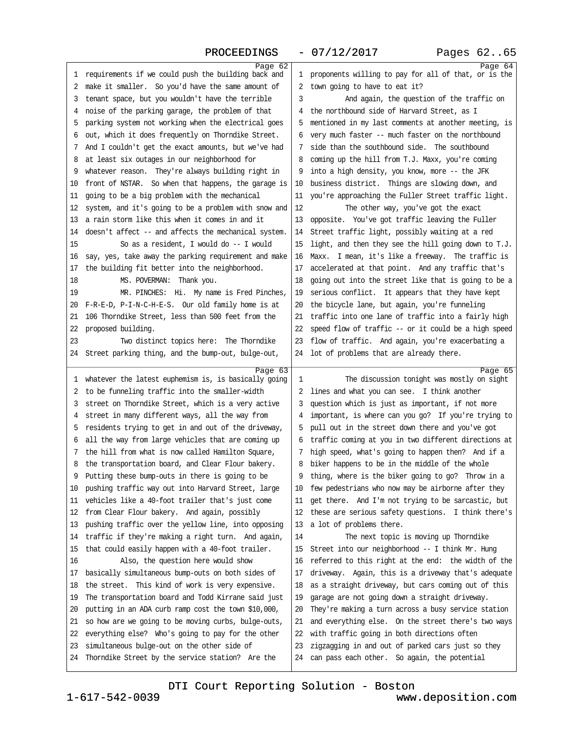## $PROCFEDINGS - 07/12/2017$

<span id="page-16-0"></span>

| 100 <del>000011</del>                                            | 0 <i>1 1 1 2 1 2</i> 0 2 <i>1</i>                       | rageb vaos |
|------------------------------------------------------------------|---------------------------------------------------------|------------|
| Page 62<br>1 requirements if we could push the building back and | 1 proponents willing to pay for all of that, or is the  | Page 64    |
| 2 make it smaller. So you'd have the same amount of              | 2 town going to have to eat it?                         |            |
| 3 tenant space, but you wouldn't have the terrible               | And again, the question of the traffic on<br>3          |            |
| 4 noise of the parking garage, the problem of that               | 4 the northbound side of Harvard Street, as I           |            |
|                                                                  | 5 mentioned in my last comments at another meeting, is  |            |
| 5 parking system not working when the electrical goes            |                                                         |            |
| 6 out, which it does frequently on Thomdike Street.              | 6 very much faster -- much faster on the northbound     |            |
| 7 And I couldn't get the exact amounts, but we've had            | 7 side than the southbound side. The southbound         |            |
| 8 at least six outages in our neighborhood for                   | 8 coming up the hill from T.J. Maxx, you're coming      |            |
| 9 whatever reason. They're always building right in              | 9 into a high density, you know, more -- the JFK        |            |
| 10 front of NSTAR. So when that happens, the garage is           | 10 business district. Things are slowing down, and      |            |
| 11 going to be a big problem with the mechanical                 | 11 you're approaching the Fuller Street traffic light.  |            |
| 12 system, and it's going to be a problem with snow and          | 12<br>The other way, you've got the exact               |            |
| 13 a rain storm like this when it comes in and it                | 13 opposite. You've got traffic leaving the Fuller      |            |
| 14 doesn't affect -- and affects the mechanical system.          | 14 Street traffic light, possibly waiting at a red      |            |
| 15<br>So as a resident, I would do -- I would                    | 15 light, and then they see the hill going down to T.J. |            |
| 16 say, yes, take away the parking requirement and make          | 16 Maxx. I mean, it's like a freeway. The traffic is    |            |
| 17 the building fit better into the neighborhood.                | 17 accelerated at that point. And any traffic that's    |            |
| 18<br>MS. POVERMAN: Thank you.                                   | 18 going out into the street like that is going to be a |            |
| 19<br>MR. PINCHES: Hi. My name is Fred Pinches,                  | 19 serious conflict. It appears that they have kept     |            |
| 20 F-R-E-D, P-I-N-C-H-E-S. Our old family home is at             | 20 the bicycle lane, but again, you're funneling        |            |
| 21 106 Thorndike Street, less than 500 feet from the             | 21 traffic into one lane of traffic into a fairly high  |            |
| 22 proposed building.                                            | 22 speed flow of traffic -- or it could be a high speed |            |
| 23<br>Two distinct topics here: The Thorndike                    | 23 flow of traffic. And again, you're exacerbating a    |            |
| 24 Street parking thing, and the bump-out, bulge-out,            | 24 lot of problems that are already there.              |            |
| Page 63                                                          |                                                         | Page 65    |
| 1 whatever the latest euphemism is, is basically going           | The discussion tonight was mostly on sight<br>1         |            |
| 2 to be funneling traffic into the smaller-width                 | 2 lines and what you can see. I think another           |            |
| 3 street on Thorndike Street, which is a very active             | 3 question which is just as important, if not more      |            |
| 4 street in many different ways, all the way from                | 4 important, is where can you go? If you're trying to   |            |
| 5 residents trying to get in and out of the driveway,            | 5 pull out in the street down there and you've got      |            |
| 6 all the way from large vehicles that are coming up             | 6 traffic coming at you in two different directions at  |            |
| 7 the hill from what is now called Hamilton Square,              | 7 high speed, what's going to happen then? And if a     |            |
| 8 the transportation board, and Clear Flour bakery.              | 8 biker happens to be in the middle of the whole        |            |
| 9 Putting these bump-outs in there is going to be                | 9 thing, where is the biker going to go? Throw in a     |            |
| 10 pushing traffic way out into Harvard Street, large            | 10 few pedestrians who now may be airborne after they   |            |
| 11 vehicles like a 40-foot trailer that's just come              | 11 get there. And I'm not trying to be sarcastic, but   |            |
| 12 from Clear Flour bakery. And again, possibly                  | 12 these are serious safety questions. I think there's  |            |
| 13 pushing traffic over the yellow line, into opposing           | 13 a lot of problems there.                             |            |
| 14 traffic if they're making a right tum. And again,             | The next topic is moving up Thomdike<br>14              |            |
| 15 that could easily happen with a 40-foot trailer.              | 15 Street into our neighborhood -- I think Mr. Hung     |            |
| Also, the question here would show<br>16                         | 16 referred to this right at the end: the width of the  |            |
| 17 basically simultaneous bump-outs on both sides of             | 17 driveway. Again, this is a driveway that's adequate  |            |
| 18 the street. This kind of work is very expensive.              | 18 as a straight driveway, but cars coming out of this  |            |
| 19 The transportation board and Todd Kirrane said just           | 19 garage are not going down a straight driveway.       |            |
| 20 putting in an ADA curb ramp cost the town \$10,000,           | 20 They're making a turn across a busy service station  |            |
| 21 so how are we going to be moving curbs, bulge-outs,           | 21 and everything else. On the street there's two ways  |            |
| 22 everything else? Who's going to pay for the other             | 22 with traffic going in both directions often          |            |
| 23 simultaneous bulge-out on the other side of                   | 23 zigzagging in and out of parked cars just so they    |            |
| 24 Thorndike Street by the service station? Are the              | 24 can pass each other. So again, the potential         |            |
|                                                                  |                                                         |            |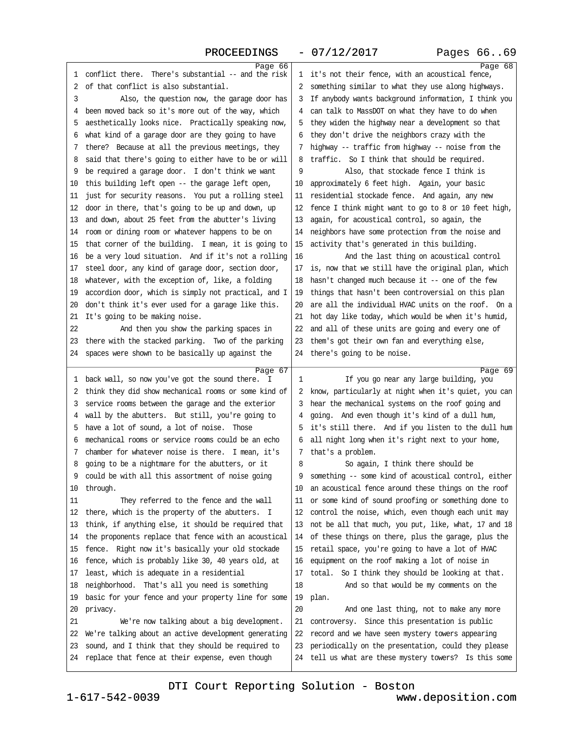### PROCEEDINGS - 07/12/2017 Pages 66..69

<span id="page-17-0"></span>

| Page 66                                                 |                                                         | Page 68 |
|---------------------------------------------------------|---------------------------------------------------------|---------|
| 1 conflict there. There's substantial -- and the risk   | 1 it's not their fence, with an acoustical fence,       |         |
| 2 of that conflict is also substantial.                 | 2 something similar to what they use along highways.    |         |
| 3<br>Also, the question now, the garage door has        | 3 If anybody wants background information, I think you  |         |
| 4 been moved back so it's more out of the way, which    | 4 can talk to MassDOT on what they have to do when      |         |
| 5 aesthetically looks nice. Practically speaking now,   | 5 they widen the highway near a development so that     |         |
| 6 what kind of a garage door are they going to have     | 6 they don't drive the neighbors crazy with the         |         |
| 7 there? Because at all the previous meetings, they     | 7 highway -- traffic from highway -- noise from the     |         |
| 8 said that there's going to either have to be or will  | 8 traffic. So I think that should be required.          |         |
| 9 be required a garage door. I don't think we want      | 9<br>Also, that stockade fence I think is               |         |
| 10 this building left open -- the garage left open,     | 10 approximately 6 feet high. Again, your basic         |         |
| 11 just for security reasons. You put a rolling steel   | 11 residential stockade fence. And again, any new       |         |
| 12 door in there, that's going to be up and down, up    | 12 fence I think might want to go to 8 or 10 feet high, |         |
| 13 and down, about 25 feet from the abutter's living    | 13 again, for acoustical control, so again, the         |         |
| 14 room or dining room or whatever happens to be on     | 14 neighbors have some protection from the noise and    |         |
| 15 that corner of the building. I mean, it is going to  | 15 activity that's generated in this building.          |         |
| 16 be a very loud situation. And if it's not a rolling  | 16<br>And the last thing on acoustical control          |         |
| 17 steel door, any kind of garage door, section door,   | 17 is, now that we still have the original plan, which  |         |
| 18 whatever, with the exception of, like, a folding     | 18 hasn't changed much because it - one of the few      |         |
| 19 accordion door, which is simply not practical, and I | 19 things that hasn't been controversial on this plan   |         |
| 20 don't think it's ever used for a garage like this.   | 20 are all the individual HVAC units on the roof. On a  |         |
| 21 It's going to be making noise.                       | 21 hot day like today, which would be when it's humid,  |         |
| 22<br>And then you show the parking spaces in           | 22 and all of these units are going and every one of    |         |
| 23 there with the stacked parking. Two of the parking   | 23 them's got their own fan and everything else,        |         |
| 24 spaces were shown to be basically up against the     | 24 there's going to be noise.                           |         |
| Page 67                                                 |                                                         | Page 69 |
| 1 back wall, so now you've got the sound there. I       | If you go near any large building, you<br>1             |         |
| 2 think they did show mechanical rooms or some kind of  | 2 know, particularly at night when it's quiet, you can  |         |
| 3 service rooms between the garage and the exterior     | 3 hear the mechanical systems on the roof going and     |         |
| 4 wall by the abutters. But still, you're going to      | 4 going. And even though it's kind of a dull hum,       |         |
| 5 have a lot of sound, a lot of noise. Those            | 5 it's still there. And if you listen to the dull hum   |         |
| 6 mechanical rooms or service rooms could be an echo    | 6 all night long when it's right next to your home,     |         |
| 7 chamber for whatever noise is there. I mean, it's     | 7 that's a problem.                                     |         |
|                                                         |                                                         |         |
| 8 going to be a nightmare for the abutters, or it       | 8<br>So again, I think there should be                  |         |
| 9 could be with all this assortment of noise going      | 9 something -- some kind of acoustical control, either  |         |
| 10 through.                                             | 10 an acoustical fence around these things on the roof  |         |
| They referred to the fence and the wall<br>11           | 11 or some kind of sound proofing or something done to  |         |
| 12 there, which is the property of the abutters. I      | 12 control the noise, which, even though each unit may  |         |
| 13 think, if anything else, it should be required that  | 13 not be all that much, you put, like, what, 17 and 18 |         |
| 14 the proponents replace that fence with an acoustical | 14 of these things on there, plus the garage, plus the  |         |
| 15 fence. Right now it's basically your old stockade    | 15 retail space, you're going to have a lot of HVAC     |         |
| 16 fence, which is probably like 30, 40 years old, at   | 16 equipment on the roof making a lot of noise in       |         |
| 17 least, which is adequate in a residential            | 17 total. So I think they should be looking at that.    |         |
| 18 neighborhood. That's all you need is something       | 18<br>And so that would be my comments on the           |         |
| 19 basic for your fence and your property line for some | 19 plan.                                                |         |
| 20 privacy.                                             | 20<br>And one last thing, not to make any more          |         |
| 21<br>We're now talking about a big development.        | 21 controversy. Since this presentation is public       |         |
| 22 We're talking about an active development generating | 22 record and we have seen mystery towers appearing     |         |
| 23 sound, and I think that they should be required to   | 23 periodically on the presentation, could they please  |         |
| 24 replace that fence at their expense, even though     | 24 tell us what are these mystery towers? Is this some  |         |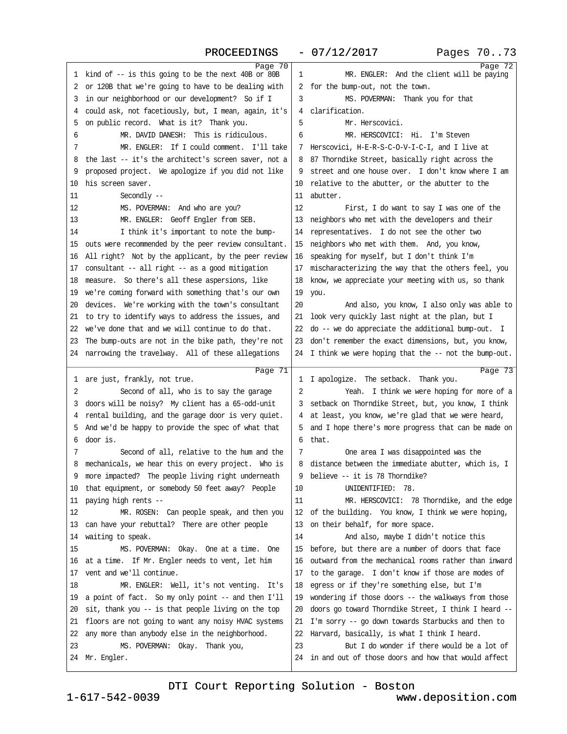PROCEEDINGS - 07/12/2017 Pages 70..73

<span id="page-18-0"></span>

| Page 70                                                                                                     |                                                                                              | Page 72 |
|-------------------------------------------------------------------------------------------------------------|----------------------------------------------------------------------------------------------|---------|
| 1 kind of -- is this going to be the next 40B or 80B                                                        | 1<br>MR. ENGLER: And the client will be paying                                               |         |
| 2 or 120B that we're going to have to be dealing with                                                       | 2 for the bump-out, not the town.                                                            |         |
| 3 in our neighborhood or our development? So if I                                                           | 3<br>MS. POVERMAN: Thank you for that                                                        |         |
| 4 could ask, not facetiously, but, I mean, again, it's                                                      | 4 clarification.                                                                             |         |
| 5 on public record. What is it? Thank you.                                                                  | 5<br>Mr. Herscovici.                                                                         |         |
| MR. DAVID DANESH: This is ridiculous.<br>6                                                                  | MR. HERSCOVICI: Hi. I'm Steven<br>6                                                          |         |
| MR. ENGLER: If I could comment. I'll take<br>7                                                              | 7 Herscovici, H-E-R-S-C-O-V-I-C-I, and I live at                                             |         |
| 8 the last -- it's the architect's screen saver, not a                                                      | 8 87 Thomdike Street, basically right across the                                             |         |
| 9 proposed project. We apologize if you did not like                                                        | 9 street and one house over. I don't know where I am                                         |         |
| 10 his screen saver.                                                                                        | 10 relative to the abutter, or the abutter to the                                            |         |
| Secondly-<br>11                                                                                             | 11 abutter.                                                                                  |         |
| 12<br>MS. POVERMAN: And who are you?                                                                        | 12<br>First, I do want to say I was one of the                                               |         |
| MR. ENGLER: Geoff Engler from SEB.<br>13                                                                    | 13 neighbors who met with the developers and their                                           |         |
| I think it's important to note the bump-<br>14                                                              | 14 representatives. I do not see the other two                                               |         |
| 15 outs were recommended by the peer review consultant.                                                     | 15 neighbors who met with them. And, you know,                                               |         |
| 16 All right? Not by the applicant, by the peer review                                                      | 16 speaking for myself, but I don't think I'm                                                |         |
| 17 consultant -- all right -- as a good mitigation                                                          | 17 mischaracterizing the way that the others feel, you                                       |         |
| 18 measure. So there's all these aspersions, like                                                           | 18 know, we appreciate your meeting with us, so thank                                        |         |
| 19 we're coming forward with something that's our own                                                       | 19 you.                                                                                      |         |
| 20 devices. We're working with the town's consultant                                                        | And also, you know, I also only was able to<br>20                                            |         |
| 21 to try to identify ways to address the issues, and                                                       | 21 look very quickly last night at the plan, but I                                           |         |
| 22 we've done that and we will continue to do that.                                                         | 22 do - we do appreciate the additional bump-out. I                                          |         |
| 23 The bump-outs are not in the bike path, they're not                                                      | 23 don't remember the exact dimensions, but, you know,                                       |         |
| 24 narrowing the travelway. All of these allegations                                                        | 24 I think we were hoping that the -- not the bump-out.                                      |         |
|                                                                                                             |                                                                                              |         |
|                                                                                                             |                                                                                              |         |
| Page 71                                                                                                     |                                                                                              | Page 73 |
| 1 are just, frankly, not true.                                                                              | 1 I apologize. The setback. Thank you.                                                       |         |
| Second of all, who is to say the garage<br>2                                                                | 2<br>Yeah. I think we were hoping for more of a                                              |         |
| 3 doors will be noisy? My client has a 65-odd-unit                                                          | 3 setback on Thorndike Street, but, you know, I think                                        |         |
| 4 rental building, and the garage door is very quiet.                                                       | 4 at least, you know, we're glad that we were heard,                                         |         |
| 5 And we'd be happy to provide the spec of what that<br>6 door is.                                          | 5 and I hope there's more progress that can be made on<br>6 that.                            |         |
| 7                                                                                                           | 7                                                                                            |         |
| Second of all, relative to the hum and the                                                                  | One area I was disappointed was the<br>8 distance between the immediate abutter, which is, I |         |
| 8 mechanicals, we hear this on every project. Who is<br>9 more impacted? The people living right underneath |                                                                                              |         |
|                                                                                                             | 9 believe -- it is 78 Thorndike?<br>UNIDENTIFIED: 78.<br>10                                  |         |
| 10 that equipment, or somebody 50 feet away? People<br>11 paying high rents --                              | MR. HERSCOVICI: 78 Thorndike, and the edge<br>11                                             |         |
| MR. ROSEN: Can people speak, and then you<br>12                                                             | 12 of the building. You know, I think we were hoping,                                        |         |
| 13 can have your rebuttal? There are other people                                                           | 13 on their behalf, for more space.                                                          |         |
| 14 waiting to speak.                                                                                        | 14<br>And also, maybe I didn't notice this                                                   |         |
| 15<br>MS. POVERMAN: Okay. One at a time. One                                                                | 15 before, but there are a number of doors that face                                         |         |
| 16 at a time. If Mr. Engler needs to vent, let him                                                          | 16 outward from the mechanical rooms rather than inward                                      |         |
| 17 vent and we'll continue.                                                                                 | 17 to the garage. I don't know if those are modes of                                         |         |
| 18<br>MR. ENGLER: Well, it's not venting. It's                                                              | 18 egress or if they're something else, but I'm                                              |         |
| 19 a point of fact. So my only point -- and then I'll                                                       | 19 wondering if those doors -- the walkways from those                                       |         |
| 20 sit, thank you -- is that people living on the top                                                       | 20 doors go toward Thorndike Street, I think I heard --                                      |         |
| 21 floors are not going to want any noisy HVAC systems                                                      | 21 I'm sorry -- go down towards Starbucks and then to                                        |         |
| 22 any more than anybody else in the neighborhood.                                                          | 22 Harvard, basically, is what I think I heard.                                              |         |
| 23<br>MS. POVERMAN: Okay. Thank you,                                                                        | But I do wonder if there would be a lot of<br>23                                             |         |
| 24 Mr. Engler.                                                                                              | 24 in and out of those doors and how that would affect                                       |         |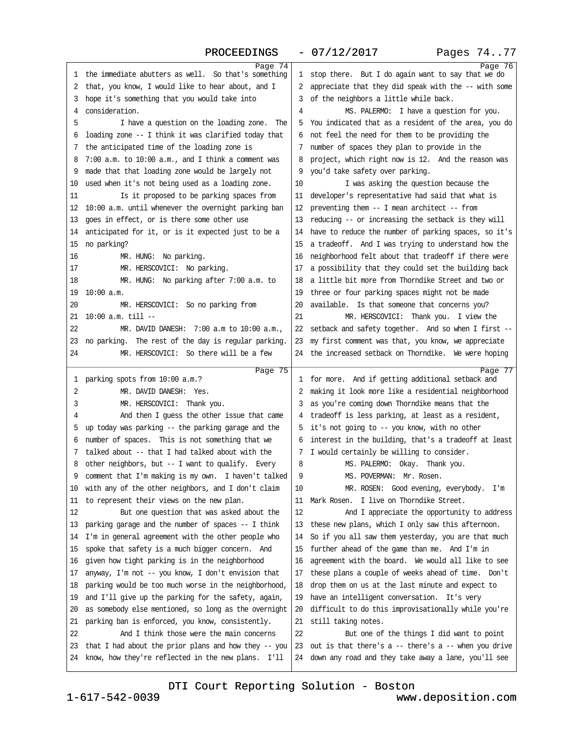### PROCEEDINGS - 07/12/2017 Pages 74..77

<span id="page-19-0"></span>

| Page 74                                                         |                                                                                                            | Page 76 |
|-----------------------------------------------------------------|------------------------------------------------------------------------------------------------------------|---------|
| 1 the immediate abutters as well. So that's something           | 1 stop there. But I do again want to say that we do                                                        |         |
| 2 that, you know, I would like to hear about, and I             | 2 appreciate that they did speak with the -- with some                                                     |         |
| 3 hope it's something that you would take into                  | 3 of the neighbors a little while back.                                                                    |         |
| 4 consideration.                                                | MS. PALERMO: I have a question for you.<br>4                                                               |         |
| 5<br>I have a question on the loading zone. The                 | 5 You indicated that as a resident of the area, you do                                                     |         |
| 6 loading zone -- I think it was clarified today that           | 6 not feel the need for them to be providing the                                                           |         |
| 7 the anticipated time of the loading zone is                   | 7 number of spaces they plan to provide in the                                                             |         |
| 8 7:00 a.m. to 10:00 a.m., and I think a comment was            | 8 project, which right now is 12. And the reason was                                                       |         |
| 9 made that that loading zone would be largely not              | 9 you'd take safety over parking.                                                                          |         |
| 10 used when it's not being used as a loading zone.             | 10<br>I was asking the question because the                                                                |         |
| Is it proposed to be parking spaces from<br>11                  | 11 developer's representative had said that what is                                                        |         |
| 12 10:00 a.m. until whenever the overnight parking ban          | 12 preventing them -- I mean architect -- from                                                             |         |
| 13 goes in effect, or is there some other use                   | 13 reducing -- or increasing the setback is they will                                                      |         |
| 14 anticipated for it, or is it expected just to be a           | 14 have to reduce the number of parking spaces, so it's                                                    |         |
| 15 no parking?                                                  | 15 a tradeoff. And I was trying to understand how the                                                      |         |
| 16<br>MR. HUNG: No parking.                                     | 16 neighborhood felt about that tradeoff if there were                                                     |         |
| 17<br>MR. HERSCOVICI: No parking.                               | 17 a possibility that they could set the building back                                                     |         |
| MR. HUNG: No parking after 7:00 a.m. to<br>18                   | 18 a little bit more from Thorndike Street and two or                                                      |         |
| 19 10:00 a.m.                                                   | 19 three or four parking spaces might not be made                                                          |         |
| 20<br>MR. HERSCOVICI: So no parking from                        | 20 available. Is that someone that concerns you?                                                           |         |
| 21 10:00 a.m. till --                                           | 21<br>MR. HERSCOVICI: Thank you. I view the                                                                |         |
| 22<br>MR. DAVID DANESH: 7:00 a.m to 10:00 a.m.,                 | 22 setback and safety together. And so when I first --                                                     |         |
| 23 no parking. The rest of the day is regular parking.          | 23 my first comment was that, you know, we appreciate                                                      |         |
| 24<br>MR. HERSCOVICI: So there will be a few                    | 24 the increased setback on Thorndike. We were hoping                                                      |         |
|                                                                 |                                                                                                            |         |
| Page 75                                                         |                                                                                                            | Page 77 |
| 1 parking spots from 10:00 a.m.?<br>2<br>MR. DAVID DANESH: Yes. | 1 for more. And if getting additional setback and<br>2 making it look more like a residential neighborhood |         |
|                                                                 |                                                                                                            |         |
| MR. HERSCOVICI: Thank you.<br>3                                 | 3 as you're coming down Thorndike means that the                                                           |         |
| And then I guess the other issue that came<br>4                 | 4 tradeoff is less parking, at least as a resident,                                                        |         |
| 5 up today was parking -- the parking garage and the            | 5 it's not going to -- you know, with no other                                                             |         |
| 6 number of spaces. This is not something that we               | 6 interest in the building, that's a tradeoff at least                                                     |         |
| 7 talked about -- that I had talked about with the              | 7 I would certainly be willing to consider.                                                                |         |
| 8 other neighbors, but -- I want to qualify. Every              | MS. PALERMO: Okay. Thank you.<br>8<br>MS. POVERMAN: Mr. Rosen.                                             |         |
| 9 comment that I'm making is my own. I haven't talked           | 9                                                                                                          |         |
| 10 with any of the other neighbors, and I don't claim           | 10<br>MR. ROSEN: Good evening, everybody. I'm                                                              |         |
| 11 to represent their views on the new plan.                    | 11 Mark Rosen. I live on Thomdike Street.                                                                  |         |
| But one question that was asked about the<br>12                 | 12<br>And I appreciate the opportunity to address                                                          |         |
| 13 parking garage and the number of spaces -- I think           | 13 these new plans, which I only saw this afternoon.                                                       |         |
| 14 I'm in general agreement with the other people who           | 14 So if you all saw them yesterday, you are that much                                                     |         |
| 15 spoke that safety is a much bigger concern. And              | 15 further ahead of the game than me. And I'm in                                                           |         |
| 16 given how tight parking is in the neighborhood               |                                                                                                            |         |
| 17 anyway, I'm not - you know, I don't envision that            | 16 agreement with the board. We would all like to see                                                      |         |
|                                                                 | 17 these plans a couple of weeks ahead of time. Don't                                                      |         |
| 18 parking would be too much worse in the neighborhood,         | 18 drop them on us at the last minute and expect to                                                        |         |
| 19 and I'll give up the parking for the safety, again,          | 19 have an intelligent conversation. It's very                                                             |         |
| 20 as somebody else mentioned, so long as the overnight         | 20 difficult to do this improvisationally while you're                                                     |         |
| 21 parking ban is enforced, you know, consistently.             | 21 still taking notes.                                                                                     |         |
| 22<br>And I think those were the main concerns                  | 22<br>But one of the things I did want to point                                                            |         |
| 23 that I had about the prior plans and how they -- you         | 23 out is that there's a -- there's a -- when you drive                                                    |         |
| 24 know, how they're reflected in the new plans. I'll           | 24 down any road and they take away a lane, you'll see                                                     |         |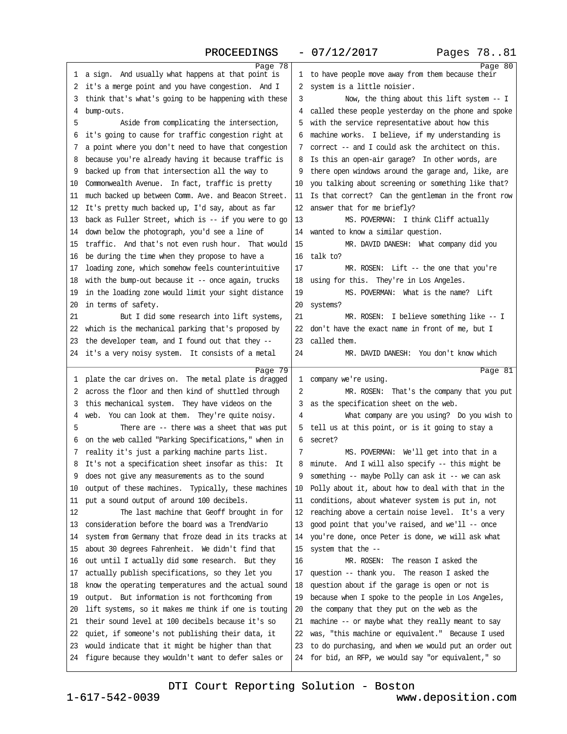<span id="page-20-0"></span>

| Page 78                                                          | Page 80                                                 |
|------------------------------------------------------------------|---------------------------------------------------------|
| 1 a sign. And usually what happens at that point is              | 1 to have people move away from them because their      |
| 2 it's a merge point and you have congestion. And I              | 2 system is a little noisier.                           |
| 3 think that's what's going to be happening with these           | Now, the thing about this lift system -- I<br>3         |
| 4 bump-outs.                                                     | 4 called these people yesterday on the phone and spoke  |
| 5<br>Aside from complicating the intersection,                   | 5 with the service representative about how this        |
| 6 it's going to cause for traffic congestion right at            | 6 machine works. I believe, if my understanding is      |
| 7 a point where you don't need to have that congestion           | 7 correct -- and I could ask the architect on this.     |
| 8 because you're already having it because traffic is            | 8 Is this an open-air garage? In other words, are       |
| 9 backed up from that intersection all the way to                | 9 there open windows around the garage and, like, are   |
| 10 Commonwealth Avenue. In fact, traffic is pretty               | 10 you talking about screening or something like that?  |
| 11 much backed up between Comm. Ave. and Beacon Street.          | 11 Is that correct? Can the gentleman in the front row  |
| 12 It's pretty much backed up, I'd say, about as far             | 12 answer that for me briefly?                          |
| 13 back as Fuller Street, which is -- if you were to go          | 13<br>MS. POVERMAN: I think Cliff actually              |
| 14 down below the photograph, you'd see a line of                | 14 wanted to know a similar question.                   |
| 15 traffic. And that's not even rush hour. That would            | MR. DAVID DANESH: What company did you<br>15            |
| 16 be during the time when they propose to have a                | 16 talk to?                                             |
| 17 loading zone, which somehow feels counterintuitive            | 17<br>MR. ROSEN: Lift -- the one that you're            |
| 18 with the bump-out because it - once again, trucks             | 18 using for this. They're in Los Angeles.              |
| 19 in the loading zone would limit your sight distance           | MS. POVERMAN: What is the name? Lift<br>19              |
| 20 in terms of safety.                                           | 20 systems?                                             |
| 21<br>But I did some research into lift systems,                 | 21<br>MR. ROSEN: I believe something like -- I          |
| 22 which is the mechanical parking that's proposed by            | 22 don't have the exact name in front of me, but I      |
| 23 the developer team, and I found out that they --              | 23 called them.                                         |
| 24 it's a very noisy system. It consists of a metal              | 24<br>MR. DAVID DANESH: You don't know which            |
|                                                                  |                                                         |
| Page 79<br>1 plate the car drives on. The metal plate is dragged | Page 81<br>1 company we're using.                       |
| 2 across the floor and then kind of shuttled through             | MR. ROSEN: That's the company that you put<br>2         |
| 3 this mechanical system. They have videos on the                | 3 as the specification sheet on the web.                |
| 4 web. You can look at them. They're quite noisy.                | What company are you using? Do you wish to<br>4         |
| 5<br>There are -- there was a sheet that was put                 | 5 tell us at this point, or is it going to stay a       |
| 6 on the web called "Parking Specifications," when in            | 6 secret?                                               |
| 7 reality it's just a parking machine parts list.                | MS. POVERMAN: We'll get into that in a<br>7             |
| 8 It's not a specification sheet insofar as this: It             | 8 minute. And I will also specify -- this might be      |
| 9 does not give any measurements as to the sound                 | 9 something -- maybe Polly can ask it -- we can ask     |
| 10 output of these machines. Typically, these machines           | 10 Polly about it, about how to deal with that in the   |
| 11 put a sound output of around 100 decibels.                    | 11 conditions, about whatever system is put in, not     |
| 12<br>The last machine that Geoff brought in for                 | 12 reaching above a certain noise level. It's a very    |
| 13 consideration before the board was a TrendVario               | 13 good point that you've raised, and we'll -- once     |
| 14 system from Germany that froze dead in its tracks at          | 14 you're done, once Peter is done, we will ask what    |
| 15 about 30 degrees Fahrenheit. We didn't find that              | 15 system that the -                                    |
| 16 out until I actually did some research. But they              | MR, ROSEN: The reason I asked the<br>16                 |
| 17 actually publish specifications, so they let you              | 17 question -- thank you. The reason I asked the        |
| 18 know the operating temperatures and the actual sound          | 18 question about if the garage is open or not is       |
| 19 output. But information is not forthcoming from               | 19 because when I spoke to the people in Los Angeles,   |
| 20 lift systems, so it makes me think if one is touting          | 20 the company that they put on the web as the          |
| 21 their sound level at 100 decibels because it's so             | 21 machine -- or maybe what they really meant to say    |
| 22 quiet, if someone's not publishing their data, it             | 22 was, "this machine or equivalent." Because I used    |
| 23 would indicate that it might be higher than that              | 23 to do purchasing, and when we would put an order out |
| 24 figure because they wouldn't want to defer sales or           | 24 for bid, an RFP, we would say "or equivalent," so    |
|                                                                  |                                                         |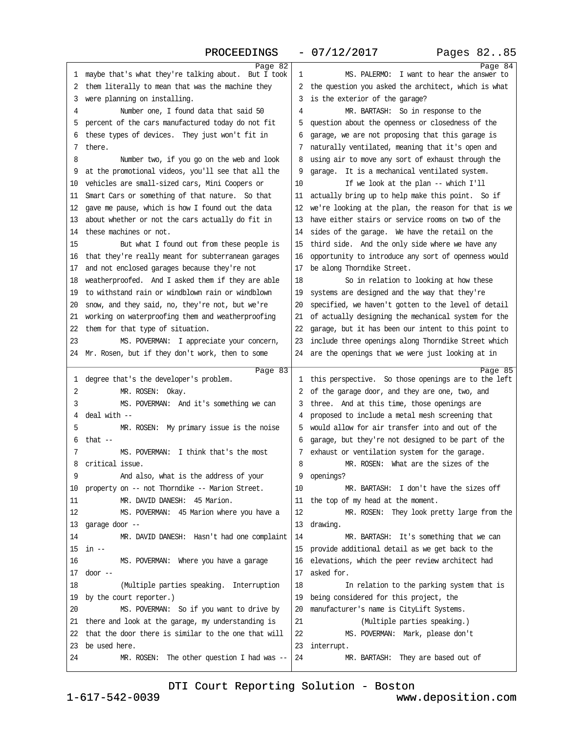### PROCEEDINGS - 07/12/2017 Pages 82..85

<span id="page-21-0"></span>

| Page 82                                                |                                                         | Page 84 |
|--------------------------------------------------------|---------------------------------------------------------|---------|
| 1 maybe that's what they're talking about. But I took  | MS. PALERMO: I want to hear the answer to<br>1          |         |
| 2 them literally to mean that was the machine they     | 2 the question you asked the architect, which is what   |         |
| 3 were planning on installing.                         | 3 is the exterior of the garage?                        |         |
| Number one, I found data that said 50<br>4             | MR. BARTASH: So in response to the<br>4                 |         |
| 5 percent of the cars manufactured today do not fit    | 5 question about the openness or closedness of the      |         |
| 6 these types of devices. They just won't fit in       | 6 garage, we are not proposing that this garage is      |         |
| 7 there.                                               | 7 naturally ventilated, meaning that it's open and      |         |
| 8<br>Number two, if you go on the web and look         | 8 using air to move any sort of exhaust through the     |         |
| 9 at the promotional videos, you'll see that all the   | 9 garage. It is a mechanical ventilated system.         |         |
| 10 vehicles are small-sized cars, Mini Coopers or      | 10<br>If we look at the plan -- which I'll              |         |
| 11 Smart Cars or something of that nature. So that     | 11 actually bring up to help make this point. So if     |         |
| 12 gave me pause, which is how I found out the data    | 12 we're looking at the plan, the reason for that is we |         |
| 13 about whether or not the cars actually do fit in    | 13 have either stairs or service rooms on two of the    |         |
| 14 these machines or not.                              | 14 sides of the garage. We have the retail on the       |         |
| 15<br>But what I found out from these people is        | 15 third side. And the only side where we have any      |         |
| 16 that they're really meant for subterranean garages  | 16 opportunity to introduce any sort of openness would  |         |
| 17 and not enclosed garages because they're not        | 17 be along Thomdike Street.                            |         |
| 18 weatherproofed. And I asked them if they are able   | 18<br>So in relation to looking at how these            |         |
| 19 to withstand rain or windblown rain or windblown    | 19 systems are designed and the way that they're        |         |
| 20 snow, and they said, no, they're not, but we're     | 20 specified, we haven't gotten to the level of detail  |         |
| 21 working on waterproofing them and weatherproofing   | 21 of actually designing the mechanical system for the  |         |
| 22 them for that type of situation.                    | 22 garage, but it has been our intent to this point to  |         |
| 23<br>MS. POVERMAN: I appreciate your concern,         | 23 include three openings along Thomdike Street which   |         |
| 24 Mr. Rosen, but if they don't work, then to some     | 24 are the openings that we were just looking at in     |         |
|                                                        |                                                         |         |
|                                                        |                                                         |         |
| Page 83                                                |                                                         | Page 85 |
| 1 degree that's the developer's problem.               | 1 this perspective. So those openings are to the left   |         |
| MR. ROSEN: Okay.<br>2                                  | 2 of the garage door, and they are one, two, and        |         |
| MS. POVERMAN: And it's something we can<br>3           | 3 three. And at this time, those openings are           |         |
| 4 deal with -                                          | 4 proposed to include a metal mesh screening that       |         |
| 5<br>MR. ROSEN: My primary issue is the noise          | 5 would allow for air transfer into and out of the      |         |
| $6$ that $-$                                           | 6 garage, but they're not designed to be part of the    |         |
| MS. POVERMAN: I think that's the most<br>7             | 7 exhaust or ventilation system for the garage.         |         |
| 8 critical issue.                                      | MR. ROSEN: What are the sizes of the<br>8               |         |
| 9<br>And also, what is the address of your             | 9 openings?                                             |         |
| 10 property on -- not Thomdike -- Marion Street.       | MR. BARTASH: I don't have the sizes off<br>10           |         |
| MR. DAVID DANESH: 45 Marion.<br>11                     | 11 the top of my head at the moment.                    |         |
| 12<br>MS. POVERMAN: 45 Marion where you have a         | 12<br>MR. ROSEN: They look pretty large from the        |         |
| 13 garage door --                                      | 13 drawing.                                             |         |
| 14<br>MR. DAVID DANESH: Hasn't had one complaint       | 14<br>MR. BARTASH: It's something that we can           |         |
| $15$ in $-$                                            | 15 provide additional detail as we get back to the      |         |
| 16<br>MS. POVERMAN: Where you have a garage            | 16 elevations, which the peer review architect had      |         |
| $17$ door $-$                                          | 17 asked for.                                           |         |
| 18<br>(Multiple parties speaking. Interruption         | 18<br>In relation to the parking system that is         |         |
| 19 by the court reporter.)                             | 19 being considered for this project, the               |         |
| MS. POVERMAN: So if you want to drive by<br>20         | 20 manufacturer's name is CityLift Systems.             |         |
| 21 there and look at the garage, my understanding is   | 21<br>(Multiple parties speaking.)                      |         |
| 22 that the door there is similar to the one that will | 22<br>MS. POVERMAN: Mark, please don't                  |         |
| 23 be used here.                                       | 23 interrupt.                                           |         |
| MR. ROSEN: The other question I had was --<br>24       | 24<br>MR. BARTASH: They are based out of                |         |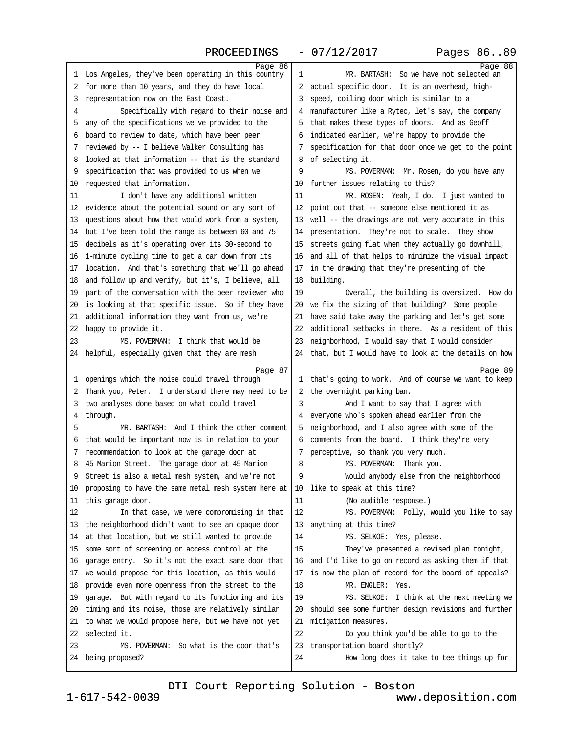### PROCEEDINGS - 07/12/2017 Pages 86..89

<span id="page-22-0"></span>

| Page 86                                                     |                                                         | Page 88 |
|-------------------------------------------------------------|---------------------------------------------------------|---------|
| 1 Los Angeles, they've been operating in this country       | MR. BARTASH: So we have not selected an<br>1            |         |
| 2 for more than 10 years, and they do have local            | 2 actual specific door. It is an overhead, high-        |         |
| 3 representation now on the East Coast.                     | 3 speed, coiling door which is similar to a             |         |
| Specifically with regard to their noise and<br>4            | 4 manufacturer like a Rytec, let's say, the company     |         |
| 5 any of the specifications we've provided to the           | 5 that makes these types of doors. And as Geoff         |         |
| 6 board to review to date, which have been peer             | 6 indicated earlier, we're happy to provide the         |         |
| 7 reviewed by -- I believe Walker Consulting has            | 7 specification for that door once we get to the point  |         |
| 8 looked at that information -- that is the standard        | 8 of selecting it.                                      |         |
| 9 specification that was provided to us when we             | 9<br>MS. POVERMAN: Mr. Rosen, do you have any           |         |
| 10 requested that information.                              | 10 further issues relating to this?                     |         |
| 11<br>I don't have any additional written                   | 11<br>MR. ROSEN: Yeah, I do. I just wanted to           |         |
| 12 evidence about the potential sound or any sort of        | 12 point out that -- someone else mentioned it as       |         |
| 13 questions about how that would work from a system,       | 13 well -- the drawings are not very accurate in this   |         |
|                                                             |                                                         |         |
| 14 but I've been told the range is between 60 and 75        | 14 presentation. They're not to scale. They show        |         |
| 15 decibels as it's operating over its 30-second to         | 15 streets going flat when they actually go downhill,   |         |
| 16 1-minute cycling time to get a car down from its         | 16 and all of that helps to minimize the visual impact  |         |
| 17 location. And that's something that we'll go ahead       | 17 in the drawing that they're presenting of the        |         |
| 18 and follow up and verify, but it's, I believe, all       | 18 building.                                            |         |
| 19 part of the conversation with the peer reviewer who      | 19<br>Overall, the building is oversized. How do        |         |
| 20 is looking at that specific issue. So if they have       | 20 we fix the sizing of that building? Some people      |         |
| 21 additional information they want from us, we're          | 21 have said take away the parking and let's get some   |         |
| 22 happy to provide it.                                     | 22 additional setbacks in there. As a resident of this  |         |
| 23<br>MS. POVERMAN: I think that would be                   | 23 neighborhood, I would say that I would consider      |         |
| 24 helpful, especially given that they are mesh             | 24 that, but I would have to look at the details on how |         |
|                                                             |                                                         |         |
|                                                             |                                                         |         |
| Page 87<br>1 openings which the noise could travel through. | 1 that's going to work. And of course we want to keep   | Page 89 |
| 2 Thank you, Peter. I understand there may need to be       | 2 the overnight parking ban.                            |         |
| 3 two analyses done based on what could travel              | And I want to say that I agree with<br>3                |         |
| 4 through.                                                  | 4 everyone who's spoken ahead earlier from the          |         |
| MR. BARTASH: And I think the other comment<br>5             | 5 neighborhood, and I also agree with some of the       |         |
|                                                             | 6 comments from the board. I think they're very         |         |
| 6 that would be important now is in relation to your        |                                                         |         |
| 7 recommendation to look at the garage door at              | 7 perceptive, so thank you very much.<br>8              |         |
| 8 45 Marion Street. The garage door at 45 Marion            | MS. POVERMAN: Thank you.                                |         |
| Street is also a metal mesh system, and we're not           | Would anybody else from the neighborhood                |         |
| 10 proposing to have the same metal mesh system here at     | 10 like to speak at this time?                          |         |
| 11 this garage door.                                        | 11<br>(No audible response.)                            |         |
| 12<br>In that case, we were compromising in that            | 12<br>MS. POVERMAN: Polly, would you like to say        |         |
| 13 the neighborhood didn't want to see an opaque door       | 13 anything at this time?                               |         |
| 14 at that location, but we still wanted to provide         | MS. SELKOE: Yes, please.<br>14                          |         |
| 15 some sort of screening or access control at the          | 15<br>They've presented a revised plan tonight,         |         |
| 16 garage entry. So it's not the exact same door that       | 16 and I'd like to go on record as asking them if that  |         |
| 17 we would propose for this location, as this would        | 17 is now the plan of record for the board of appeals?  |         |
| 18 provide even more openness from the street to the        | 18<br>MR. ENGLER: Yes.                                  |         |
| 19 garage. But with regard to its functioning and its       | 19<br>MS. SELKOE: I think at the next meeting we        |         |
| 20 timing and its noise, those are relatively similar       | 20 should see some further design revisions and further |         |
| 21 to what we would propose here, but we have not yet       | 21 mitigation measures.                                 |         |
| 22 selected it.                                             | 22<br>Do you think you'd be able to go to the           |         |
| MS. POVERMAN: So what is the door that's<br>23              | 23 transportation board shortly?                        |         |
| 24 being proposed?                                          | 24<br>How long does it take to tee things up for        |         |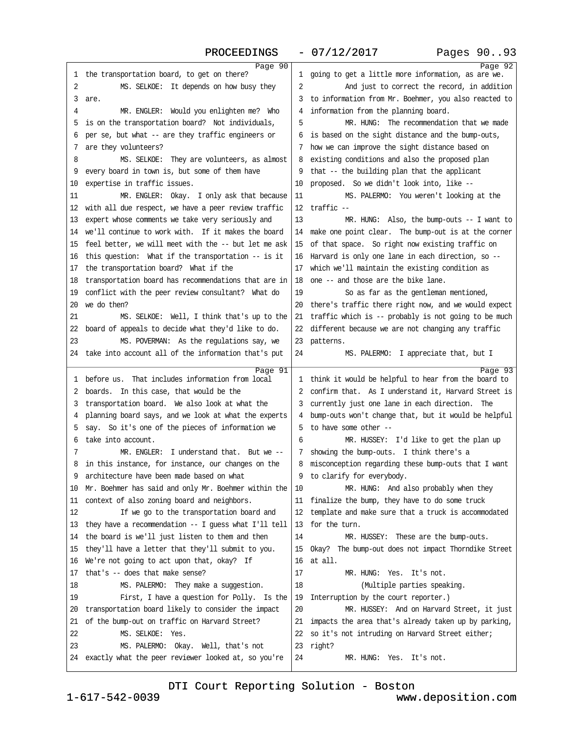### PROCEEDINGS - 07/12/2017 Pages 90..93

<span id="page-23-0"></span>

| Page 90                                                 |                                                         | Page 92 |
|---------------------------------------------------------|---------------------------------------------------------|---------|
| 1 the transportation board, to get on there?            | 1 going to get a little more information, as are we.    |         |
| 2<br>MS. SELKOE: It depends on how busy they            | 2<br>And just to correct the record, in addition        |         |
| 3 are.                                                  | 3 to information from Mr. Boehmer, you also reacted to  |         |
| MR. ENGLER: Would you enlighten me? Who<br>4            | 4 information from the planning board.                  |         |
| 5 is on the transportation board? Not individuals,      | MR. HUNG: The recommendation that we made<br>5          |         |
| 6 per se, but what -- are they traffic engineers or     | 6 is based on the sight distance and the bump-outs,     |         |
| 7 are they volunteers?                                  | 7 how we can improve the sight distance based on        |         |
| 8<br>MS. SELKOE: They are volunteers, as almost         | 8 existing conditions and also the proposed plan        |         |
| 9 every board in town is, but some of them have         | 9 that -- the building plan that the applicant          |         |
| 10 expertise in traffic issues.                         | 10 proposed. So we didn't look into, like --            |         |
| MR. ENGLER: Okay. I only ask that because<br>11         | MS. PALERMO: You weren't looking at the<br>11           |         |
| 12 with all due respect, we have a peer review traffic  | 12 traffic-                                             |         |
| 13 expert whose comments we take very seriously and     | 13<br>MR. HUNG: Also, the bump-outs -- I want to        |         |
| 14 we'll continue to work with. If it makes the board   | 14 make one point clear. The bump-out is at the comer   |         |
| 15 feel better, we will meet with the -- but let me ask | 15 of that space. So right now existing traffic on      |         |
| 16 this question: What if the transportation -- is it   | 16 Harvard is only one lane in each direction, so --    |         |
| 17 the transportation board? What if the                | 17 which we'll maintain the existing condition as       |         |
| 18 transportation board has recommendations that are in | 18 one -- and those are the bike lane.                  |         |
| 19 conflict with the peer review consultant? What do    | So as far as the gentleman mentioned,<br>19             |         |
| 20 we do then?                                          | 20 there's traffic there right now, and we would expect |         |
| 21<br>MS. SELKOE: Well, I think that's up to the        | 21 traffic which is -- probably is not going to be much |         |
| 22 board of appeals to decide what they'd like to do.   | 22 different because we are not changing any traffic    |         |
| 23<br>MS. POVERMAN: As the regulations say, we          | 23 patterns.                                            |         |
| 24 take into account all of the information that's put  | MS. PALERMO: I appreciate that, but I<br>24             |         |
| Page 91                                                 |                                                         | Page 93 |
| 1 before us. That includes information from local       | 1 think it would be helpful to hear from the board to   |         |
| 2 boards. In this case, that would be the               | 2 confirm that. As I understand it, Harvard Street is   |         |
| 3 transportation board. We also look at what the        | 3 currently just one lane in each direction. The        |         |
| 4 planning board says, and we look at what the experts  | 4 bump-outs won't change that, but it would be helpful  |         |
| 5 say. So it's one of the pieces of information we      | 5 to have some other --                                 |         |
| 6 take into account.                                    | 6<br>MR. HUSSEY: I'd like to get the plan up            |         |
| MR. ENGLER: I understand that. But we -<br>7            | 7 showing the bump-outs. I think there's a              |         |
| 8 in this instance, for instance, our changes on the    | 8 misconception regarding these bump-outs that I want   |         |
| 9 architecture have been made based on what             | 9 to clarify for everybody.                             |         |
| 10 Mr. Boehmer has said and only Mr. Boehmer within the | MR. HUNG: And also probably when they<br>10             |         |
| 11 context of also zoning board and neighbors.          | 11 finalize the bump, they have to do some truck        |         |
| 12<br>If we go to the transportation board and          | 12 template and make sure that a truck is accommodated  |         |
| 13 they have a recommendation -- I guess what I'll tell | 13 for the turn.                                        |         |
| 14 the board is we'll just listen to them and then      | 14<br>MR. HUSSEY: These are the bump-outs.              |         |
| 15 they'll have a letter that they'll submit to you.    | 15 Okay? The bump-out does not impact Thomdike Street   |         |
| 16 We're not going to act upon that, okay? If           | 16 at all.                                              |         |
| 17 that's - does that make sense?                       | 17<br>MR. HUNG: Yes. It's not.                          |         |
| MS. PALERMO: They make a suggestion.<br>18              | 18<br>(Multiple parties speaking.                       |         |
| First, I have a question for Polly. Is the<br>19        | 19 Interruption by the court reporter.)                 |         |
| 20 transportation board likely to consider the impact   | 20<br>MR. HUSSEY: And on Harvard Street, it just        |         |
| 21 of the bump-out on traffic on Harvard Street?        | 21 impacts the area that's already taken up by parking, |         |
| MS. SELKOE: Yes.<br>22                                  | 22 so it's not intruding on Harvard Street either;      |         |
| 23<br>MS. PALERMO: Okay. Well, that's not               | 23 right?                                               |         |
| 24 exactly what the peer reviewer looked at, so you're  | MR. HUNG: Yes. It's not.<br>24                          |         |
|                                                         |                                                         |         |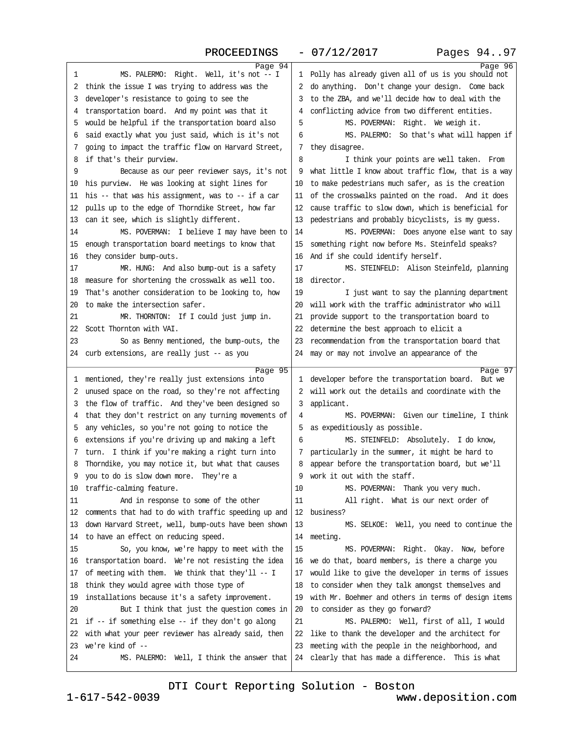### PROCEEDINGS - 07/12/2017 Pages 94..97

<span id="page-24-0"></span>

| Page 94                                                                 |                                                                                                            | Page 96 |
|-------------------------------------------------------------------------|------------------------------------------------------------------------------------------------------------|---------|
| 1<br>MS. PALERMO: Right. Well, it's not - I                             | 1 Polly has already given all of us is you should not                                                      |         |
| 2 think the issue I was trying to address was the                       | 2 do anything. Don't change your design. Come back                                                         |         |
| 3 developer's resistance to going to see the                            | 3 to the ZBA, and we'll decide how to deal with the                                                        |         |
| 4 transportation board. And my point was that it                        | 4 conflicting advice from two different entities.                                                          |         |
| 5 would be helpful if the transportation board also                     | 5<br>MS. POVERMAN: Right. We weigh it.                                                                     |         |
| 6 said exactly what you just said, which is it's not                    | MS. PALERMO: So that's what will happen if<br>6                                                            |         |
| 7 going to impact the traffic flow on Harvard Street,                   | 7 they disagree.                                                                                           |         |
| 8 if that's their purview.                                              | I think your points are well taken. From<br>8                                                              |         |
| 9<br>Because as our peer reviewer says, it's not                        | 9 what little I know about traffic flow, that is a way                                                     |         |
| 10 his purview. He was looking at sight lines for                       | 10 to make pedestrians much safer, as is the creation                                                      |         |
| 11 his -- that was his assignment, was to -- if a car                   | 11 of the crosswalks painted on the road. And it does                                                      |         |
| 12 pulls up to the edge of Thorndike Street, how far                    | 12 cause traffic to slow down, which is beneficial for                                                     |         |
| 13 can it see, which is slightly different.                             | 13 pedestrians and probably bicyclists, is my guess.                                                       |         |
| MS. POVERMAN: I believe I may have been to<br>14                        | MS. POVERMAN: Does anyone else want to say<br>14                                                           |         |
| 15 enough transportation board meetings to know that                    | 15 something right now before Ms. Steinfeld speaks?                                                        |         |
| 16 they consider bump-outs.                                             | 16 And if she could identify herself.                                                                      |         |
| 17<br>MR. HUNG: And also bump-out is a safety                           | 17<br>MS. STEINFELD: Alison Steinfeld, planning                                                            |         |
| 18 measure for shortening the crosswalk as well too.                    | 18 director.                                                                                               |         |
| 19 That's another consideration to be looking to, how                   | 19<br>I just want to say the planning department                                                           |         |
| 20 to make the intersection safer.                                      | 20 will work with the traffic administrator who will                                                       |         |
| 21<br>MR. THORNTON: If I could just jump in.                            | 21 provide support to the transportation board to                                                          |         |
| 22 Scott Thornton with VAI.                                             | 22 determine the best approach to elicit a                                                                 |         |
| 23<br>So as Benny mentioned, the bump-outs, the                         | 23 recommendation from the transportation board that                                                       |         |
| 24 curb extensions, are really just -- as you                           | 24 may or may not involve an appearance of the                                                             |         |
|                                                                         |                                                                                                            |         |
|                                                                         |                                                                                                            |         |
| Page 95                                                                 |                                                                                                            | Page 97 |
| 1 mentioned, they're really just extensions into                        | 1 developer before the transportation board. But we                                                        |         |
| 2 unused space on the road, so they're not affecting                    | 2 will work out the details and coordinate with the                                                        |         |
| 3 the flow of traffic. And they've been designed so                     | 3 applicant.<br>4                                                                                          |         |
| 4 that they don't restrict on any turning movements of                  | MS. POVERMAN: Given our timeline, I think                                                                  |         |
| 5 any vehicles, so you're not going to notice the                       | 5 as expeditiously as possible.<br>6                                                                       |         |
| 6 extensions if you're driving up and making a left                     | MS. STEINFELD: Absolutely. I do know,                                                                      |         |
| 7 tum. I think if you're making a right turn into                       | 7 particularly in the summer, it might be hard to                                                          |         |
| 8 Thorndike, you may notice it, but what that causes                    | 8 appear before the transportation board, but we'll                                                        |         |
| 9 you to do is slow down more. They're a                                | 9 work it out with the staff.                                                                              |         |
| 10 traffic-calming feature.                                             | MS. POVERMAN: Thank you very much.<br>10                                                                   |         |
| And in response to some of the other<br>11                              | 11<br>All right. What is our next order of                                                                 |         |
| 12 comments that had to do with traffic speeding up and                 | 12 business?                                                                                               |         |
| 13 down Harvard Street, well, bump-outs have been shown                 | 13<br>MS. SELKOE: Well, you need to continue the                                                           |         |
| 14 to have an effect on reducing speed.                                 | 14 meeting.                                                                                                |         |
| 15<br>So, you know, we're happy to meet with the                        | 15<br>MS. POVERMAN: Right. Okay. Now, before                                                               |         |
| 16 transportation board. We're not resisting the idea                   | 16 we do that, board members, is there a charge you                                                        |         |
| 17 of meeting with them. We think that they'll -- I                     | 17 would like to give the developer in terms of issues                                                     |         |
| 18 think they would agree with those type of                            | 18 to consider when they talk amongst themselves and                                                       |         |
| 19 installations because it's a safety improvement.                     | 19 with Mr. Boehmer and others in terms of design items                                                    |         |
| 20<br>But I think that just the question comes in                       | 20 to consider as they go forward?                                                                         |         |
| 21 if -- if something else -- if they don't go along                    | 21<br>MS. PALERMO: Well, first of all, I would                                                             |         |
| 22 with what your peer reviewer has already said, then                  | 22 like to thank the developer and the architect for                                                       |         |
| 23 we're kind of --<br>24<br>MS. PALERMO: Well, I think the answer that | 23 meeting with the people in the neighborhood, and<br>24 clearly that has made a difference. This is what |         |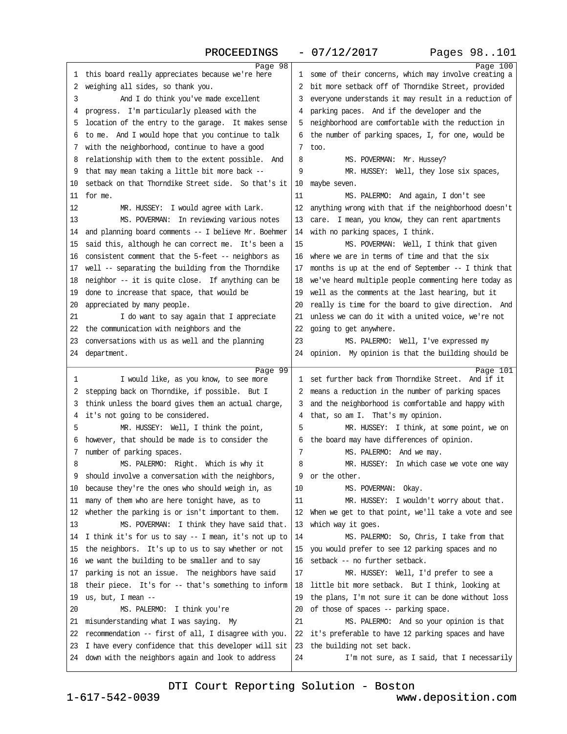<span id="page-25-0"></span>

| Page 98                                                                                                          |                                                                                    | Page 100 |
|------------------------------------------------------------------------------------------------------------------|------------------------------------------------------------------------------------|----------|
| 1 this board really appreciates because we're here                                                               | 1 some of their concerns, which may involve creating a                             |          |
| 2 weighing all sides, so thank you.                                                                              | 2 bit more setback off of Thorndike Street, provided                               |          |
| 3<br>And I do think you've made excellent                                                                        | 3 everyone understands it may result in a reduction of                             |          |
| 4 progress. I'm particularly pleased with the                                                                    | 4 parking paces. And if the developer and the                                      |          |
| 5 location of the entry to the garage. It makes sense                                                            | 5 neighborhood are comfortable with the reduction in                               |          |
| 6 to me. And I would hope that you continue to talk                                                              | 6 the number of parking spaces, I, for one, would be                               |          |
| 7 with the neighborhood, continue to have a good                                                                 | 7 too.                                                                             |          |
| 8 relationship with them to the extent possible. And                                                             | 8<br>MS. POVERMAN: Mr. Hussey?                                                     |          |
| 9 that may mean taking a little bit more back --                                                                 | 9<br>MR. HUSSEY: Well, they lose six spaces,                                       |          |
| 10 setback on that Thorndike Street side. So that's it                                                           | 10 maybe seven.                                                                    |          |
| 11 for me.                                                                                                       | 11<br>MS. PALERMO: And again, I don't see                                          |          |
| 12<br>MR. HUSSEY: I would agree with Lark.                                                                       | 12 anything wrong with that if the neighborhood doesn't                            |          |
| 13<br>MS. POVERMAN: In reviewing various notes                                                                   | 13 care. I mean, you know, they can rent apartments                                |          |
| 14 and planning board comments -- I believe Mr. Boehmer                                                          | 14 with no parking spaces, I think.                                                |          |
| 15 said this, although he can correct me. It's been a                                                            | 15<br>MS. POVERMAN: Well, I think that given                                       |          |
| 16 consistent comment that the 5-feet - neighbors as                                                             | 16 where we are in terms of time and that the six                                  |          |
| 17 well -- separating the building from the Thorndike                                                            | 17 months is up at the end of September -- I think that                            |          |
|                                                                                                                  |                                                                                    |          |
| 18 neighbor -- it is quite close. If anything can be                                                             | 18 we've heard multiple people commenting here today as                            |          |
| 19 done to increase that space, that would be                                                                    | 19 well as the comments at the last hearing, but it                                |          |
| 20 appreciated by many people.                                                                                   | 20 really is time for the board to give direction. And                             |          |
| 21<br>I do want to say again that I appreciate                                                                   | 21 unless we can do it with a united voice, we're not                              |          |
| 22 the communication with neighbors and the                                                                      | 22 going to get anywhere.                                                          |          |
| 23 conversations with us as well and the planning                                                                | 23<br>MS. PALERMO: Well, I've expressed my                                         |          |
| 24 department.                                                                                                   | 24 opinion. My opinion is that the building should be                              |          |
| Page 99                                                                                                          |                                                                                    | Page 101 |
| 1<br>I would like, as you know, to see more                                                                      | 1 set further back from Thorndike Street. And if it                                |          |
| 2 stepping back on Thorndike, if possible. But I                                                                 | 2 means a reduction in the number of parking spaces                                |          |
| 3 think unless the board gives them an actual charge,                                                            | 3 and the neighborhood is comfortable and happy with                               |          |
| 4 it's not going to be considered.                                                                               | 4 that, so am I. That's my opinion.                                                |          |
| 5<br>MR. HUSSEY: Well, I think the point,                                                                        | 5<br>MR. HUSSEY: I think, at some point, we on                                     |          |
| 6 however, that should be made is to consider the                                                                | 6 the board may have differences of opinion.                                       |          |
| 7 number of parking spaces.                                                                                      | MS. PALERMO: And we may.<br>7                                                      |          |
| MS. PALERMO: Right. Which is why it<br>8                                                                         | MR. HUSSEY: In which case we vote one way<br>8                                     |          |
| 9 should involve a conversation with the neighbors,                                                              | 9 or the other.                                                                    |          |
| 10 because they're the ones who should weigh in, as                                                              | MS. POVERMAN: Okay.<br>10                                                          |          |
| 11<br>MR. HUSSEY: I wouldn't worry about that.<br>11 many of them who are here tonight have, as to               |                                                                                    |          |
| 12 whether the parking is or isn't important to them.<br>12 When we get to that point, we'll take a vote and see |                                                                                    |          |
| 13<br>MS. POVERMAN: I think they have said that.                                                                 | 13 which way it goes.                                                              |          |
| 14 I think it's for us to say -- I mean, it's not up to                                                          | 14<br>MS. PALERMO: So, Chris, I take from that                                     |          |
| 15 the neighbors. It's up to us to say whether or not                                                            | 15 you would prefer to see 12 parking spaces and no                                |          |
| 16 we want the building to be smaller and to say                                                                 |                                                                                    |          |
|                                                                                                                  | 16 setback - no further setback.                                                   |          |
| 17 parking is not an issue. The neighbors have said                                                              | MR. HUSSEY: Well, I'd prefer to see a<br>17                                        |          |
| 18 their piece. It's for - that's something to inform                                                            | 18 little bit more setback. But I think, looking at                                |          |
| 19 us, but, I mean --                                                                                            | 19 the plans, I'm not sure it can be done without loss                             |          |
| 20<br>MS. PALERMO: I think you're                                                                                | 20 of those of spaces -- parking space.                                            |          |
|                                                                                                                  | 21                                                                                 |          |
| 21 misunderstanding what I was saying. My                                                                        | MS. PALERMO: And so your opinion is that                                           |          |
| 22 recommendation - first of all, I disagree with you.                                                           | 22 it's preferable to have 12 parking spaces and have                              |          |
| 23 I have every confidence that this developer will sit<br>24 down with the neighbors again and look to address  | 23 the building not set back.<br>24<br>I'm not sure, as I said, that I necessarily |          |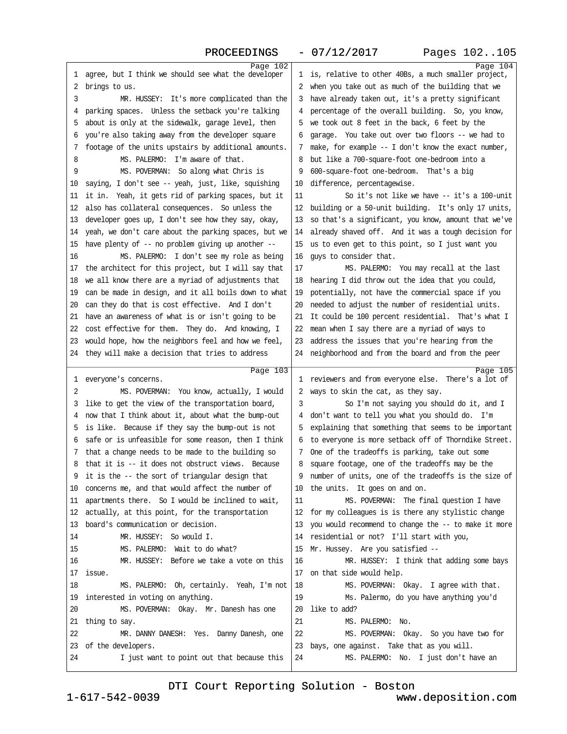<span id="page-26-0"></span>

| Page 102                                                                  |                                                                                             | Page 104 |
|---------------------------------------------------------------------------|---------------------------------------------------------------------------------------------|----------|
| 1 agree, but I think we should see what the developer                     | 1 is, relative to other 40Bs, a much smaller project,                                       |          |
| 2 brings to us.                                                           | 2 when you take out as much of the building that we                                         |          |
| 3<br>MR. HUSSEY: It's more complicated than the                           | 3 have already taken out, it's a pretty significant                                         |          |
| 4 parking spaces. Unless the setback you're talking                       | 4 percentage of the overall building. So, you know,                                         |          |
| 5 about is only at the sidewalk, garage level, then                       | 5 we took out 8 feet in the back, 6 feet by the                                             |          |
| 6 you're also taking away from the developer square                       | 6 garage. You take out over two floors -- we had to                                         |          |
| 7 footage of the units upstairs by additional amounts.                    | 7 make, for example -- I don't know the exact number,                                       |          |
| 8<br>MS. PALERMO: I'm aware of that.                                      | 8 but like a 700-square-foot one-bedroom into a                                             |          |
| MS. POVERMAN: So along what Chris is<br>9                                 | 9 600-square-foot one-bedroom. That's a big                                                 |          |
| 10 saying, I don't see -- yeah, just, like, squishing                     | 10 difference, percentagewise.                                                              |          |
| 11 it in. Yeah, it gets rid of parking spaces, but it                     | So it's not like we have -- it's a 100-unit<br>11                                           |          |
| 12 also has collateral consequences. So unless the                        | 12 building or a 50-unit building. It's only 17 units,                                      |          |
| 13 developer goes up, I don't see how they say, okay,                     | 13 so that's a significant, you know, amount that we've                                     |          |
| 14 yeah, we don't care about the parking spaces, but we                   | 14 already shaved off. And it was a tough decision for                                      |          |
| 15 have plenty of - no problem giving up another --                       | 15 us to even get to this point, so I just want you                                         |          |
| MS. PALERMO: I don't see my role as being<br>16                           | 16 guys to consider that.                                                                   |          |
| 17 the architect for this project, but I will say that                    | MS. PALERMO: You may recall at the last<br>17                                               |          |
| 18 we all know there are a myriad of adjustments that                     | 18 hearing I did throw out the idea that you could,                                         |          |
| 19 can be made in design, and it all boils down to what                   | 19 potentially, not have the commercial space if you                                        |          |
| 20 can they do that is cost effective. And I don't                        | 20 needed to adjust the number of residential units.                                        |          |
| 21 have an awareness of what is or isn't going to be                      | 21 It could be 100 percent residential. That's what I                                       |          |
| 22 cost effective for them. They do. And knowing, I                       | 22 mean when I say there are a myriad of ways to                                            |          |
| 23 would hope, how the neighbors feel and how we feel,                    | 23 address the issues that you're hearing from the                                          |          |
| 24 they will make a decision that tries to address                        | 24 neighborhood and from the board and from the peer                                        |          |
|                                                                           |                                                                                             |          |
|                                                                           |                                                                                             |          |
| Page 103                                                                  |                                                                                             | Page 105 |
| 1 everyone's concerns.                                                    | 1 reviewers and from everyone else. There's a lot of                                        |          |
| 2<br>MS. POVERMAN: You know, actually, I would                            | 2 ways to skin the cat, as they say.                                                        |          |
| 3 like to get the view of the transportation board,                       | So I'm not saying you should do it, and I<br>3                                              |          |
| 4 now that I think about it, about what the bump-out                      | 4 don't want to tell you what you should do. I'm                                            |          |
| 5 is like. Because if they say the bump-out is not                        | 5 explaining that something that seems to be important                                      |          |
| 6 safe or is unfeasible for some reason, then I think                     | 6 to everyone is more setback off of Thorndike Street.                                      |          |
| 7 that a change needs to be made to the building so                       | 7 One of the tradeoffs is parking, take out some                                            |          |
| 8 that it is -- it does not obstruct views. Because                       | 8 square footage, one of the tradeoffs may be the                                           |          |
| 9 it is the -- the sort of triangular design that                         | 9 number of units, one of the tradeoffs is the size of                                      |          |
| 10 concerns me, and that would affect the number of                       | 10 the units. It goes on and on.                                                            |          |
| 11 apartments there. So I would be inclined to wait,                      | MS. POVERMAN: The final question I have<br>11                                               |          |
| 12 actually, at this point, for the transportation                        | 12 for my colleagues is is there any stylistic change                                       |          |
| 13 board's communication or decision.                                     | 13 you would recommend to change the -- to make it more                                     |          |
| 14<br>MR. HUSSEY: So would I.                                             | 14 residential or not? I'll start with you,                                                 |          |
| MS. PALERMO: Wait to do what?<br>15                                       | 15 Mr. Hussey. Are you satisfied --                                                         |          |
| MR. HUSSEY: Before we take a vote on this<br>16                           | 16<br>MR. HUSSEY: I think that adding some bays                                             |          |
| 17 issue.                                                                 | 17 on that side would help.                                                                 |          |
| 18<br>MS. PALERMO: Oh, certainly. Yeah, I'm not                           | MS. POVERMAN: Okay. I agree with that.<br>18                                                |          |
| 19 interested in voting on anything.                                      | 19<br>Ms. Palermo, do you have anything you'd                                               |          |
| 20<br>MS. POVERMAN: Okay. Mr. Danesh has one                              | 20 like to add?                                                                             |          |
| 21 thing to say.                                                          | 21<br>MS. PALERMO: No.                                                                      |          |
| MR. DANNY DANESH: Yes. Danny Danesh, one<br>22                            | 22<br>MS. POVERMAN: Okay. So you have two for                                               |          |
| 23 of the developers.<br>24<br>I just want to point out that because this | 23 bays, one against. Take that as you will.<br>24<br>MS. PALERMO: No. I just don't have an |          |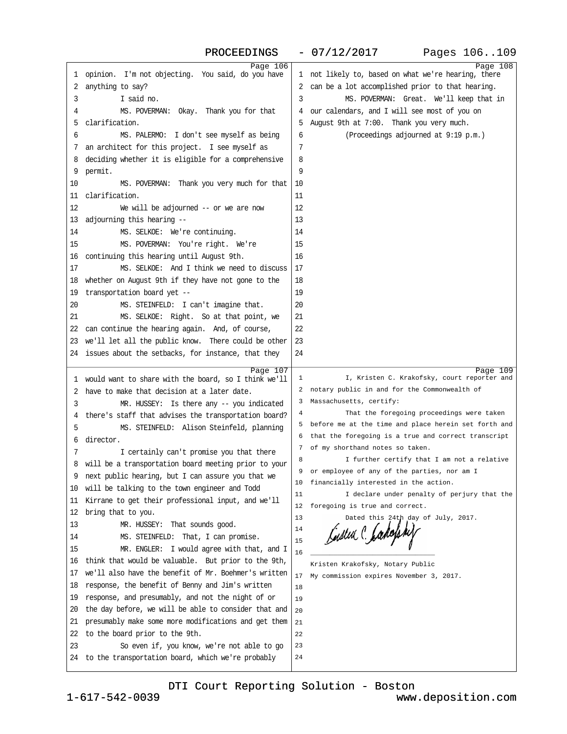<span id="page-27-0"></span>

| Page 106                                                                                                 |                                                        | Page 108 |
|----------------------------------------------------------------------------------------------------------|--------------------------------------------------------|----------|
| 1 opinion. I'm not objecting. You said, do you have                                                      | 1 not likely to, based on what we're hearing, there    |          |
| 2 anything to say?                                                                                       | 2 can be a lot accomplished prior to that hearing.     |          |
| I said no.<br>3                                                                                          | MS. POVERMAN: Great. We'll keep that in<br>3           |          |
| MS. POVERMAN: Okay. Thank you for that<br>4                                                              | 4 our calendars, and I will see most of you on         |          |
| 5 clarification.                                                                                         | 5 August 9th at 7:00. Thank you very much.             |          |
| 6<br>MS. PALERMO: I don't see myself as being                                                            | (Proceedings adjourned at 9:19 p.m.)<br>6              |          |
| 7 an architect for this project. I see myself as                                                         | $\overline{7}$                                         |          |
| 8 deciding whether it is eligible for a comprehensive                                                    | 8                                                      |          |
| 9 permit.                                                                                                | 9                                                      |          |
| 10<br>MS. POVERMAN: Thank you very much for that                                                         | 10                                                     |          |
| 11 clarification.                                                                                        | 11                                                     |          |
| 12                                                                                                       | 12                                                     |          |
| We will be adjourned -- or we are now                                                                    |                                                        |          |
| 13 adjourning this hearing --                                                                            | 13                                                     |          |
| 14<br>MS. SELKOE: We're continuing.                                                                      | 14                                                     |          |
| MS. POVERMAN: You're right. We're<br>15                                                                  | 15                                                     |          |
| 16 continuing this hearing until August 9th.                                                             | 16                                                     |          |
| 17<br>MS. SELKOE: And I think we need to discuss                                                         | 17                                                     |          |
| 18 whether on August 9th if they have not gone to the                                                    | 18                                                     |          |
| 19 transportation board yet --                                                                           | 19                                                     |          |
| MS. STEINFELD: I can't imagine that.<br>20                                                               | 20                                                     |          |
| 21<br>MS. SELKOE: Right. So at that point, we                                                            | 21                                                     |          |
| 22 can continue the hearing again. And, of course,                                                       | 22                                                     |          |
| 23 we'll let all the public know. There could be other                                                   | 23                                                     |          |
| 24 issues about the setbacks, for instance, that they                                                    | 24                                                     |          |
|                                                                                                          |                                                        |          |
|                                                                                                          |                                                        |          |
| Page 107                                                                                                 | I, Kristen C. Krakofsky, court reporter and<br>1       | Page 109 |
| 1 would want to share with the board, so I think we'll<br>2 have to make that decision at a later date.  | 2 notary public in and for the Commonwealth of         |          |
| 3                                                                                                        | 3 Massachusetts, certify:                              |          |
| MR. HUSSEY: Is there any - you indicated                                                                 | That the foregoing proceedings were taken<br>4         |          |
| 4 there's staff that advises the transportation board?<br>5                                              | 5 before me at the time and place herein set forth and |          |
| MS. STEINFELD: Alison Steinfeld, planning                                                                | 6 that the foregoing is a true and correct transcript  |          |
| 6 director.                                                                                              | 7 of my shorthand notes so taken.                      |          |
| I certainly can't promise you that there<br>7                                                            | 8<br>I further certify that I am not a relative        |          |
| 8 will be a transportation board meeting prior to your                                                   | 9 or employee of any of the parties, nor am I          |          |
| 9 next public hearing, but I can assure you that we                                                      | 10 financially interested in the action.               |          |
| 10 will be talking to the town engineer and Todd                                                         | I declare under penalty of perjury that the<br>11      |          |
| 11 Kirrane to get their professional input, and we'll                                                    | 12 foregoing is true and correct.                      |          |
| 12 bring that to you.                                                                                    | 13<br>Dated this 24th day of July, 2017.               |          |
| 13<br>MR. HUSSEY: That sounds good.                                                                      | 14                                                     |          |
| 14<br>MS. STEINFELD: That, I can promise.                                                                | 15                                                     |          |
| 15<br>MR. ENGLER: I would agree with that, and I                                                         | 16                                                     |          |
| 16 think that would be valuable. But prior to the 9th,                                                   | Kristen Krakofsky, Notary Public                       |          |
| 17 we'll also have the benefit of Mr. Boehmer's written                                                  | 17 My commission expires November 3, 2017.             |          |
| 18 response, the benefit of Benny and Jim's written                                                      | 18                                                     |          |
| 19 response, and presumably, and not the night of or                                                     | 19                                                     |          |
| 20 the day before, we will be able to consider that and                                                  | 20                                                     |          |
| 21 presumably make some more modifications and get them                                                  | 21                                                     |          |
| 22 to the board prior to the 9th.                                                                        | 22                                                     |          |
| 23<br>So even if, you know, we're not able to go<br>24 to the transportation board, which we're probably | 23<br>24                                               |          |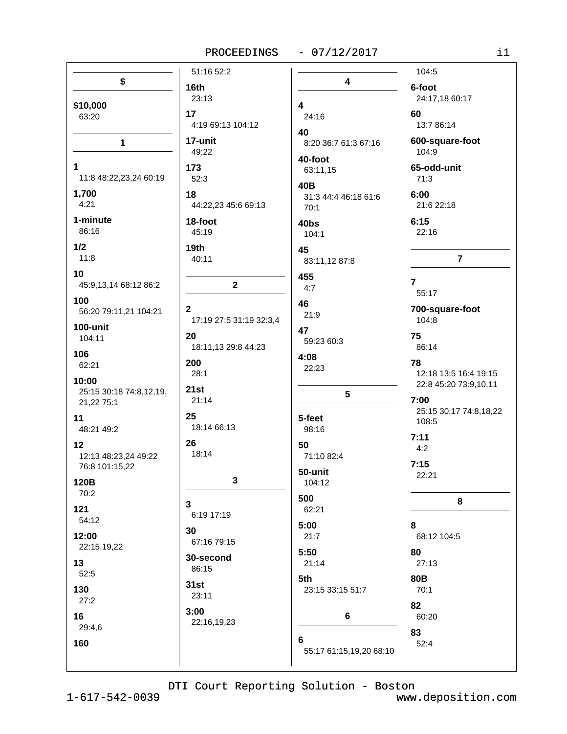PROCEEDINGS - 07/12/2017

|                         | 51:16 52:2              |                              | 104:5                           |
|-------------------------|-------------------------|------------------------------|---------------------------------|
| \$                      | 16th                    | 4                            | 6-foot                          |
|                         | 23:13                   |                              | 24:17,18 60:17                  |
| \$10,000                | 17                      | $\overline{\mathbf{4}}$      | 60                              |
| 63:20                   | 4:19 69:13 104:12       | 24:16                        | 13:7 86:14                      |
|                         | 17-unit                 | 40                           | 600-square-foot                 |
| $\mathbf 1$             | 49:22                   | 8:20 36:7 61:3 67:16         | 104:9                           |
| $\mathbf 1$             | 173                     | 40-foot                      | 65-odd-unit                     |
| 11:8 48:22,23,24 60:19  | 52:3                    | 63:11,15                     | 71:3                            |
| 1,700                   | 18                      | 40B                          | 6:00                            |
| 4:21                    | 44:22,23 45:6 69:13     | 31:3 44:4 46:18 61:6<br>70:1 | 21:6 22:18                      |
| 1-minute                | 18-foot                 |                              | 6:15                            |
| 86:16                   | 45:19                   | 40bs<br>104:1                | 22:16                           |
| 1/2                     | 19th                    |                              |                                 |
| 11:8                    | 40:11                   | 45<br>83:11,12 87:8          | $\overline{7}$                  |
| 10                      |                         |                              |                                 |
| 45:9,13,14 68:12 86:2   | $\mathbf{2}$            | 455<br>4:7                   | $\overline{7}$                  |
| 100                     |                         |                              | 55:17                           |
| 56:20 79:11,21 104:21   | $\mathbf{2}$            | 46<br>21:9                   | 700-square-foot                 |
| 100-unit                | 17:19 27:5 31:19 32:3,4 |                              | 104:8                           |
| 104:11                  | 20                      | 47<br>59:23 60:3             | 75                              |
| 106                     | 18:11,13 29:8 44:23     |                              | 86:14                           |
| 62:21                   | 200                     | 4:08<br>22:23                | 78                              |
| 10:00                   | 28:1                    |                              | 12:18 13:5 16:4 19:15           |
| 25:15 30:18 74:8,12,19, | 21st                    | $5\phantom{.0}$              | 22:8 45:20 73:9,10,11           |
| 21,22 75:1              | 21:14                   |                              | 7:00                            |
| 11                      | 25                      | 5-feet                       | 25:15 30:17 74:8,18,22<br>108:5 |
| 48:21 49:2              | 18:14 66:13             | 98:16                        |                                 |
| 12                      | 26                      | 50                           | 7:11<br>4:2                     |
| 12:13 48:23,24 49:22    | 18:14                   | 71:10 82:4                   |                                 |
| 76:8 101:15,22          |                         | 50-unit                      | 7:15<br>22:21                   |
| 120B                    | 3                       | 104:12                       |                                 |
| 70:2                    | 3                       | 500                          | 8                               |
| 121                     | 6:19 17:19              | 62:21                        |                                 |
| 54:12                   | 30                      | 5:00                         | 8                               |
| 12:00                   | 67:16 79:15             | 21:7                         | 68:12 104:5                     |
| 22:15,19,22             | 30-second               | 5:50                         | 80                              |
| 13                      | 86:15                   | 21:14                        | 27:13                           |
| 52:5                    | 31st                    | 5th                          | <b>80B</b>                      |
| 130                     | 23:11                   | 23:15 33:15 51:7             | 70:1                            |
| 27:2                    | 3:00                    |                              | 82                              |
| 16                      | 22:16,19,23             | 6                            | 60:20                           |
| 29:4,6                  |                         |                              | 83                              |
| 160                     |                         | 6<br>55:17 61:15,19,20 68:10 | 52:4                            |
|                         |                         |                              |                                 |

DTI Court Reporting Solution - Boston

 $1 - 617 - 542 - 0039$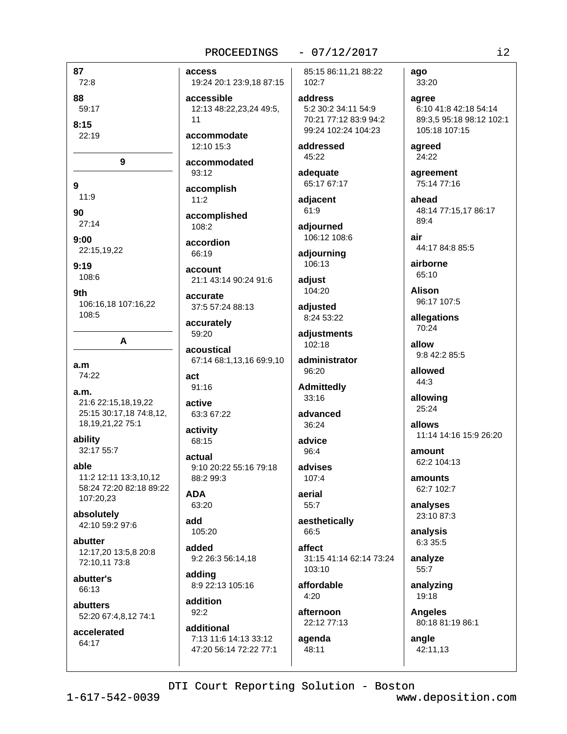#### $-07/12/2017$

87 72:8

88 59:17

 $8:15$ 

22:19

9

 $\mathbf{Q}$ 

 $11:9$ 90

 $27:14$  $9:00$ 

22:15,19,22

 $9:19$ 108:6

9th 106:16,18 107:16,22 108:5

A

 $a.m$ 

74:22

 $a.m.$ 21:6 22:15,18,19,22 25:15 30:17,18 74:8,12, 18, 19, 21, 22 75: 1

ability 32:17 55:7

able 11:2 12:11 13:3.10.12 58:24 72:20 82:18 89:22 107:20,23

absolutely 42:10 59:2 97:6

abutter 12:17,20 13:5,8 20:8 72:10,11 73:8

abutter's 66:13

abutters 52:20 67:4,8,12 74:1

accelerated 64:17

access 19:24 20:1 23:9,18 87:15

accessible 12:13 48:22.23.24 49:5.  $11$ 

accommodate 12:10 15:3

accommodated  $93:12$ 

accomplish  $11:2$ 

accomplished 108:2

accordion 66:19

account 21:1 43:14 90:24 91:6

accurate 37:5 57:24 88:13

accurately 59:20

acoustical 67:14 68:1,13,16 69:9,10

act 91:16

active 63:3 67:22

activity 68:15

actual 9:10 20:22 55:16 79:18 88:2 99:3

**ADA** 63:20

add 105:20

added 9:2 26:3 56:14,18

adding 8:9 22:13 105:16

addition  $92:2$ 

additional 7:13 11:6 14:13 33:12 47:20 56:14 72:22 77:1 85:15 86:11,21 88:22 102:7

address 5:2 30:2 34:11 54:9 70:21 77:12 83:9 94:2 99:24 102:24 104:23

addressed 45:22

adequate 65:17 67:17

adjacent 61:9

adjourned 106:12 108:6

adjourning 106:13

adjust 104:20

adjusted 8:24 53:22

adjustments 102:18

administrator 96:20

**Admittedly** 33:16

advanced  $36.24$ 

advice  $96:4$ 

advises  $107.4$ 

aerial 55:7

aesthetically 66:5

affect 31:15 41:14 62:14 73:24 103:10

affordable  $4:20$ 

afternoon 22:12 77:13

agenda  $48:11$ 

ago 33:20

agree 6:10 41:8 42:18 54:14 89:3.5 95:18 98:12 102:1 105:18 107:15

agreed 24:22

agreement 75:14 77:16

ahead 48:14 77:15.17 86:17 89:4

air 44:17 84:8 85:5

airborne 65:10

**Alison** 96:17 107:5

allegations 70:24

allow 9:8 42:2 85:5

allowed 44:3

allowing 25:24

allows 11:14 14:16 15:9 26:20

amount 62:2 104:13

amounts 62:7 102:7

analyses 23:10 87:3

analysis 6:3 35:5

analyze 55:7

analyzing 19:18

**Angeles** 80:18 81:19 86:1

angle 42:11.13

DTI Court Reporting Solution - Boston

 $1 - 617 - 542 - 0039$ 

www.deposition.com

 $i2$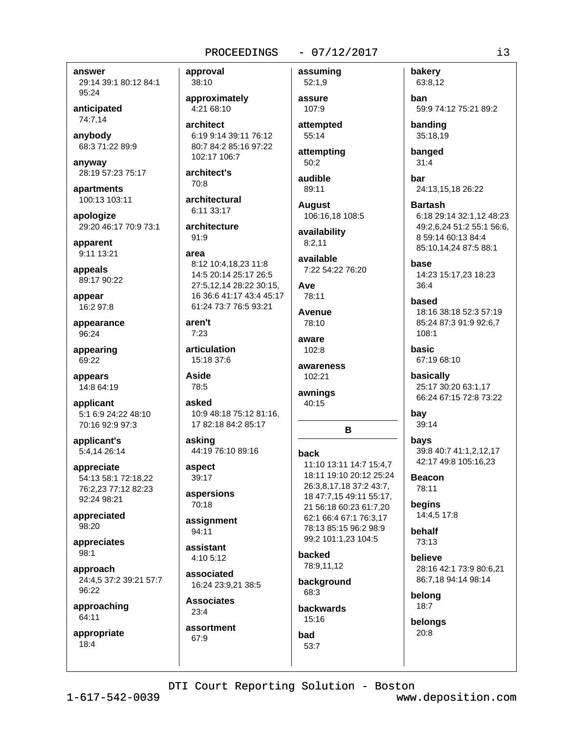#### $-07/12/2017$

answer

29:14 39:1 80:12 84:1 95:24

anticipated 74:7.14

anybody 68:3 71:22 89:9

anyway 28:19 57:23 75:17

apartments 100:13 103:11

apologize 29:20 46:17 70:9 73:1

apparent 9:11 13:21

appeals 89:17 90:22

appear 16:2 97:8

appearance 96:24

appearing 69:22

appears 14:8 64:19

applicant 5:1 6:9 24:22 48:10 70:16 92:9 97:3

applicant's 5:4,14 26:14

appreciate 54:13 58:1 72:18,22 76:2,23 77:12 82:23 92:24 98:21

appreciated 98:20

appreciates  $98:1$ 

approach 24:4,5 37:2 39:21 57:7 96:22

approaching 64:11

appropriate  $18:4$ 

approval 38:10

approximately 4:21 68:10

architect 6:19 9:14 39:11 76:12 80:7 84:2 85:16 97:22 102:17 106:7

architect's 70:8

architectural 6:11 33:17

architecture 91:9

#### area

8:12 10:4,18,23 11:8 14:5 20:14 25:17 26:5 27:5,12,14 28:22 30:15, 16 36:6 41:17 43:4 45:17 61:24 73:7 76:5 93:21

#### aren't  $7:23$

articulation  $15.18.376$ 

Aside 78:5

asked 10:9 48:18 75:12 81:16. 17 82:18 84:2 85:17

asking 44:19 76:10 89:16

aspect 39:17

aspersions 70:18

assignment 94:11

assistant  $4.105.12$ 

associated 16:24 23:9.21 38:5

**Associates**  $23:4$ assortment

67:9

 $52:1,9$ assure 107:9

assuming

attempted 55:14

attempting  $50:2$ 

audible 89:11

**August** 106:16.18 108:5

availability  $8:2,11$ 

available 7:22 54:22 76:20

**Ave** 78:11

Avenue 78:10

aware 102:8

awareness 102:21

awnings 40:15

**hack** 11:10 13:11 14:7 15:4.7 18:11 19:10 20:12 25:24 26:3,8,17,18 37:2 43:7, 18 47:7,15 49:11 55:17, 21 56:18 60:23 61:7.20 62:1 66:4 67:1 76:3.17 78:13 85:15 96:2 98:9 99:2 101:1,23 104:5

R

backed 78:9,11,12

background 68:3 **backwards** 

 $15:16$ bad

53:7

63:8,12 **ban** 59:9 74:12 75:21 89:2

banding 35:18,19

bakery

banged  $31:4$ 

bar 24:13,15,18 26:22

**Bartash** 6:18 29:14 32:1.12 48:23 49:2,6,24 51:2 55:1 56:6, 8 59:14 60:13 84:4 85:10,14,24 87:5 88:1

base 14:23 15:17,23 18:23 36:4

based 18:16 38:18 52:3 57:19 85:24 87:3 91:9 92:6,7 108:1

basic 67:19 68:10

basically 25:17 30:20 63:1.17 66:24 67:15 72:8 73:22

bay 39:14

bavs 39:8 40:7 41:1.2.12.17 42:17 49:8 105:16.23

**Beacon** 78:11

beains 14:4,5 17:8

behalf 73:13

**believe** 28:16 42:1 73:9 80:6,21 86:7,18 94:14 98:14

belong  $18:7$ 

belongs 20:8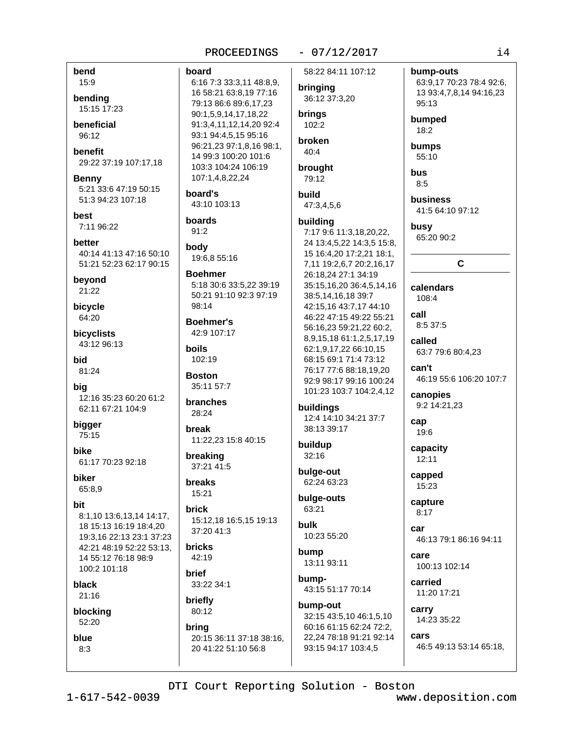#### $-07/12/2017$

# bending 15:15 17:23

bend

15:9

**beneficial** 96:12

benefit 29:22 37:19 107:17,18

**Benny** 5:21 33:6 47:19 50:15 51:3 94:23 107:18

best 7:11 96:22

better 40:14 41:13 47:16 50:10 51:21 52:23 62:17 90:15

beyond 21:22

bicycle 64:20

bicyclists 43:12 96:13

**bid** 81:24

big 12:16 35:23 60:20 61:2 62:11 67:21 104:9

bigger 75:15

hike 61:17 70:23 92:18

**biker** 65:8,9

**hit** 

8:1,10 13:6,13,14 14:17, 18 15:13 16:19 18:4,20 19:3.16 22:13 23:1 37:23 42:21 48:19 52:22 53:13. 14 55:12 76:18 98:9 100:2 101:18

black 21:16

blocking

52:20

blue  $8:3$ 

PROCEEDINGS board 6:16 7:3 33:3,11 48:8,9, 16 58:21 63:8,19 77:16 79:13 86:6 89:6.17.23 90:1.5.9.14.17.18.22 brings 91:3,4,11,12,14,20 92:4 93:1 94:4,5,15 95:16 broken 96:21,23 97:1,8,16 98:1, 14 99:3 100:20 101:6 103:3 104:24 106:19 brought 107:1,4,8,22,24 board's build 43:10 103:13 boards  $91:2$ body 19:6.8 55:16 **Boehmer** 5:18 30:6 33:5,22 39:19 50:21 91:10 92:3 97:19  $98.14$ **Boehmer's** 42:9 107:17 **hoils** 102:19 **Boston** 35:11 57:7 **branches** 28:24 hreak 11:22,23 15:8 40:15 breaking 37:21 41:5 **breaks** 

15:21 **brick** 

15:12,18 16:5,15 19:13 37:20 41:3

**bricks** 42:19

**brief** 33:22 34:1

briefly 80:12

bring 20:15 36:11 37:18 38:16, 20 41:22 51:10 56:8

58:22 84:11 107:12

bringing 36:12 37:3,20

 $102:2$ 

 $40:4$ 

79:12

47:3.4.5.6

#### building

7:17 9:6 11:3,18,20,22, 24 13:4,5,22 14:3,5 15:8, 15 16:4,20 17:2,21 18:1, 7,11 19:2,6,7 20:2,16,17 26:18,24 27:1 34:19 35:15,16,20 36:4,5,14,16 38:5,14,16,18 39:7 42:15,16 43:7,17 44:10 46:22 47:15 49:22 55:21 56:16,23 59:21,22 60:2, 8,9,15,18 61:1,2,5,17,19 62:1,9,17,22 66:10,15 68:15 69:1 71:4 73:12 76:17 77:6 88:18.19.20 92:9 98:17 99:16 100:24 101:23 103:7 104:2,4,12

buildings 12:4 14:10 34:21 37:7 38:13 39:17

buildup  $32:16$ 

bulge-out 62:24 63:23

bulge-outs 63:21

**bulk** 10:23 55:20

bump 13:11 93:11

bump-43:15 51:17 70:14

bump-out 32:15 43:5,10 46:1,5,10 60:16 61:15 62:24 72:2. 22,24 78:18 91:21 92:14 93:15 94:17 103:4,5

55:10 **bus**  $8.5$ business

bump-outs

95:13

bumped

18:2

bumps

63:9,17 70:23 78:4 92:6,

13 93:4,7,8,14 94:16,23

41:5 64:10 97:12

busy 65:20 90:2

 $\mathbf{C}$ 

calendars 108:4

call 8:5 37:5

called 63:7 79:6 80:4,23

 $can't$ 46:19 55:6 106:20 107:7

canopies 9:2 14:21,23

cap 19:6

capacity 12:11

capped 15:23

capture  $8:17$ 

car 46:13 79:1 86:16 94:11

care 100:13 102:14

carried 11:20 17:21

carry 14:23 35:22

cars 46:5 49:13 53:14 65:18,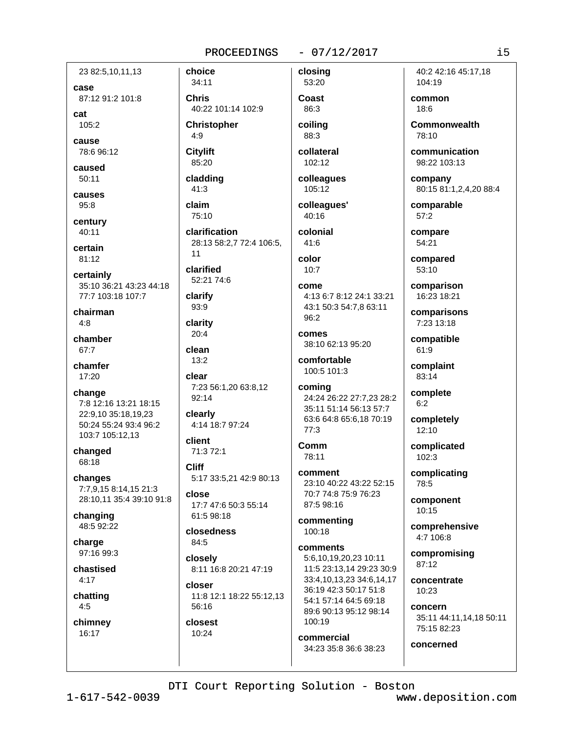#### $-07/12/2017$

23 82:5,10,11,13 case 87:12 91:2 101:8

cat 105:2

cause 78:6 96:12

caused  $50:11$ 

causes  $95:8$ 

century  $40:11$ 

certain 81:12

certainly 35:10 36:21 43:23 44:18 77:7 103:18 107:7

chairman  $4:8$ 

chamber 67:7

chamfer  $17:20$ 

change 7:8 12:16 13:21 18:15 22:9.10 35:18.19.23 50:24 55:24 93:4 96:2 103:7 105:12,13

changed 68:18

changes 7:7,9,15 8:14,15 21:3 28:10,11 35:4 39:10 91:8

changing 48:5 92:22

charge 97:16 99:3

chastised  $4:17$ 

chatting  $4:5$ 

chimney 16:17

34:11 **Chris** 40:22 101:14 102:9

**Christopher**  $4:9$ 

**Citylift** 85:20

choice

cladding  $41:3$ 

claim

75:10 clarification 28:13 58:2,7 72:4 106:5,  $11$ 

clarified 52:21 74:6

clarify 93:9

clarity  $20:4$ 

clean  $13:2$ 

clear 7:23 56:1,20 63:8,12 92:14

clearly 4:14 18:7 97:24

client 71:3 72:1

**Cliff** 5:17 33:5,21 42:9 80:13

close 17:7 47:6 50:3 55:14 61:5 98:18

closedness 84:5

closelv 8:11 16:8 20:21 47:19

closer 11:8 12:1 18:22 55:12,13 56:16

closest 10:24

Coast 86:3

closing

53:20

coiling 88:3 collateral

 $102:12$ 

colleagues 105:12

colleagues' 40:16

colonial  $41:6$ 

color  $10:7$ 

come 4:13 6:7 8:12 24:1 33:21 43:1 50:3 54:7,8 63:11 96:2

comes 38:10 62:13 95:20

comfortable 100:5 101:3

coming 24:24 26:22 27:7,23 28:2 35:11 51:14 56:13 57:7 63:6 64:8 65:6,18 70:19 77:3

Comm 78:11

comment 23:10 40:22 43:22 52:15 70:7 74:8 75:9 76:23 87:5 98:16

commenting 100:18

comments 5:6.10.19.20.23 10:11 11:5 23:13,14 29:23 30:9 33:4,10,13,23 34:6,14,17 36:19 42:3 50:17 51:8 54:1 57:14 64:5 69:18 89:6 90:13 95:12 98:14 100:19

commercial 34:23 35:8 36:6 38:23

40:2 42:16 45:17.18 104:19

common 18:6

Commonwealth 78:10

communication 98:22 103:13

company 80:15 81:1,2,4,20 88:4

comparable  $57:2$ 

compare 54:21

compared  $53:10$ 

comparison 16:23 18:21

comparisons 7:23 13:18

compatible 61:9

complaint 83:14

complete  $6:2$ 

completely  $12:10$ 

complicated  $102:3$ 

complicating 78:5

component  $10:15$ 

comprehensive  $4:7$  106:8

compromising  $87:12$ 

concentrate 10:23

concern 35:11 44:11,14,18 50:11 75:15 82:23

concerned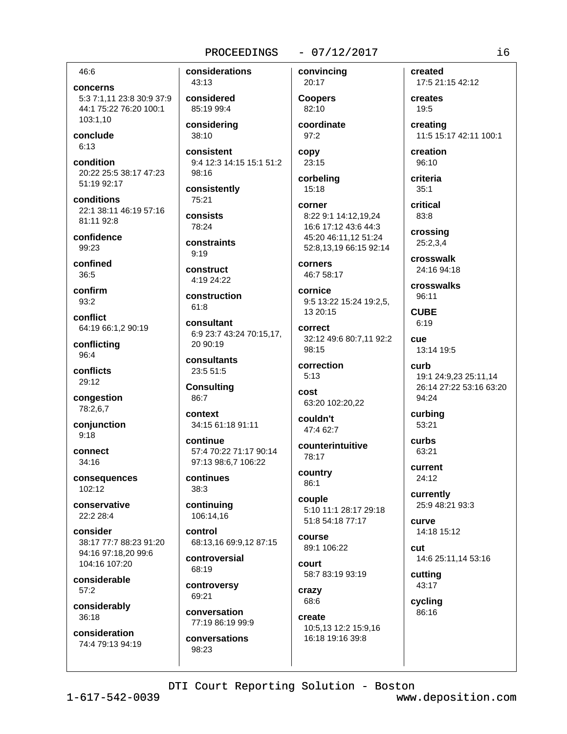#### $-07/12/2017$

#### 46:6

concerns 5:3 7:1,11 23:8 30:9 37:9 44:1 75:22 76:20 100:1 103:1,10

conclude  $6:13$ 

condition 20:22 25:5 38:17 47:23 51:19 92:17

conditions 22:1 38:11 46:19 57:16 81:11 92:8

confidence  $99:23$ 

confined  $36:5$ 

confirm 93:2

conflict 64:19 66:1,2 90:19

conflicting 96:4

conflicts 29:12

congestion 78:2,6,7

conjunction  $9:18$ 

connect  $34:16$ 

consequences 102:12

conservative 22:2 28:4

consider 38:17 77:7 88:23 91:20 94:16 97:18.20 99:6 104:16 107:20

considerable  $57:2$ 

considerably  $36:18$ 

consideration 74:4 79:13 94:19 considerations 43:13

considered 85:19 99:4

considering 38:10

consistent 9:4 12:3 14:15 15:1 51:2 98:16

consistently 75:21

consists  $78.24$ 

constraints  $9:19$ 

construct  $4.1924.22$ 

construction  $61:8$ 

consultant 6:9 23:7 43:24 70:15,17, 20 90:19

consultants 23:5 51:5

**Consulting** 86:7

context 34:15 61:18 91:11

continue 57:4 70:22 71:17 90:14 97:13 98:6.7 106:22

continues 38:3

continuing 106:14,16

control 68:13.16 69:9.12 87:15

controversial 68:19

controversy 69:21

conversation 77:19 86:19 99:9 conversations

98:23

convincing 20:17 **Coopers** 82:10

coordinate 97:2

copy  $23:15$ corbeling

15:18

#### corner 8:22 9:1 14:12.19.24 16:6 17:12 43:6 44:3 45:20 46:11,12 51:24 52:8.13.19 66:15 92:14

corners 46:7 58:17

cornice 9:5 13:22 15:24 19:2.5. 13 20:15

correct 32:12 49:6 80:7,11 92:2 98:15

correction  $5:13$ 

cost 63:20 102:20,22

couldn't 47:4 62:7

counterintuitive 78:17

country 86:1

couple 5:10 11:1 28:17 29:18 51:8 54:18 77:17

course 89:1 106:22

court 58:7 83:19 93:19

crazy 68:6

create 10:5,13 12:2 15:9,16 16:18 19:16 39:8

created 17:5 21:15 42:12

creates 19:5

creating 11:5 15:17 42:11 100:1

creation  $96:10$ 

criteria

 $35:1$ critical

83:8 crossing

25:2,3,4 crosswalk

24:16 94:18

crosswalks 96:11

**CUBE**  $6:19$ 

cue 13:14 19:5

curb 19:1 24:9,23 25:11,14 26:14 27:22 53:16 63:20 94:24

curbing 53:21

curbs 63:21

current  $24:12$ 

currently 25:9 48:21 93:3

curve 14:18 15:12

cut 14:6 25:11,14 53:16

cutting 43:17

cycling 86:16

DTI Court Reporting Solution - Boston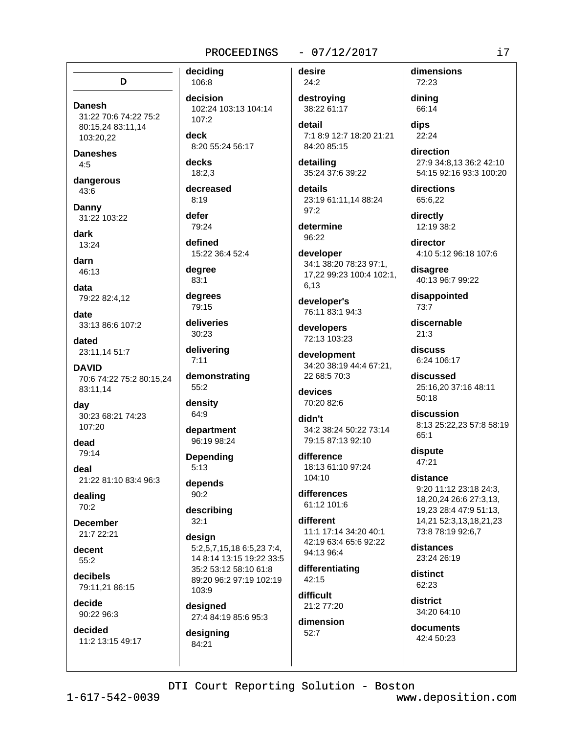# D

**Danesh** 31:22 70:6 74:22 75:2 80:15,24 83:11,14 103:20.22

**Daneshes**  $4.5$ 

dangerous  $43:6$ 

**Danny** 31:22 103:22

dark 13:24

darn 46:13

data 79:22 82:4,12

date 33:13 86:6 107:2

dated 23:11,14 51:7

**DAVID** 70:6 74:22 75:2 80:15,24 83:11.14

day 30:23 68:21 74:23  $107.20$ 

dead 79:14

deal 21:22 81:10 83:4 96:3

dealing  $70:2$ 

**December** 21:7 22:21

decent  $55:2$ 

decibels 79:11,21 86:15

decide 90:22 96:3

decided 11:2 13:15 49:17

106:8 decision 102:24 103:13 104:14 107:2

deck 8:20 55:24 56:17

decks  $18:2.3$ 

deciding

decreased  $8:19$ 

defer 79:24

defined 15:22 36:4 52:4

dearee  $83:1$ 

degrees 79:15

deliveries 30:23

delivering  $7:11$ 

demonstrating  $55:2$ 

density 64:9

department 96:19 98:24

Depending  $5:13$ 

depends  $90:2$ 

describing  $32:1$ 

design 5:2.5.7.15.18 6:5.23 7:4. 14 8:14 13:15 19:22 33:5 35:2 53:12 58:10 61:8 89:20 96:2 97:19 102:19 103:9

designed 27:4 84:19 85:6 95:3

designing 84:21

 $-07/12/2017$ 

desire  $24:2$ 

destroying 38:22 61:17

detail 7:1 8:9 12:7 18:20 21:21 84:20 85:15

detailing 35:24 37:6 39:22

details 23:19 61:11,14 88:24  $97:2$ 

determine 96:22

developer 34:1 38:20 78:23 97:1, 17.22 99:23 100:4 102:1. 6,13

developer's 76:11 83:1 94:3

developers 72:13 103:23

development 34:20 38:19 44:4 67:21. 22 68:5 70:3

devices 70:20 82:6

didn't 34:2 38:24 50:22 73:14 79:15 87:13 92:10

difference 18:13 61:10 97:24 104:10

differences 61:12 101:6

different 11:1 17:14 34:20 40:1 42:19 63:4 65:6 92:22 94:13 96:4

differentiating 42:15

difficult 21:2 77:20

dimension  $52:7$ 

dimensions 72:23

dining 66:14

dips 22:24

direction 27:9 34:8.13 36:2 42:10 54:15 92:16 93:3 100:20

directions 65:6,22

directly 12:19 38:2

director 4:10 5:12 96:18 107:6

disagree 40:13 96:7 99:22

disappointed  $73:7$ 

discernable  $21:3$ 

discuss 6:24 106:17

discussed 25:16,20 37:16 48:11  $50:18$ 

discussion 8:13 25:22.23 57:8 58:19  $65:1$ 

dispute 47:21

distance 9:20 11:12 23:18 24:3, 18,20,24 26:6 27:3,13, 19,23 28:4 47:9 51:13, 14,21 52:3,13,18,21,23 73:8 78:19 92:6,7

distances 23:24 26:19

distinct 62:23

district 34:20 64:10

documents 42:4 50:23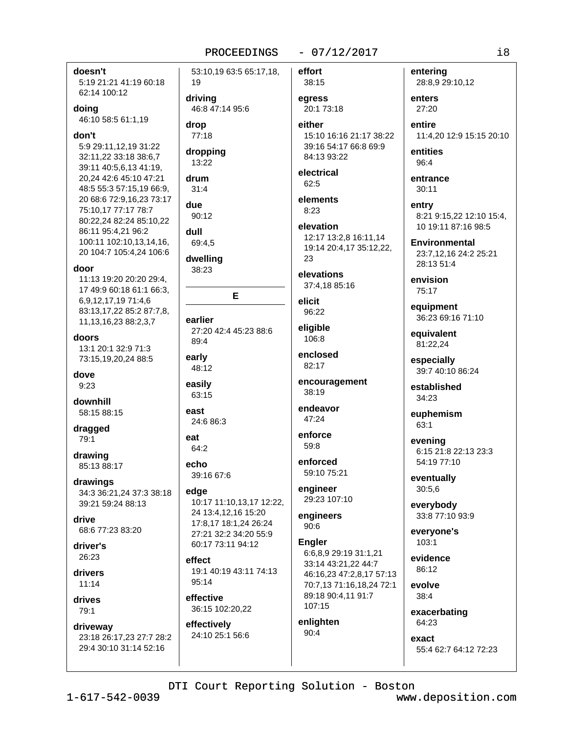53:10,19 63:5 65:17,18,

19

#### $-07/12/2017$

 $i8$ 

# doesn't 5:19 21:21 41:19 60:18 62:14 100:12 doing 46:10 58:5 61:1,19 don't 5:9 29:11,12,19 31:22 32:11,22 33:18 38:6,7 39:11 40:5,6,13 41:19, 20,24 42:6 45:10 47:21 48:5 55:3 57:15.19 66:9. 20 68:6 72:9,16,23 73:17 75:10,17 77:17 78:7 80:22,24 82:24 85:10,22 86:11 95:4,21 96:2 100:11 102:10.13.14.16. 20 104:7 105:4.24 106:6 door 11:13 19:20 20:20 29:4. 17 49:9 60:18 61:1 66:3, 6,9,12,17,19 71:4,6 83:13,17,22 85:2 87:7,8, 11, 13, 16, 23 88: 2, 3, 7 doors 13:1 20:1 32:9 71:3 73:15,19,20,24 88:5 dove  $9.23$ downhill 58:15 88:15 dragged 79:1 drawing 85:13 88:17 drawings 34:3 36:21.24 37:3 38:18 39:21 59:24 88:13 drive 68:6 77:23 83:20 driver's 26:23 drivers  $11.14$ drives 79:1 driveway 23:18 26:17,23 27:7 28:2 29:4 30:10 31:14 52:16

driving 46:8 47:14 95:6 drop 77:18 dropping 13:22 drum  $31:4$ due 90:12 dull 69:4.5 dwelling 38:23 E earlier 27:20 42:4 45:23 88:6  $89.4$ early 48:12 easilv 63:15 east 24:686:3 eat 64:2 echo 39:16 67:6 edge 10:17 11:10,13,17 12:22, 24 13:4,12,16 15:20 17:8,17 18:1,24 26:24 27:21 32:2 34:20 55:9 60:17 73:11 94:12 effect 19:1 40:19 43:11 74:13 95:14 effective 36:15 102:20.22 effectively 24:10 25:1 56:6

effort 38:15 egress

20:1 73:18 either

15:10 16:16 21:17 38:22 39:16 54:17 66:8 69:9 84:13 93:22

electrical 62:5

elements  $8:23$ 

elevation 12:17 13:2,8 16:11,14 19:14 20:4,17 35:12,22, 23

elevations 37:4,18 85:16

elicit 96:22

eligible  $106:8$ 

enclosed 82:17

encouragement 38:19

endeavor 47:24

enforce  $59:8$ 

enforced 59:10 75:21

engineer 29:23 107:10

engineers  $90:6$ 

**Engler** 6:6.8.9 29:19 31:1.21 33:14 43:21,22 44:7 46:16,23 47:2,8,17 57:13 70:7.13 71:16.18.24 72:1 89:18 90:4,11 91:7 107:15

enlighten  $90:4$ 

27:20 entire 11:4,20 12:9 15:15 20:10

28:8,9 29:10,12

entities  $96:4$ 

entering

enters

entrance  $30:11$ 

entry 8:21 9:15.22 12:10 15:4. 10 19:11 87:16 98:5

**Environmental** 23:7,12,16 24:2 25:21 28:13 51:4

envision 75:17

equipment 36:23 69:16 71:10

equivalent 81:22,24

especially 39:7 40:10 86:24

established 34:23

euphemism 63:1

evening 6:15 21:8 22:13 23:3 54:19 77:10

eventually  $30:5,6$ 

everybody 33:8 77:10 93:9

everyone's  $103:1$ 

evidence  $86.12$ 

evolve  $38:4$ 

exacerbating 64:23

exact 55:4 62:7 64:12 72:23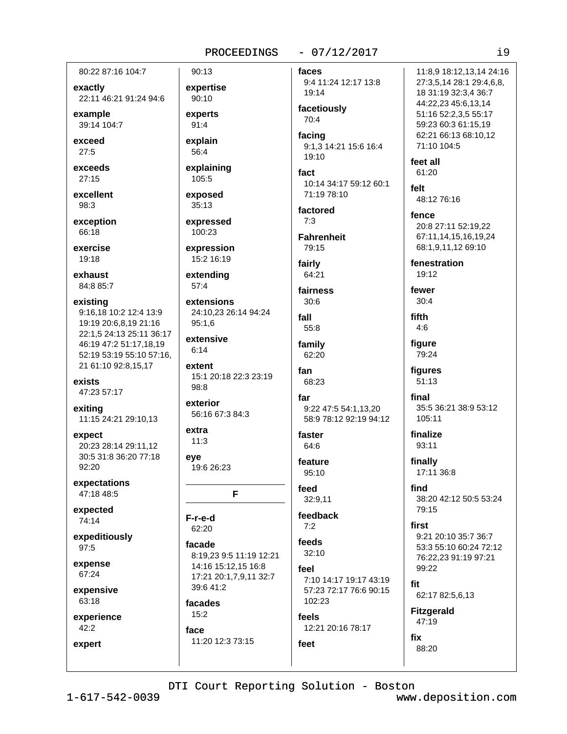#### $-07/12/2017$

80:22 87:16 104:7

exactly 22:11 46:21 91:24 94:6

example 39:14 104:7

exceed  $27:5$ 

exceeds  $27:15$ 

excellent 98:3

exception 66:18

exercise 19:18

exhaust 84:8 85:7

existing 9:16.18 10:2 12:4 13:9 19:19 20:6.8.19 21:16 22:1,5 24:13 25:11 36:17 46:19 47:2 51:17,18,19 52:19 53:19 55:10 57:16. 21 61:10 92:8,15,17

exists 47:23 57:17

exiting 11:15 24:21 29:10.13

expect 20:23 28:14 29:11.12 30:5 31:8 36:20 77:18  $92:20$ 

expectations 47:18 48:5

expected 74:14

expeditiously  $97:5$ 

expense 67:24

expensive 63:18

experience  $42:2$ 

expert

90:13 expertise 90:10 experts  $91:4$ explain 56:4

explaining 105:5

exposed  $35:13$ 

expressed 100:23

expression 15:2 16:19

extending  $57:4$ 

extensions 24:10.23 26:14 94:24  $95:1.6$ 

extensive  $6:14$ extent

15:1 20:18 22:3 23:19 98:8

exterior 56:16 67:3 84:3

extra  $11:3$ eve

19:6 26:23

F

F-r-e-d 62:20

facade 8:19,23 9:5 11:19 12:21 14:16 15:12,15 16:8 17:21 20:1,7,9,11 32:7 39:6 41:2

facades  $15:2$ 

11:20 12:3 73:15

face

faces 9:4 11:24 12:17 13:8

19:14 facetiously  $70:4$ 

facing 9:1,3 14:21 15:6 16:4 19:10

fact 10:14 34:17 59:12 60:1 71:19 78:10

factored  $7:3$ 

**Fahrenheit** 79:15

fairly  $64:21$ 

fairness  $30:6$ 

fall  $55:8$ 

family 62:20

fan 68:23

far 9:22 47:5 54:1,13,20 58:9 78:12 92:19 94:12

faster 64:6

feature 95:10

feed 32:9.11

feedback  $7:2$ 

feeds  $32:10$ 

feel 7:10 14:17 19:17 43:19 57:23 72:17 76:6 90:15 102:23

feels 12:21 20:16 78:17

11:8.9 18:12.13.14 24:16 27:3,5,14 28:1 29:4,6,8, 18 31:19 32:3,4 36:7 44:22.23 45:6.13.14 51:16 52:2,3,5 55:17 59:23 60:3 61:15,19 62:21 66:13 68:10.12 71:10 104:5 feet all 61:20 felt 48:12 76:16 fence 20:8 27:11 52:19,22 67:11,14,15,16,19,24 68:1.9.11.12 69:10 fenestration 19:12 fewer  $30:4$ fifth  $4:6$ 

figure 79:24

figures  $51:13$ 

final 35:5 36:21 38:9 53:12 105:11

finalize 93:11

finally 17:11 36:8

find 38:20 42:12 50:5 53:24 79:15

first 9:21 20:10 35:7 36:7 53:3 55:10 60:24 72:12 76:22,23 91:19 97:21  $99:22$ 

fit 62:17 82:5,6,13

**Fitzgerald** 47:19

DTI Court Reporting Solution - Boston

feet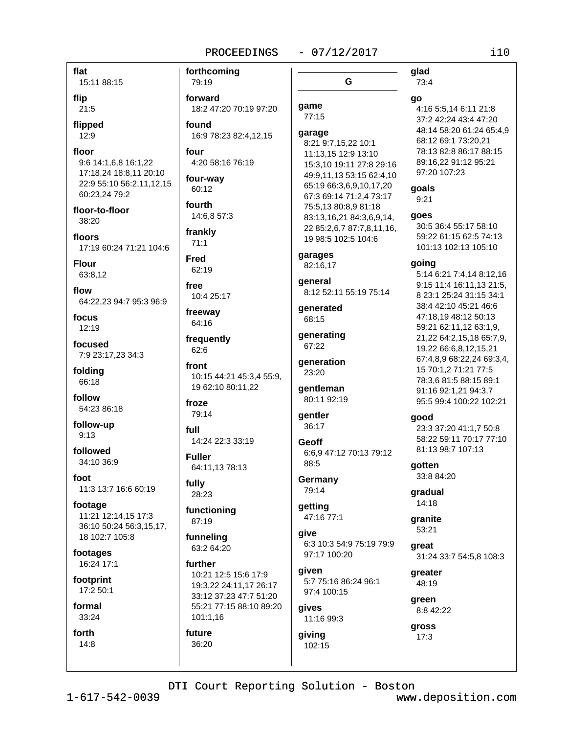#### $-07/12/2017$

flat 15:11 88:15

flip  $21:5$ 

flipped

 $12:9$ 

floor 9:6 14:1,6,8 16:1,22 17:18,24 18:8,11 20:10 22:9 55:10 56:2,11,12,15 60:23,24 79:2

floor-to-floor 38:20

floors 17:19 60:24 71:21 104:6

**Flour** 63:8.12

flow 64:22,23 94:7 95:3 96:9

focus  $12:19$ 

focused 7:9 23:17.23 34:3

folding 66:18

follow 54:23 86:18

follow-up  $9:13$ 

followed 34:10 36:9

foot 11:3 13:7 16:6 60:19

footage 11:21 12:14,15 17:3 36:10 50:24 56:3,15,17, 18 102:7 105:8

footages 16:24 17:1

footprint 17:2 50:1

formal 33:24

forth  $14:8$ 

79:19 forward 18:2 47:20 70:19 97:20 found

16:9 78:23 82:4,12,15 four

4:20 58:16 76:19 four-way

forthcoming

60:12

fourth 14:6.8 57:3

frankly  $71:1$ 

**Fred** 62:19

 $fr\alpha$ 10:4 25:17

freeway 64:16

frequently 62:6

front 10:15 44:21 45:3.4 55:9. 19 62:10 80:11,22

froze 79:14

full 14:24 22:3 33:19

**Fuller** 64:11,13 78:13

fully 28:23

functioning 87:19

funneling 63:2 64:20

further 10:21 12:5 15:6 17:9 19:3,22 24:11,17 26:17 33:12 37:23 47:7 51:20 55:21 77:15 88:10 89:20  $101:1.16$ 

future 36:20 G

# game

 $77:15$ garage

8:21 9:7,15,22 10:1 11:13,15 12:9 13:10 15:3.10 19:11 27:8 29:16 49:9,11,13 53:15 62:4,10 65:19 66:3,6,9,10,17,20 67:3 69:14 71:2.4 73:17 75:5,13 80:8,9 81:18 83:13,16,21 84:3,6,9,14, 22 85:2,6,7 87:7,8,11,16, 19 98:5 102:5 104:6

garages 82:16,17

general 8:12 52:11 55:19 75:14

**generated**  $68.15$ 

generating 67:22 generation

23:20 qentleman

80:11 92:19

qentler 36:17

Geoff 6:6.9 47:12 70:13 79:12 88:5

Germany 79:14

getting 47:16 77:1

give 6:3 10:3 54:9 75:19 79:9 97:17 100:20

qiven 5:7 75:16 86:24 96:1 97:4 100:15

gives 11:16 99:3

giving 102:15 73:4 4:16 5:5.14 6:11 21:8 37:2 42:24 43:4 47:20 48:14 58:20 61:24 65:4,9 68:12 69:1 73:20.21 78:13 82:8 86:17 88:15 89:16.22 91:12 95:21

97:20 107:23

qoals

glad

go

 $9:21$ 

#### qoes

30:5 36:4 55:17 58:10 59:22 61:15 62:5 74:13 101:13 102:13 105:10

#### qoing

5:14 6:21 7:4.14 8:12.16 9:15 11:4 16:11,13 21:5, 8 23:1 25:24 31:15 34:1 38:4 42:10 45:21 46:6 47:18.19 48:12 50:13 59:21 62:11,12 63:1,9, 21,22 64:2,15,18 65:7,9, 19,22 66:6,8,12,15,21 67:4,8,9 68:22,24 69:3,4, 15 70:1.2 71:21 77:5 78:3.6 81:5 88:15 89:1 91:16 92:1,21 94:3,7 95:5 99:4 100:22 102:21

good

23:3 37:20 41:1,7 50:8 58:22 59:11 70:17 77:10 81:13 98:7 107:13

gotten 33:8 84:20

aradual 14:18

aranite 53:21

areat 31:24 33:7 54:5,8 108:3

greater 48:19

areen 8:8 42:22

gross  $17:3$ 

DTI Court Reporting Solution - Boston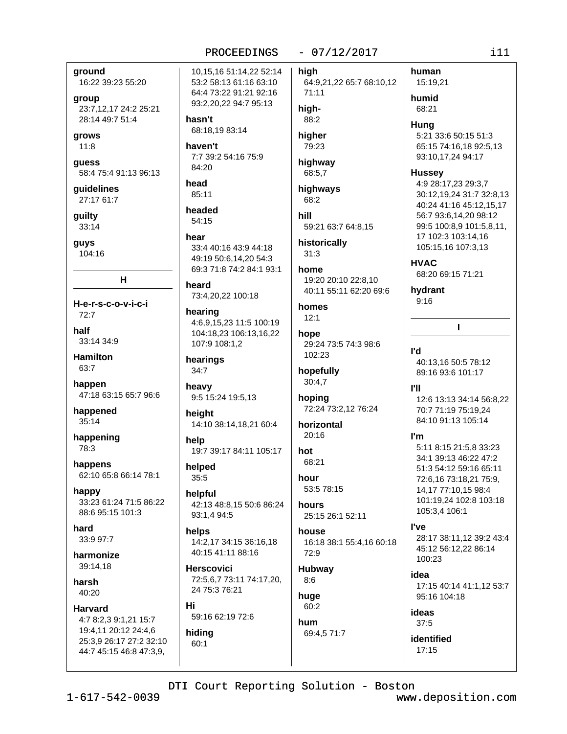#### $-07/12/2017$

around

16:22 39:23 55:20

group

23:7,12,17 24:2 25:21 28:14 49:7 51:4

grows  $11:8$ 

guess 58:4 75:4 91:13 96:13

guidelines 27:17 61:7

guilty  $33:14$ 

guys 104:16

 $H$ 

H-e-r-s-c-o-v-i-c-i  $72:7$ half

33:14 34:9

**Hamilton** 63:7

happen 47:18 63:15 65:7 96:6

happened  $35:14$ 

happening 78:3

happens 62:10 65:8 66:14 78:1

happy 33:23 61:24 71:5 86:22 88:6 95:15 101:3

hard  $33.997.7$ 

harmonize 39:14,18

harsh 40:20

**Harvard** 4:7 8:2.3 9:1.21 15:7

19:4,11 20:12 24:4,6 25:3,9 26:17 27:2 32:10 44:7 45:15 46:8 47:3,9,

10.15.16 51:14.22 52:14 53:2 58:13 61:16 63:10 64:4 73:22 91:21 92:16 93:2.20.22 94:7 95:13

hasn't 68:18,19 83:14

haven't 7:7 39:2 54:16 75:9  $84.20$ 

head 85:11

headed  $54:15$ 

hear 33:4 40:16 43:9 44:18 49:19 50:6,14,20 54:3 69:3 71:8 74:2 84:1 93:1

heard 73:4,20,22 100:18

hearing 4:6,9,15,23 11:5 100:19 104:18.23 106:13.16.22 107:9 108:1,2

hearings 34:7

heavy 9:5 15:24 19:5,13

height 14:10 38:14,18,21 60:4

help 19:7 39:17 84:11 105:17

helped  $35:5$ 

helpful 42:13 48:8.15 50:6 86:24 93:1,4 94:5

helps 14:2,17 34:15 36:16,18 40:15 41:11 88:16

**Herscovici** 72:5,6,7 73:11 74:17,20, 24 75:3 76:21

Hi 59:16 62:19 72:6

hiding  $60:1$ 

human hiah 64:9,21,22 65:7 68:10,12  $71:11$ humid hiah-68:21 88:2 Huna higher 79:23 highway 68:5.7 **Hussey** highways 68:2 hill 59:21 63:7 64:8.15 historically  $31:3$ **HVAC** home 19:20 20:10 22:8.10 40:11 55:11 62:20 69:6 homes  $12:1$ hope 29:24 73:5 74:3 98:6 l'd 102:23 hopefully  $30:4,7$ TII hoping 72:24 73:2,12 76:24 horizontal  $20:16$ I'm hot 68:21 hour 53:5 78:15 hours 25:15 26:1 52:11 l've house 16:18 38:1 55:4,16 60:18 72:9 Hubway

 $8:6$ huge 60:2

hum 69:4,5 71:7

# 15:19,21 5:21 33:6 50:15 51:3 65:15 74:16,18 92:5,13 93:10,17,24 94:17 4:9 28:17,23 29:3,7 30:12,19,24 31:7 32:8,13 40:24 41:16 45:12,15,17 56:7 93:6,14,20 98:12 99:5 100:8,9 101:5,8,11, 17 102:3 103:14,16 105:15.16 107:3.13

68:20 69:15 71:21

hydrant  $9:16$ 

40:13,16 50:5 78:12 89:16 93:6 101:17

 $\mathbf{I}$ 

12:6 13:13 34:14 56:8.22 70:7 71:19 75:19.24 84:10 91:13 105:14

5:11 8:15 21:5.8 33:23 34:1 39:13 46:22 47:2 51:3 54:12 59:16 65:11 72:6,16 73:18,21 75:9, 14,17 77:10,15 98:4 101:19,24 102:8 103:18 105:3,4 106:1

28:17 38:11,12 39:2 43:4 45:12 56:12.22 86:14 100:23

idea

17:15 40:14 41:1,12 53:7 95:16 104:18

ideas  $37:5$ 

identified 17:15

DTI Court Reporting Solution - Boston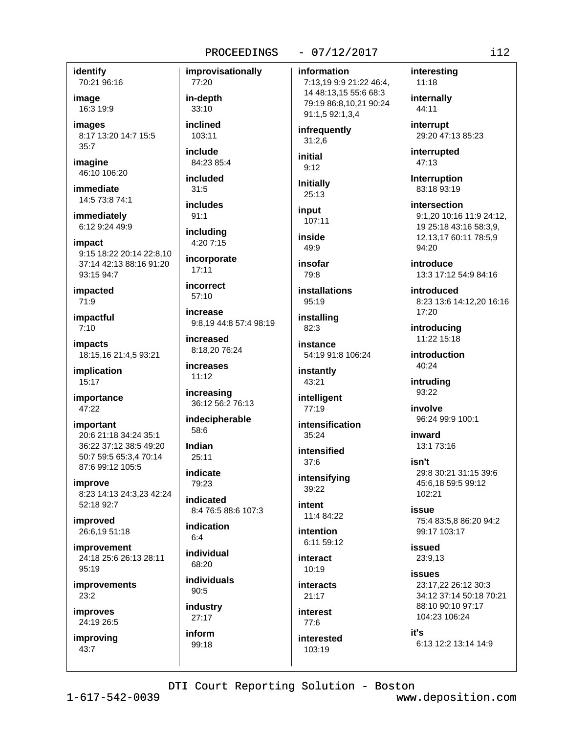#### $-07/12/2017$

identify 70:21 96:16

image 16:3 19:9

images 8:17 13:20 14:7 15:5  $35:7$ 

imagine 46:10 106:20

immediate 14:5 73:8 74:1

immediately 6:12 9:24 49:9

impact 9:15 18:22 20:14 22:8,10 37:14 42:13 88:16 91:20 93:15 94:7

impacted 71:9

impactful  $7:10$ 

impacts 18:15,16 21:4,5 93:21

implication 15:17

importance 47:22

important 20:6 21:18 34:24 35:1 36:22 37:12 38:5 49:20 50:7 59:5 65:3,4 70:14 87:6 99:12 105:5

improve 8:23 14:13 24:3,23 42:24 52:18 92:7

improved 26:6,19 51:18

improvement 24:18 25:6 26:13 28:11 95:19

improvements 23:2

improves 24:19 26:5

improving 43:7

improvisationally 77:20 in-depth 33:10 inclined 103:11 include 84:23 85:4 included  $31:5$ *includes* 

includina 4:20 7:15

 $91:1$ 

incorporate  $17:11$ 

incorrect 57:10

increase 9:8.19 44:8 57:4 98:19

increased 8:18,20 76:24

**increases**  $11:12$ 

increasing 36:12 56:2 76:13

indecipherable 58:6

Indian  $25:11$ 

indicate  $79.23$ 

indicated 8:4 76:5 88:6 107:3

indication  $6.4$ 

individual 68:20

individuals  $90:5$ industry  $27:17$ 

inform 99:18

information 7:13,19 9:9 21:22 46:4, 14 48:13,15 55:6 68:3 79:19 86:8,10,21 90:24 91:1,5 92:1,3,4

infrequently  $31:2,6$ 

initial  $9:12$ 

**Initially**  $25:13$ 

input 107:11

inside  $49:9$ 

insofar 79:8

**installations** 95:19

installing  $82:3$ 

instance 54:19 91:8 106:24

instantly 43:21

intelligent 77:19

intensification 35:24

intensified  $37:6$ 

intensifying 39:22

intent 11:4 84:22

**intention** 6:11 59:12

interact  $10:19$ 

interacts  $21:17$ 

**interest**  $77.6$ interested

 $103:19$ 

internally 44:11 interrupt 29:20 47:13 85:23

interesting

11:18

interrupted 47:13

**Interruption** 83:18 93:19

intersection 9:1.20 10:16 11:9 24:12. 19 25:18 43:16 58:3,9, 12, 13, 17 60: 11 78: 5, 9  $94:20$ 

introduce 13:3 17:12 54:9 84:16

introduced 8:23 13:6 14:12,20 16:16 17:20

introducing 11:22 15:18

introduction  $40.24$ 

intruding 93:22

involve 96:24 99:9 100:1

inward 13:1 73:16

isn't 29:8 30:21 31:15 39:6 45:6,18 59:5 99:12 102:21

issue 75:4 83:5,8 86:20 94:2 99:17 103:17

issued 23:9.13

**issues** 23:17.22 26:12 30:3 34:12 37:14 50:18 70:21 88:10 90:10 97:17 104:23 106:24

it's 6:13 12:2 13:14 14:9

DTI Court Reporting Solution - Boston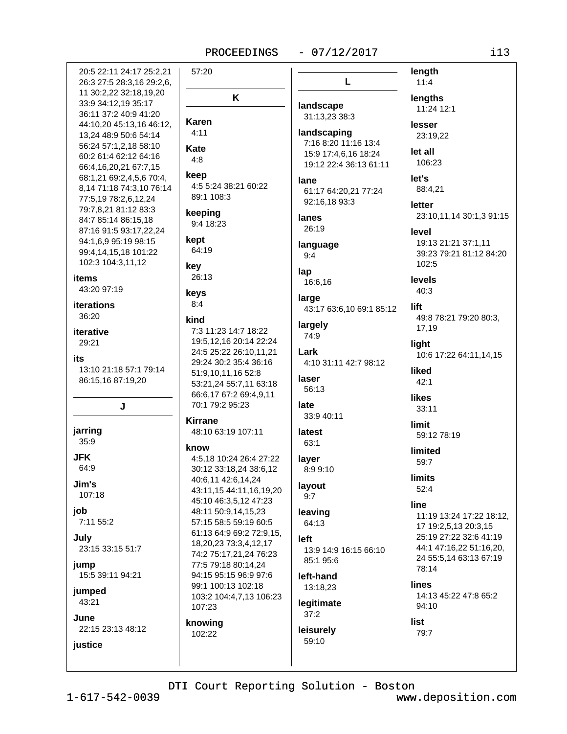K

#### $-07/12/2017$

20:5 22:11 24:17 25:2.21 57:20 26:3 27:5 28:3,16 29:2,6, 11 30:2,22 32:18,19,20 33:9 34:12.19 35:17 36:11 37:2 40:9 41:20 Karen 44:10,20 45:13,16 46:12,  $4:11$ 13.24 48:9 50:6 54:14 56:24 57:1,2,18 58:10 Kate 60:2 61:4 62:12 64:16  $4:8$ 66:4,16,20,21 67:7,15 keep 68:1,21 69:2,4,5,6 70:4, 4:5 5:24 38:21 60:22 8,14 71:18 74:3,10 76:14 89:1 108:3 77:5,19 78:2,6,12,24 79:7,8,21 81:12 83:3 keeping 84:7 85:14 86:15,18 9:4 18:23 87:16 91:5 93:17,22,24 kept 94:1.6.9 95:19 98:15 64:19 99:4.14.15.18 101:22 102:3 104:3,11,12 kev 26:13 items 43:20 97:19 keys  $8:4$ **iterations** 36:20 kind 7:3 11:23 14:7 18:22 iterative 29:21 24:5 25:22 26:10,11,21 its 29:24 30:2 35:4 36:16 13:10 21:18 57:1 79:14 51:9,10,11,16 52:8 86:15,16 87:19,20 66:6,17 67:2 69:4,9,11 70:1 79:2 95:23 J **Kirrane** jarring 48:10 63:19 107:11  $35:9$ know **JFK** 64:9 40:6,11 42:6,14,24 Jim's  $107:18$ 45:10 46:3,5,12 47:23 job 48:11 50:9.14.15.23 7:11 55:2 57:15 58:5 59:19 60:5 July 18.20.23 73:3.4.12.17 23:15 33:15 51:7 jump 77:5 79:18 80:14,24 15:5 39:11 94:21 94:15 95:15 96:9 97:6 99:1 100:13 102:18 jumped 43:21 107:23 June knowing 22:15 23:13 48:12 102:22 justice

L landscape 31:13,23 38:3 landscaping 7:16 8:20 11:16 13:4 15:9 17:4,6,16 18:24 19:12 22:4 36:13 61:11 lane 61:17 64:20.21 77:24 92:16,18 93:3 lanes 26:19 language  $9:4$ lap 16:6.16 large 43:17 63:6,10 69:1 85:12 largely 74:9 19:5,12,16 20:14 22:24 Lark 4:10 31:11 42:7 98:12 laser 53:21,24 55:7,11 63:18 56:13 late 33:9 40:11 latest  $63:1$ 4:5,18 10:24 26:4 27:22 layer 30:12 33:18,24 38:6,12 8:9 9:10 layout 43:11,15 44:11,16,19,20  $9:7$ leaving 64:13 61:13 64:9 69:2 72:9.15. left 13:9 14:9 16:15 66:10 74:2 75:17,21,24 76:23 85:1 95:6 left-hand 13:18,23 103:2 104:4,7,13 106:23 legitimate  $37:2$ leisurely 59:10

length  $11:4$ lengths 11:24 12:1 lesser 23:19,22 let all 106:23 let's 88:4,21 letter 23:10,11,14 30:1,3 91:15 level 19:13 21:21 37:1,11 39:23 79:21 81:12 84:20  $102:5$ levels  $40:3$ lift 49:8 78:21 79:20 80:3. 17,19 light 10:6 17:22 64:11,14,15 liked  $42:1$ likes  $33:11$ **limit** 59:12 78:19 limited 59:7 **limits**  $52:4$ line 11:19 13:24 17:22 18:12, 17 19:2,5,13 20:3,15 25:19 27:22 32:6 41:19 44:1 47:16,22 51:16,20, 24 55:5.14 63:13 67:19 78:14 lines 14:13 45:22 47:8 65:2 94:10 list  $79:7$ 

DTI Court Reporting Solution - Boston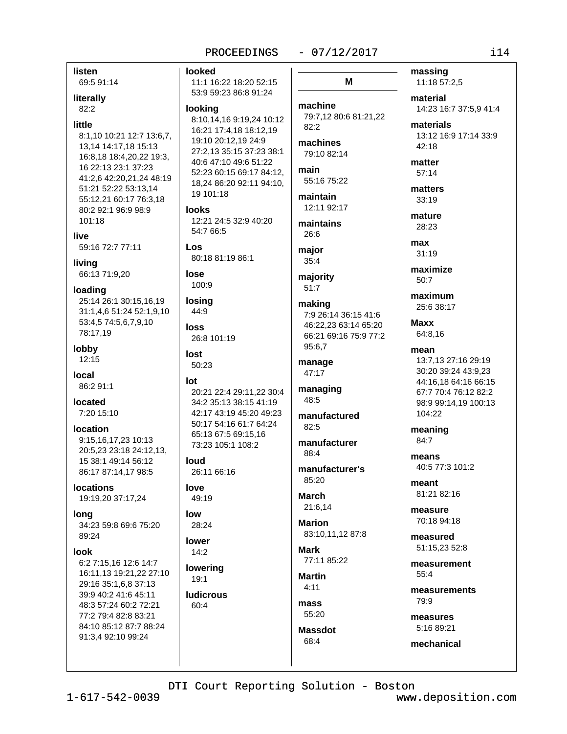#### $-07/12/2017$

looked 11:1 16:22 18:20 52:15 53:9 59:23 86:8 91:24 machine lookina 79:7,12 80:6 81:21,22 8:10.14.16 9:19.24 10:12  $82:2$ 16:21 17:4,18 18:12,19 19:10 20:12.19 24:9 machines 27:2,13 35:15 37:23 38:1 79:10 82:14 40:6 47:10 49:6 51:22 main 52:23 60:15 69:17 84:12, 55:16 75:22 18,24 86:20 92:11 94:10, 19 101:18 maintain 12:11 92:17 **looks** 12:21 24:5 32:9 40:20 maintains 54:7 66:5 26:6 Los major 80:18 81:19 86:1  $35:4$ lose majority 100:9  $51:7$ losing making 44:9 7:9 26:14 36:15 41:6 46:22.23 63:14 65:20 **loss** 66:21 69:16 75:9 77:2 26:8 101:19 95:6,7 lost manage 50:23 47:17 lot managing 20:21 22:4 29:11.22 30:4 48:5 34:2 35:13 38:15 41:19 42:17 43:19 45:20 49:23 manufactured 50:17 54:16 61:7 64:24  $82.5$ 65:13 67:5 69:15,16 manufacturer 73:23 105:1 108:2 88:4 loud manufacturer's 26:11 66:16 85:20 love **March** 49:19 21:6.14 low Marion 28:24 83:10.11.12 87:8 lower Mark  $14:2$ 77:11 85:22 lowering **Martin**  $19:1$  $4:11$ **ludicrous** mass 60:4 55:20 **Massdot** 

massing M 11:18 57:2,5

> material 14:23 16:7 37:5,9 41:4

materials 13:12 16:9 17:14 33:9  $42:18$ 

matter  $57:14$ 

matters 33:19

mature 28:23

max  $31:19$ 

maximize  $50.7$ 

maximum 25:6 38:17

**Maxx** 64:8,16

mean 13:7,13 27:16 29:19 30:20 39:24 43:9,23 44:16,18 64:16 66:15 67:7 70:4 76:12 82:2 98:9 99:14,19 100:13 104:22

meaning 84:7

means 40:5 77:3 101:2

meant 81:21 82:16

**MASSUITA** 70:18 94:18

measured 51:15,23 52:8

measurement 55:4

measurements  $79.9$ 

measures 5:16 89:21

mechanical

DTI Court Reporting Solution - Boston

68:4

 $1 - 617 - 542 - 0039$ 

listen

literally

 $82:2$ 

little

69:5 91:14

8:1,10 10:21 12:7 13:6,7,

16:8.18 18:4.20.22 19:3.

41:2,6 42:20,21,24 48:19

13,14 14:17,18 15:13

16 22:13 23:1 37:23

51:21 52:22 53:13.14

80:2 92:1 96:9 98:9

59:16 72:7 77:11

66:13 71:9,20

101:18

live

living

loading

78:17,19

86:2 91:1

7:20 15:10

9:15,16,17,23 10:13

15 38:1 49:14 56:12

86:17 87:14,17 98:5

19:19,20 37:17,24

34:23 59:8 69:6 75:20

6:2 7:15.16 12:6 14:7

29:16 35:1,6,8 37:13

39:9 40:2 41:6 45:11

48:3 57:24 60:2 72:21

84:10 85:12 87:7 88:24

77:2 79:4 82:8 83:21

91:3,4 92:10 99:24

16:11.13 19:21.22 27:10

20:5.23 23:18 24:12.13.

**located** 

**location** 

**Incations** 

long

**look** 

89:24

lobby

**Incal** 

12:15

55:12,21 60:17 76:3,18

25:14 26:1 30:15,16,19

31:1,4,6 51:24 52:1,9,10

53:4,5 74:5,6,7,9,10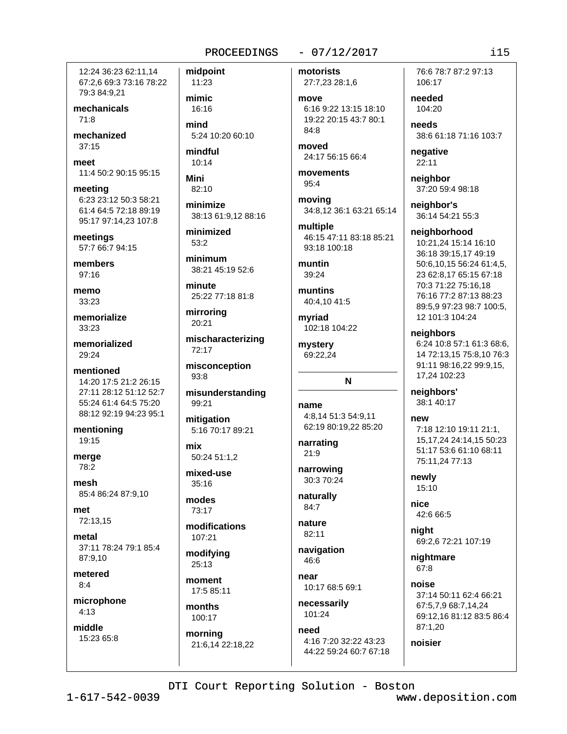12:24 36:23 62:11.14 67:2,6 69:3 73:16 78:22 79:3 84:9,21

mechanicals  $71.8$ 

mechanized  $37:15$ 

meet 11:4 50:2 90:15 95:15

meeting 6:23 23:12 50:3 58:21 61:4 64:5 72:18 89:19 95:17 97:14.23 107:8

meetings 57:7 66:7 94:15

members  $97:16$ 

memo 33:23

memorialize 33:23

memorialized  $29:24$ 

mentioned 14:20 17:5 21:2 26:15 27:11 28:12 51:12 52:7 55:24 61:4 64:5 75:20 88:12 92:19 94:23 95:1

mentioning 19:15

merge 78:2

mesh 85:4 86:24 87:9,10

 $m<sub>ef</sub>$ 72:13,15

metal 37:11 78:24 79:1 85:4 87:9.10

metered  $R \cdot \Delta$ 

microphone  $4:13$ 

middle 15:23 65:8

11:23 mimic 16:16 mind

midpoint

5:24 10:20 60:10 mindful  $10:14$ 

**Mini** 82:10

minimize 38:13 61:9.12 88:16

minimized  $53:2$ 

minimum 38:21 45:19 52:6

minute 25:22 77:18 81:8

mirrorina  $20:21$ 

mischaracterizing 72:17

misconception  $93:8$ 

misunderstanding 99:21

mitigation 5:16 70:17 89:21

mix 50:24 51:1.2

mixed-use  $35:16$ 

modes 73:17

modifications 107:21

modifying  $25:13$ 

moment 17:5 85:11

months 100:17

mornina 21:6,14 22:18,22  $-07/12/2017$ 

motorists 27:7,23 28:1,6

move 6:16 9:22 13:15 18:10 19:22 20:15 43:7 80:1 84:8

moved 24:17 56:15 66:4

movements 95:4

moving 34:8,12 36:1 63:21 65:14

multiple 46:15 47:11 83:18 85:21 93:18 100:18

muntin 39:24

muntins 40:4.10 41:5

myriad 102:18 104:22

mystery 69:22.24

name 4:8.14 51:3 54:9.11 62:19 80:19,22 85:20

N

narrating  $21:9$ 

narrowing 30:3 70:24

naturally  $84:7$ 

nature 82:11

navigation 46:6

near 10:17 68:5 69:1

necessarily 101:24

need 4:16 7:20 32:22 43:23 44:22 59:24 60:7 67:18

76:6 78:7 87:2 97:13 106:17

needed 104:20

needs 38:6 61:18 71:16 103:7

negative  $22:11$ 

neighbor 37:20 59:4 98:18

neighbor's 36:14 54:21 55:3

#### neighborhood

10:21,24 15:14 16:10 36:18 39:15,17 49:19 50:6,10,15 56:24 61:4,5, 23 62:8,17 65:15 67:18 70:3 71:22 75:16,18 76:16 77:2 87:13 88:23 89:5.9 97:23 98:7 100:5. 12 101:3 104:24

neighbors

6:24 10:8 57:1 61:3 68:6, 14 72:13.15 75:8.10 76:3 91:11 98:16,22 99:9,15, 17,24 102:23

neighbors'  $38.140.17$ 

new 7:18 12:10 19:11 21:1, 15.17.24 24:14.15 50:23 51:17 53:6 61:10 68:11 75:11,24 77:13

newly  $15:10$ 

nice 42:6 66:5

night 69:2,6 72:21 107:19

nightmare 67:8

noise 37:14 50:11 62:4 66:21 67:5,7,9 68:7,14,24 69:12,16 81:12 83:5 86:4 87:1.20

noisier

DTI Court Reporting Solution - Boston

 $1 - 617 - 542 - 0039$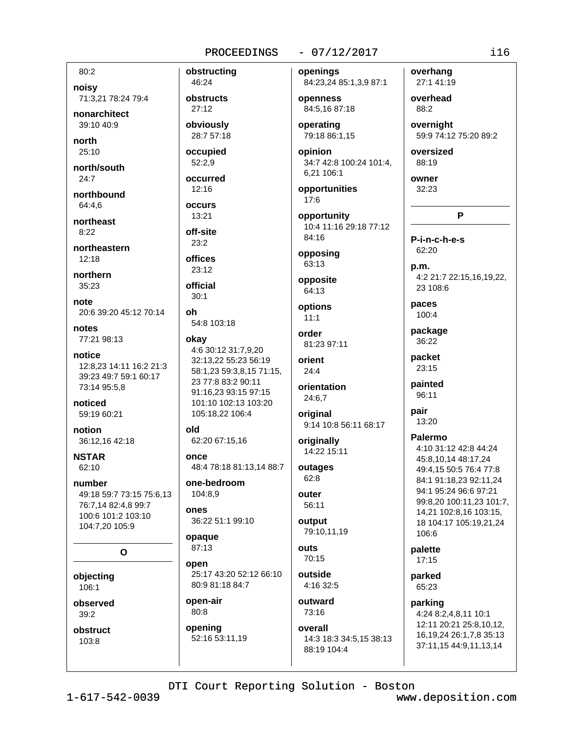#### $-07/12/2017$

80:2 noisy

71:3,21 78:24 79:4

nonarchitect  $39.1040.9$ 

north  $25:10$ 

north/south  $24:7$ 

northbound 64:4.6

northeast  $8.22$ 

northeastern  $12.18$ 

northern 35:23

note 20:6 39:20 45:12 70:14

notes 77:21 98:13

notice 12:8.23 14:11 16:2 21:3 39:23 49:7 59:1 60:17 73:14 95:5,8

noticed 59:19 60:21

notion 36:12,16 42:18

**NSTAR** 62:10

number 49:18 59:7 73:15 75:6,13 76:7,14 82:4,8 99:7 100:6 101:2 103:10 104:7,20 105:9

O

objecting 106:1

observed  $39:2$ 

obstruct 103:8

obstructing 46:24 obstructs  $27:12$ obviously 28:7 57:18 occupied 52:2,9 occurred  $12:16$ occurs 13:21 off-site  $23:2$ offices  $23:12$ official  $30:1$ oh 54:8 103:18 okay 4:6 30:12 31:7,9,20 32:13.22 55:23 56:19 58:1,23 59:3,8,15 71:15, 23 77:8 83:2 90:11 91:16,23 93:15 97:15

101:10 102:13 103:20

48:4 78:18 81:13,14 88:7

25:17 43:20 52:12 66:10

105:18,22 106:4

62:20 67:15.16

one-bedroom

36:22 51:1 99:10

80:9 81:18 84:7

52:16 53:11,19

104:8.9

old

once

ODAS

opaque 87:13

open

open-air

opening

 $80:8$ 

openings 84:23,24 85:1,3,9 87:1

openness 84:5,16 87:18

operating 79:18 86:1,15

opinion 34:7 42:8 100:24 101:4, 6.21 106:1

opportunities  $17:6$ 

opportunity 10:4 11:16 29:18 77:12 84:16

opposing 63:13

opposite 64:13

options  $11:1$ 

order 81:23 97:11

orient  $24:4$ 

orientation 24:6,7

original 9:14 10:8 56:11 68:17

originally 14:22 15:11

outages  $62:8$ 

outer 56:11

output 79:10,11,19

outs  $70:15$ 

outside

4:16 32:5 outward

73:16 overall

14:3 18:3 34:5,15 38:13 88:19 104:4

overhang 27:1 41:19

overhead 88:2

overnight 59:9 74:12 75:20 89:2

oversized 88:19

owner 32:23

P-i-n-c-h-e-s 62:20

p.m. 4:2 21:7 22:15.16.19.22. 23 108:6

P

paces 100:4

package 36:22

packet  $23:15$ 

painted 96:11

pair 13:20

Palermo 4:10 31:12 42:8 44:24 45:8,10,14 48:17,24 49:4,15 50:5 76:4 77:8 84:1 91:18,23 92:11,24 94:1 95:24 96:6 97:21 99:8.20 100:11.23 101:7.

14,21 102:8,16 103:15, 18 104:17 105:19,21,24 106:6

palette 17:15

parked 65:23

parking 4:24 8:2,4,8,11 10:1 12:11 20:21 25:8,10,12, 16, 19, 24 26: 1, 7, 8 35: 13 37:11,15 44:9,11,13,14

DTI Court Reporting Solution - Boston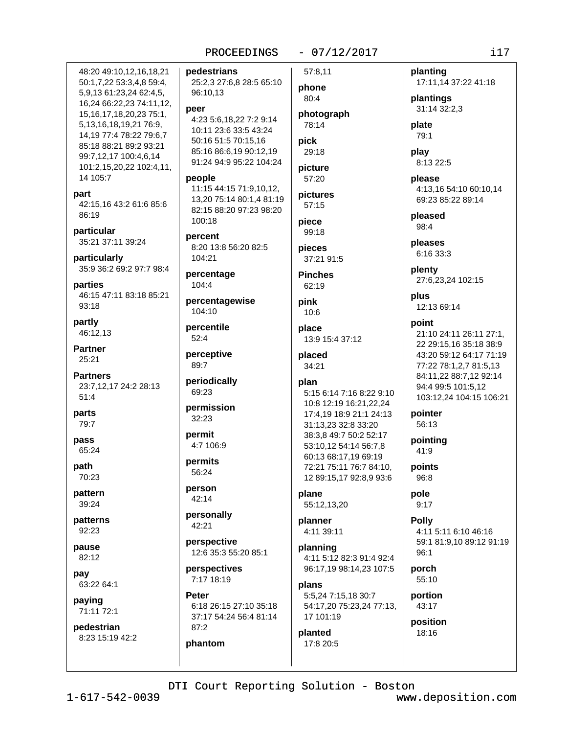#### $-07/12/2017$

57:8.11

phone

80:4

78:14

29:18

picture

57:20

pictures

pick

photograph

48:20 49:10.12.16.18.21 50:1,7,22 53:3,4,8 59:4, 5,9,13 61:23,24 62:4,5, 16,24 66:22,23 74:11,12, 15, 16, 17, 18, 20, 23 75: 1, 5,13,16,18,19,21 76:9, 14.19 77:4 78:22 79:6.7 85:18 88:21 89:2 93:21 99:7,12,17 100:4,6,14 101:2,15,20,22 102:4,11, 14 105:7

# part

42:15,16 43:2 61:6 85:6 86:19

particular 35:21 37:11 39:24

particularly 35:9 36:2 69:2 97:7 98:4

parties 46:15 47:11 83:18 85:21 93:18

partly 46:12,13

**Partner** 25:21

**Partners** 23:7,12,17 24:2 28:13  $51:4$ 

parts 79:7

pass 65:24

path 70:23

pattern 39:24

patterns 92:23

pause 82:12

pay 63:22 64:1

paying 71:11 72:1

pedestrian 8:23 15:19 42:2 pedestrians 25:2,3 27:6,8 28:5 65:10 96:10,13

#### peer

4:23 5:6,18,22 7:2 9:14 10:11 23:6 33:5 43:24 50:16 51:5 70:15,16 85:16 86:6,19 90:12,19 91:24 94:9 95:22 104:24

#### people

11:15 44:15 71:9,10,12, 13,20 75:14 80:1,4 81:19 82:15 88:20 97:23 98:20 100:18

percent 8:20 13:8 56:20 82:5  $104.21$ 

percentage 104:4

percentagewise 104:10

percentile  $52:4$ 

perceptive 89:7

periodically 69:23

permission 32:23

permit 4:7 106:9

permits 56:24

person 42:14

personally 42:21

perspective 12:6 35:3 55:20 85:1

perspectives 7:17 18:19

phantom

Peter 6:18 26:15 27:10 35:18 37:17 54:24 56:4 81:14  $87:2$ 

 $57:15$ piece  $99:18$ pieces 37:21 91:5 **Pinches** 62:19 pink  $10:6$ place 13:9 15:4 37:12 placed 34:21 plan 5:15 6:14 7:16 8:22 9:10 10:8 12:19 16:21,22,24 17:4,19 18:9 21:1 24:13 31:13.23 32:8 33:20 38:3,8 49:7 50:2 52:17 53:10.12 54:14 56:7.8 60:13 68:17,19 69:19 72:21 75:11 76:7 84:10, 12 89:15,17 92:8,9 93:6

plane 55:12,13,20

planner 4:11 39:11

planning 4:11 5:12 82:3 91:4 92:4 96:17,19 98:14,23 107:5

plans 5:5,24 7:15,18 30:7 54:17,20 75:23,24 77:13, 17 101:19

#### planted 17:8 20:5

planting 17:11,14 37:22 41:18

plantings 31:14 32:2.3

plate 79:1

play 8:13 22:5

please 4:13,16 54:10 60:10,14 69:23 85:22 89:14

pleased 98:4

pleases 6:16 33:3

plenty 27:6,23,24 102:15

plus 12:13 69:14

#### point

21:10 24:11 26:11 27:1, 22 29:15,16 35:18 38:9 43:20 59:12 64:17 71:19 77:22 78:1,2,7 81:5,13 84:11,22 88:7,12 92:14 94:4 99:5 101:5.12 103:12,24 104:15 106:21

pointer 56:13

pointina  $41:9$ 

points 96:8

pole  $9:17$ 

**Polly** 4:11 5:11 6:10 46:16 59:1 81:9.10 89:12 91:19  $96:1$ 

porch 55:10

portion 43:17

position 18:16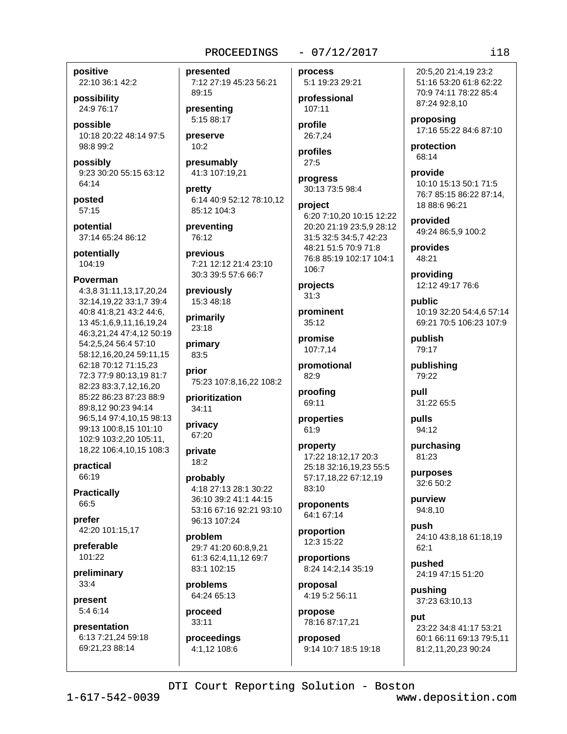#### $-07/12/2017$

positive

22:10 36:1 42:2 possibility

24:9 76:17

nossible 10:18 20:22 48:14 97:5 98:8 99:2

possibly 9:23 30:20 55:15 63:12  $64.14$ 

posted 57:15

potential 37:14 65:24 86:12

potentially 104:19

#### **Poverman**

4:3,8 31:11,13,17,20,24 32:14,19,22 33:1,7 39:4 40:8 41:8,21 43:2 44:6, 13 45:1,6,9,11,16,19,24 46:3,21,24 47:4,12 50:19 54:2,5,24 56:4 57:10 58:12,16,20,24 59:11,15 62:18 70:12 71:15,23 72:3 77:9 80:13,19 81:7 82:23 83:3.7.12.16.20 85:22 86:23 87:23 88:9 89:8,12 90:23 94:14 96:5,14 97:4,10,15 98:13 99:13 100:8.15 101:10 102:9 103:2,20 105:11, 18,22 106:4,10,15 108:3

practical 66:19

**Practically** 66:5

prefer 42:20 101:15,17

preferable 101:22

preliminary  $33:4$ 

present 5:4 6:14

presentation 6:13 7:21,24 59:18 69:21,23 88:14

presented 7:12 27:19 45:23 56:21 89:15

presenting 5:15 88:17

preserve  $10:2$ 

presumably 41:3 107:19,21

pretty 6:14 40:9 52:12 78:10,12 85:12 104:3

preventing 76:12

previous 7:21 12:12 21:4 23:10 30:3 39:5 57:6 66:7

previously 15:3 48:18

primarily 23:18

primary 83:5

prior 75:23 107:8,16,22 108:2

prioritization 34:11

privacy 67:20

private 18:2

probably 4:18 27:13 28:1 30:22 36:10 39:2 41:1 44:15 53:16 67:16 92:21 93:10 96:13 107:24

problem 29:7 41:20 60:8.9.21 61:3 62:4.11.12 69:7 83:1 102:15

problems 64:24 65:13

proceed 33:11

proceedings 4:1.12 108:6

process 5:1 19:23 29:21

professional 107:11

profile 26:7,24

profiles  $27:5$ 

progress 30:13 73:5 98:4

project 6:20 7:10.20 10:15 12:22 20:20 21:19 23:5,9 28:12 31:5 32:5 34:5,7 42:23 48:21 51:5 70:9 71:8 76:8 85:19 102:17 104:1 106:7

projects  $31:3$ 

prominent 35:12

promise 107:7.14

promotional 82:9

proofing 69:11

properties 61:9

#### property 17:22 18:12,17 20:3 25:18 32:16,19,23 55:5 57:17,18,22 67:12,19 83:10

proponents 64:1 67:14

proportion 12:3 15:22

proportions 8:24 14:2,14 35:19

proposal 4:19 5:2 56:11

propose 78:16 87:17,21

proposed 9:14 10:7 18:5 19:18

20:5.20 21:4.19 23:2 51:16 53:20 61:8 62:22 70:9 74:11 78:22 85:4 87:24 92:8,10

proposing 17:16 55:22 84:6 87:10

protection 68:14

provide 10:10 15:13 50:1 71:5 76:7 85:15 86:22 87:14, 18 88:6 96:21

provided 49:24 86:5,9 100:2

provides 48:21

providing 12:12 49:17 76:6

public 10:19 32:20 54:4,6 57:14 69:21 70:5 106:23 107:9

publish 79:17

publishing 79:22

pull 31:22 65:5

pulls 94:12

purchasing 81:23

purposes 32:6 50:2

purview 94:8,10

push 24:10 43:8,18 61:18,19  $62:1$ 

pushed 24:19 47:15 51:20

pushing 37:23 63:10,13

nut 23:22 34:8 41:17 53:21 60:1 66:11 69:13 79:5,11 81:2,11,20,23 90:24

DTI Court Reporting Solution - Boston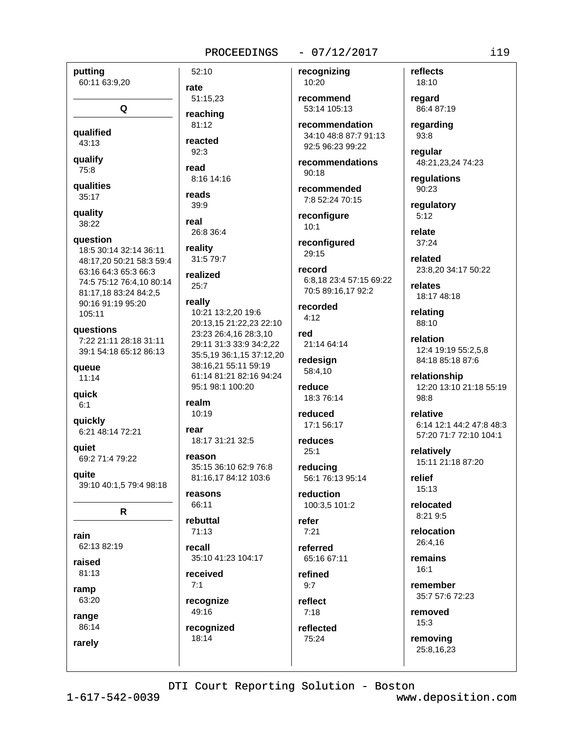#### $-07/12/2017$

putting 60:11 63:9,20 rate Q qualified  $43:13$ qualify read 75:8 **qualities**  $35:17$ quality real 38:22 question 18:5 30:14 32:14 36:11 48:17,20 50:21 58:3 59:4 63:16 64:3 65:3 66:3 74:5 75:12 76:4.10 80:14 81:17,18 83:24 84:2,5 90:16 91:19 95:20  $105:11$ questions 7:22 21:11 28:18 31:11 39:1 54:18 65:12 86:13 queue  $11:14$ quick  $6:1$ auickly rear 6:21 48:14 72:21 aujet 69:2 71:4 79:22 quite 39:10 40:1,5 79:4 98:18 R rain 62:13 82:19 raised  $81:13$ ramp 63:20 recognize 49:16 range 86:14 recognized 18:14 rarely

52:10 51:15,23 reaching  $81:12$ reacted  $92:3$ 8:16 14:16 reads 39:9 26:8 36:4 reality 31:5 79:7 realized  $25:7$ really 10:21 13:2.20 19:6 20:13.15 21:22.23 22:10 23:23 26:4,16 28:3,10 29:11 31:3 33:9 34:2,22 35:5.19 36:1.15 37:12.20 38:16.21 55:11 59:19 61:14 81:21 82:16 94:24 95:1 98:1 100:20 realm 10:19 18:17 31:21 32:5 reason 35:15 36:10 62:9 76:8 81:16,17 84:12 103:6 reasons 66:11 rebuttal  $71:13$ recall 35:10 41:23 104:17 received  $7:1$ 

recognizing 10:20

recommend 53:14 105:13

recommendation 34:10 48:8 87:7 91:13 92:5 96:23 99:22

recommendations  $Q() \cdot 1R$ 

recommended 7:8 52:24 70:15

reconfigure  $10:1$ 

reconfigured 29:15

record 6:8,18 23:4 57:15 69:22 70:5 89:16,17 92:2

recorded  $4.12$ 

red 21:14 64:14

redesign 58:4,10

reduce 18:3 76:14

reduced 17:1 56:17

reduces  $25:1$ 

reducing 56:1 76:13 95:14

reduction 100:3,5 101:2

refer  $7:21$ 

referred 65:16 67:11

refined  $9:7$ 

reflect  $7:18$ 

reflected 75:24

18:10 regard

reflects

86:4 87:19 regarding

93:8

regular 48:21,23,24 74:23

requlations 90:23

regulatory  $5:12$ 

relate  $37:24$ 

related 23:8.20 34:17 50:22

relates 18:17 48:18

relating 88:10

relation 12:4 19:19 55:2,5,8 84:18 85:18 87:6

relationship 12:20 13:10 21:18 55:19 98:8

relative 6:14 12:1 44:2 47:8 48:3 57:20 71:7 72:10 104:1

relatively 15:11 21:18 87:20

relief 15:13

relocated  $8:219:5$ 

relocation 26:4.16

remains  $16.1$ 

remember 35:7 57:6 72:23

removed  $15:3$ 

removing 25:8,16,23

DTI Court Reporting Solution - Boston

 $1 - 617 - 542 - 0039$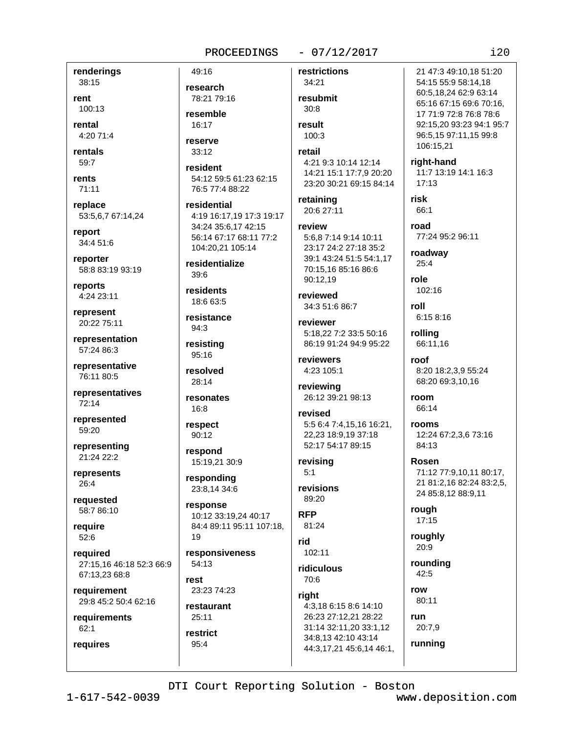#### $-07/12/2017$

renderings 38:15

rent 100:13

rental 4:20 71:4

rentals  $59:7$ 

rents

71:11 replace

53:5,6,7 67:14,24

report 34:4 51:6

reporter 58:8 83:19 93:19

reports 4:24 23:11

represent 20:22 75:11

representation 57:24 86:3

representative 76:11 80:5

representatives 72:14

represented 59:20

representing 21:24 22:2

represents  $26:4$ 

requested 58:7 86:10

require  $52:6$ 

required 27:15,16 46:18 52:3 66:9 67:13,23 68:8

requirement 29:8 45:2 50:4 62:16

requirements  $62:1$ 

requires

reserve  $33:12$ resident

49:16

research

resemble

 $16:17$ 

78:21 79:16

54:12 59:5 61:23 62:15 76:5 77:4 88:22

residential 4:19 16:17,19 17:3 19:17 34:24 35:6,17 42:15 56:14 67:17 68:11 77:2 104:20.21 105:14

residentialize  $39:6$ 

residents 18:6 63:5

resistance  $94:3$ 

resisting 95:16

resolved 28:14

resonates 16:8

respect 90:12

respond 15:19,21 30:9

responding 23:8,14 34:6

response 10:12 33:19,24 40:17 84:4 89:11 95:11 107:18,  $19$ 

responsiveness  $54.13$ rest

23:23 74:23

restaurant  $25:11$ restrict

95:4

restrictions 34:21 resubmit  $30:8$ result 100:3 retail 4:21 9:3 10:14 12:14 14:21 15:1 17:7,9 20:20 23:20 30:21 69:15 84:14 retaining 20:6 27:11 review 5:6,8 7:14 9:14 10:11 23:17 24:2 27:18 35:2 39:1 43:24 51:5 54:1,17 70:15,16 85:16 86:6 90:12.19 reviewed 34:3 51:6 86:7 reviewer 5:18.22 7:2 33:5 50:16 86:19 91:24 94:9 95:22 reviewers 4:23 105:1 reviewing 26:12 39:21 98:13 revised 5:5 6:4 7:4,15,16 16:21,

22.23 18:9.19 37:18 52:17 54:17 89:15

revising  $5:1$ 

revisions 89:20

**RFP** 81:24

rid 102:11

ridiculous 70:6

right 4:3,18 6:15 8:6 14:10 26:23 27:12,21 28:22 31:14 32:11,20 33:1,12 34:8,13 42:10 43:14

44:3,17,21 45:6,14 46:1,

21 47:3 49:10.18 51:20 54:15 55:9 58:14,18 60:5,18,24 62:9 63:14 65:16 67:15 69:6 70:16, 17 71:9 72:8 76:8 78:6 92:15.20 93:23 94:1 95:7 96:5,15 97:11,15 99:8 106:15,21

right-hand

11:7 13:19 14:1 16:3  $17:13$ 

risk  $66.1$ 

road 77:24 95:2 96:11

roadway 25:4

role 102:16

roll 6:15 8:16

rollina 66:11.16

roof 8:20 18:2,3,9 55:24 68:20 69:3,10,16

room 66:14

rooms 12:24 67:2,3,6 73:16 84:13

Rosen 71:12 77:9,10,11 80:17, 21 81:2,16 82:24 83:2,5, 24 85:8,12 88:9,11

rough 17:15

roughly 20:9

rounding  $42:5$ 

row  $80:11$ 

run 20:7,9

running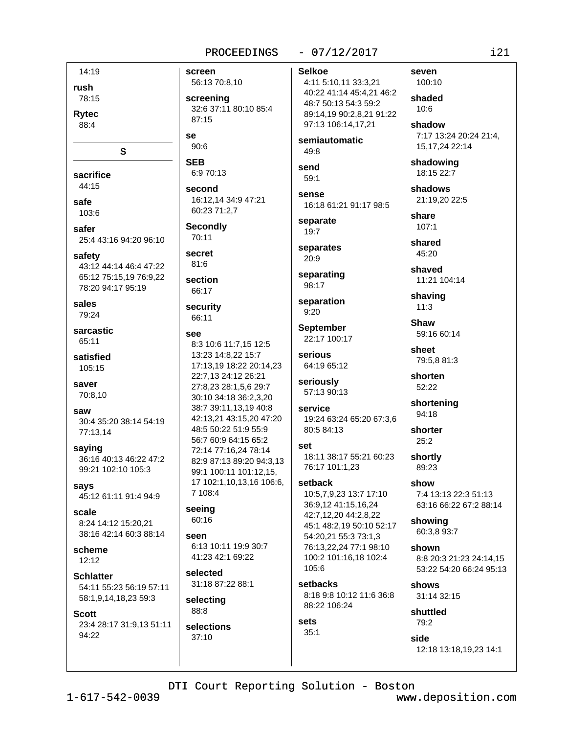#### $-07/12/2017$

14:19 rush 78:15

**Rytec** 88:4

sacrifice

 $44.15$ safe

103:6 safer

25:4 43:16 94:20 96:10

S

safety 43:12 44:14 46:4 47:22 65:12 75:15.19 76:9.22 78:20 94:17 95:19

sales 79:24

sarcastic  $65.11$ 

satisfied 105:15

saver 70:8.10

saw 30:4 35:20 38:14 54:19 77:13,14

saying 36:16 40:13 46:22 47:2 99:21 102:10 105:3

says 45:12 61:11 91:4 94:9

scale 8:24 14:12 15:20.21 38:16 42:14 60:3 88:14

scheme  $12:12$ 

**Schlatter** 54:11 55:23 56:19 57:11 58:1,9,14,18,23 59:3

#### **Scott**

23:4 28:17 31:9,13 51:11 94:22

screen 56:13 70:8,10

screening 32:6 37:11 80:10 85:4  $87.15$ 

**Se**  $90:6$ 

**SEB** 6:9 70:13

second 16:12,14 34:9 47:21 60:23 71:2,7

**Secondly** 70:11

secret  $81:6$ 

section 66:17

security 66:11

#### see

8:3 10:6 11:7,15 12:5 13:23 14:8.22 15:7 17:13,19 18:22 20:14,23 22:7,13 24:12 26:21 27:8,23 28:1,5,6 29:7 30:10 34:18 36:2,3,20 38:7 39:11,13,19 40:8 42:13,21 43:15,20 47:20 48:5 50:22 51:9 55:9 56:7 60:9 64:15 65:2 72:14 77:16.24 78:14 82:9 87:13 89:20 94:3,13 99:1 100:11 101:12,15, 17 102:1,10,13,16 106:6, 7 108:4

#### seeing 60:16

seen 6:13 10:11 19:9 30:7 41:23 42:1 69:22

selected 31:18 87:22 88:1

selecting 88:8

selections  $37:10$ 

## **Selkoe**

4:11 5:10,11 33:3,21 40:22 41:14 45:4,21 46:2 48:7 50:13 54:3 59:2 89:14,19 90:2,8,21 91:22 97:13 106:14,17,21

semiautomatic 49:8

send 59:1

**SANSA** 16:18 61:21 91:17 98:5

separate 19:7

separates  $20.9$ 

separating 98:17

separation  $9:20$ 

**September** 22:17 100:17

serious 64:19 65:12

seriously 57:13 90:13

service 19:24 63:24 65:20 67:3,6 80:5 84:13

set 18:11 38:17 55:21 60:23 76:17 101:1,23

# setback

10:5,7,9,23 13:7 17:10 36:9,12 41:15,16,24 42:7,12,20 44:2,8,22 45:1 48:2,19 50:10 52:17 54:20.21 55:3 73:1.3 76:13,22,24 77:1 98:10 100:2 101:16,18 102:4  $105:6$ 

setbacks 8:18 9:8 10:12 11:6 36:8 88:22 106:24

#### sets  $35:1$

side 12:18 13:18,19,23 14:1

DTI Court Reporting Solution - Boston

www.deposition.com

 $121$ 

seven

100:10

shaded

shadow

7:17 13:24 20:24 21:4,

15, 17, 24 22: 14

shadowing

18:15 22:7

21:19,20 22:5

shadows

share

 $107:1$ 

shared

45:20

shaved

shaving

 $11:3$ 

**Shaw** 

sheet

shorten

52:22

94:18

shorter

 $25:2$ 

shortly

89:23

showing

shown

shows

shuttled

 $79.2$ 

60:3,8 93:7

31:14 32:15

7:4 13:13 22:3 51:13

63:16 66:22 67:2 88:14

8:8 20:3 21:23 24:14.15

53:22 54:20 66:24 95:13

show

shortening

11:21 104:14

59:16 60:14

79:5.8 81:3

 $10:6$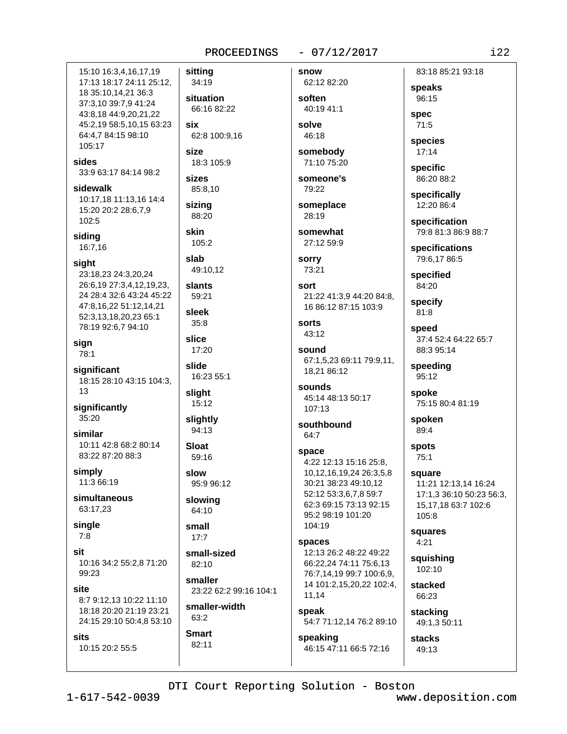#### $-07/12/2017$

 $122$ 

15:10 16:3.4.16.17.19 sitting 17:13 18:17 24:11 25:12, 34:19 18 35:10,14,21 36:3 situation 37:3,10 39:7,9 41:24 66:16 82:22 43:8.18 44:9.20.21.22 45:2,19 58:5,10,15 63:23 six 64:4.7 84:15 98:10 62:8 100:9,16 105:17 size sides 18:3 105:9 33:9 63:17 84:14 98:2 sizes sidewalk 85:8,10 10:17,18 11:13,16 14:4 sizina 15:20 20:2 28:6,7,9 88:20 102:5 skin siding  $105:2$ 16:7,16 slab sight 49:10.12 23:18,23 24:3,20,24 26:6,19 27:3,4,12,19,23, slants 24 28:4 32:6 43:24 45:22 59:21 47:8,16,22 51:12,14,21 sleek 52:3,13,18,20,23 65:1  $35:8$ 78:19 92:6,7 94:10 slice 17:20 slide significant 16:23 55:1 18:15 28:10 43:15 104:3, slight 15:12 significantly 35:20 slightly 94:13 similar 10:11 42:8 68:2 80:14 **Sloat** 83:22 87:20 88:3 59:16 simply slow 11:3 66:19 95:9 96:12 simultaneous slowing 63:17,23 64:10 single small  $17:7$ small-sized 10:16 34:2 55:2.8 71:20 82:10 99:23 smaller 8:7 9:12,13 10:22 11:10 smaller-width 18:18 20:20 21:19 23:21 63:2 24:15 29:10 50:4,8 53:10 **Smart** 10:15 20:2 55:5

sian

78:1

13

 $7:8$ 

sit

site

**cite** 

23:22 62:2 99:16 104:1

82:11

62:12 82:20 soften 40:19 41:1 solve

snow

46:18 somebody

71:10 75:20 someone's

79:22

someplace 28:19

somewhat 27:12 59:9

**sorry** 73:21

sort 21:22 41:3.9 44:20 84:8. 16 86:12 87:15 103:9

sorts 43:12

sound 67:1,5,23 69:11 79:9,11, 18,21 86:12

sounds 45:14 48:13 50:17  $107:13$ 

southbound 64:7

space 4:22 12:13 15:16 25:8, 10,12,16,19,24 26:3,5,8 30:21 38:23 49:10,12 52:12 53:3,6,7,8 59:7 62:3 69:15 73:13 92:15 95:2 98:19 101:20 104:19

spaces 12:13 26:2 48:22 49:22 66:22,24 74:11 75:6,13 76:7,14,19 99:7 100:6,9, 14 101:2,15,20,22 102:4, 11.14

speak 54:7 71:12,14 76:2 89:10

speaking 46:15 47:11 66:5 72:16

83:18 85:21 93:18 speaks

96:15

spec  $71:5$ 

species  $17:14$ 

specific 86:20 88:2

specifically 12:20 86:4

specification 79:8 81:3 86:9 88:7

specifications 79:6,17 86:5

specified 84:20

specify 81:8

speed 37:4 52:4 64:22 65:7 88:3 95:14

speeding 95:12

spoke 75:15 80:4 81:19

spoken 89:4

spots  $75:1$ 

square 11:21 12:13,14 16:24 17:1.3 36:10 50:23 56:3. 15.17.18 63:7 102:6 105:8

squares  $4:21$ 

squishing 102:10

stacked 66:23

stacking 49:1,3 50:11

stacks  $49:13$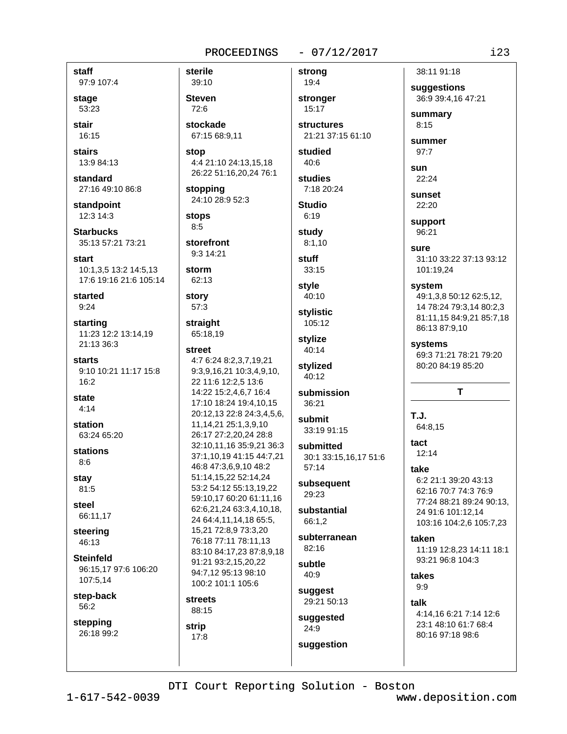#### $-07/12/2017$

staff 97:9 107:4 stage 53:23

stair 16:15

stairs 13:9 84:13

standard 27:16 49:10 86:8

standpoint 12:3 14:3

**Starbucks** 35:13 57:21 73:21

start 10:1.3.5 13:2 14:5.13 17:6 19:16 21:6 105:14

started  $9:24$ 

starting 11:23 12:2 13:14,19 21:13 36:3

**starts** 9:10 10:21 11:17 15:8 16:2

state  $4:14$ 

station 63:24 65:20

stations  $8:6$ 

stav 81:5

steel 66:11.17

steering 46:13

**Steinfeld** 96:15,17 97:6 106:20 107:5,14

step-back 56:2

stepping 26:18 99:2

39:10 **Steven** 72:6 stockade 67:15 68:9,11

sterile

stop 4:4 21:10 24:13,15,18 26:22 51:16,20,24 76:1

stopping 24:10 28:9 52:3

**stops**  $8:5$ 

storefront 9:3 14:21

storm 62:13

story  $57:3$ 

#### straight 65:18,19

street 4:7 6:24 8:2,3,7,19,21 9:3,9,16,21 10:3,4,9,10, 22 11:6 12:2,5 13:6 14:22 15:2,4,6,7 16:4 17:10 18:24 19:4,10,15 20:12,13 22:8 24:3,4,5,6, 11, 14, 21 25: 1, 3, 9, 10 26:17 27:2.20.24 28:8 32:10.11.16 35:9.21 36:3 37:1,10,19 41:15 44:7,21 46:8 47:3,6,9,10 48:2 51:14.15.22 52:14.24 53:2 54:12 55:13.19.22 59:10,17 60:20 61:11,16 62:6,21,24 63:3,4,10,18, 24 64:4,11,14,18 65:5, 15,21 72:8,9 73:3,20 76:18 77:11 78:11,13 83:10 84:17,23 87:8,9,18 91:21 93:2,15,20,22 94:7.12 95:13 98:10 100:2 101:1 105:6

#### **streets** 88:15

strip

 $17:8$ 

strong 19:4 stronger

15:17

structures 21:21 37:15 61:10

studied  $40:6$ 

studies 7:18 20:24

**Studio**  $6:19$ 

study  $8:1,10$ 

**stuff**  $33:15$ 

style 40:10

**stvlistic** 105:12

stylize 40:14

stylized  $40:12$ 

submission 36:21

submit 33:19 91:15

submitted 30:1 33:15,16,17 51:6  $57:14$ 

subsequent 29:23

substantial 66:1.2

subterranean  $82:16$ 

subtle  $40:9$ 

suggest 29:21 50:13

suggested 24:9

suggestion

# 38:11 91:18

suggestions 36:9 39:4,16 47:21

summary  $8:15$ 

summer  $97:7$ 

 $sin$  $22:24$ 

sunset

22:20

support 96:21

sure 31:10 33:22 37:13 93:12

101:19.24 system

49:1,3,8 50:12 62:5,12, 14 78:24 79:3,14 80:2,3 81:11,15 84:9,21 85:7,18 86:13 87:9,10

systems 69:3 71:21 78:21 79:20 80:20 84:19 85:20

T

T.J. 64:8.15

tact  $12:14$ 

#### take

6:2 21:1 39:20 43:13 62:16 70:7 74:3 76:9 77:24 88:21 89:24 90:13. 24 91:6 101:12.14 103:16 104:2,6 105:7,23

taken 11:19 12:8,23 14:11 18:1 93:21 96:8 104:3

takes

9:9

talk

4:14.16 6:21 7:14 12:6 23:1 48:10 61:7 68:4 80:16 97:18 98:6

DTI Court Reporting Solution - Boston

 $1 - 617 - 542 - 0039$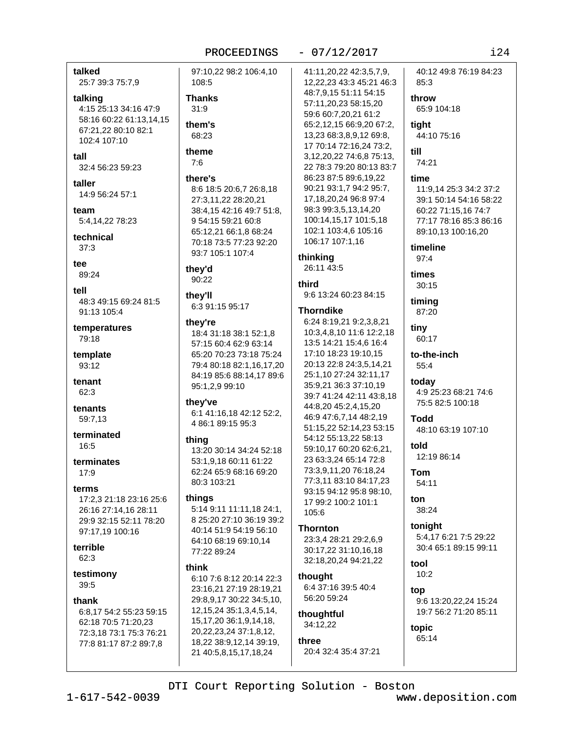#### $-07/12/2017$

#### talked

25:7 39:3 75:7,9

#### talking

4:15 25:13 34:16 47:9 58:16 60:22 61:13,14,15 67:21,22 80:10 82:1 102:4 107:10

- $tall$
- 32:4 56:23 59:23

taller

14:9 56:24 57:1

#### team 5:4.14.22 78:23

technical  $37:3$ 

tee

89:24

tell

48:3 49:15 69:24 81:5 91:13 105:4

temperatures 79:18

template  $93.12$ 

tenant 62:3

tenants 59:7.13

terminated  $16:5$ 

terminates  $17:9$ 

#### terms

17:2.3 21:18 23:16 25:6 26:16 27:14,16 28:11 29:9 32:15 52:11 78:20 97:17,19 100:16

#### terrible  $62:3$

testimony

 $39:5$ 

#### thank

6:8,17 54:2 55:23 59:15 62:18 70:5 71:20,23 72:3,18 73:1 75:3 76:21 77:8 81:17 87:2 89:7,8

97:10,22 98:2 106:4,10 108:5

#### **Thanks**

 $31:9$ them's 68:23

theme  $7:6$ 

#### there's

8:6 18:5 20:6,7 26:8,18 27:3,11,22 28:20,21 38:4,15 42:16 49:7 51:8, 9 54:15 59:21 60:8 65:12,21 66:1,8 68:24 70:18 73:5 77:23 92:20 93:7 105:1 107:4

#### they'd 90:22

they'll

6:3 91:15 95:17

#### they're

18:4 31:18 38:1 52:1,8 57:15 60:4 62:9 63:14 65:20 70:23 73:18 75:24 79:4 80:18 82:1,16,17,20 84:19 85:6 88:14,17 89:6 95:1,2,9 99:10

#### they've

6:1 41:16,18 42:12 52:2, 4 86:1 89:15 95:3

#### thing

13:20 30:14 34:24 52:18 53:1,9,18 60:11 61:22 62:24 65:9 68:16 69:20 80:3 103:21

#### things

5:14 9:11 11:11,18 24:1, 8 25:20 27:10 36:19 39:2 40:14 51:9 54:19 56:10 64:10 68:19 69:10,14 77:22 89:24

#### think

6:10 7:6 8:12 20:14 22:3 23:16,21 27:19 28:19,21 29:8,9,17 30:22 34:5,10, 12, 15, 24 35: 1, 3, 4, 5, 14, 15, 17, 20 36: 1, 9, 14, 18, 20, 22, 23, 24 37: 1, 8, 12, 18,22 38:9,12,14 39:19, 21 40:5,8,15,17,18,24

41:11,20,22 42:3,5,7,9, 12,22,23 43:3 45:21 46:3 48:7,9,15 51:11 54:15 57:11,20,23 58:15,20 59:6 60:7,20,21 61:2 65:2,12,15 66:9,20 67:2, 13,23 68:3,8,9,12 69:8, 17 70:14 72:16,24 73:2, 3,12,20,22 74:6,8 75:13, 22 78:3 79:20 80:13 83:7 86:23 87:5 89:6,19,22 90:21 93:1,7 94:2 95:7, 17, 18, 20, 24 96: 8 97: 4 98:3 99:3,5,13,14,20 100:14,15,17 101:5,18 102:1 103:4,6 105:16 106:17 107:1,16

#### thinking

26:11 43:5

#### third

9:6 13:24 60:23 84:15

#### **Thorndike**

6:24 8:19,21 9:2,3,8,21 10:3,4,8,10 11:6 12:2,18 13:5 14:21 15:4,6 16:4 17:10 18:23 19:10,15 20:13 22:8 24:3,5,14,21 25:1,10 27:24 32:11,17 35:9,21 36:3 37:10,19 39:7 41:24 42:11 43:8,18 44:8,20 45:2,4,15,20 46:9 47:6,7,14 48:2,19 51:15,22 52:14,23 53:15 54:12 55:13,22 58:13 59:10,17 60:20 62:6,21, 23 63:3,24 65:14 72:8 73:3,9,11,20 76:18,24 77:3,11 83:10 84:17,23 93:15 94:12 95:8 98:10, 17 99:2 100:2 101:1 105:6

# **Thornton**

23:3,4 28:21 29:2,6,9 30:17,22 31:10,16,18 32:18,20,24 94:21,22

#### thought 6:4 37:16 39:5 40:4 56:20 59:24

thoughtful 34:12,22

three 20:4 32:4 35:4 37:21 throw 65:9 104:18 tiaht 44:10 75:16

40:12 49:8 76:19 84:23

74:21

till

 $85.3$ 

#### time

11:9,14 25:3 34:2 37:2 39:1 50:14 54:16 58:22 60:22 71:15,16 74:7 77:17 78:16 85:3 86:16 89:10,13 100:16,20

timeline  $97.4$ 

times  $30:15$ 

timing 87:20

tiny 60:17

to-the-inch  $55:4$ 

today 4:9 25:23 68:21 74:6 75:5 82:5 100:18

**Todd** 48:10 63:19 107:10

told 12:19 86:14

**Tom** 54:11

ton 38:24

### tonight 5:4,17 6:21 7:5 29:22 30:4 65:1 89:15 99:11

tool  $10:2$ 

ton 9:6 13:20,22,24 15:24 19:7 56:2 71:20 85:11

topic 65:14

 $1 - 617 - 542 - 0039$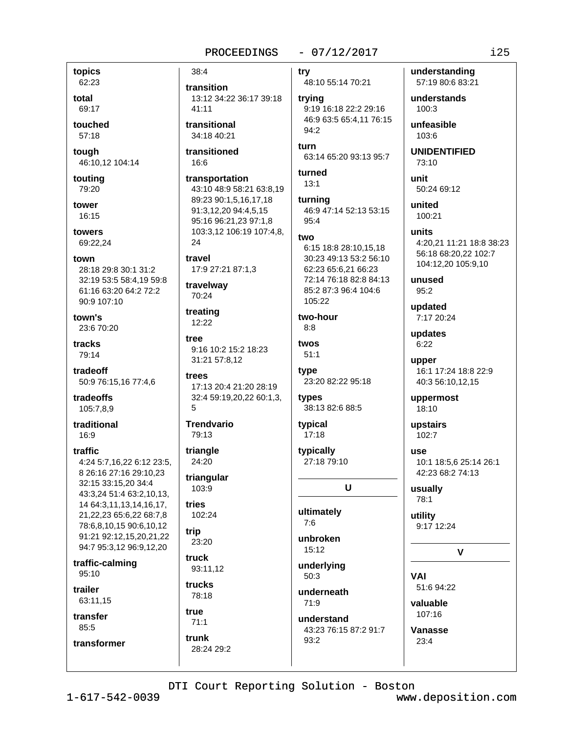#### $-07/12/2017$

topics 62:23

total 69:17

touched 57:18

touah 46:10,12 104:14

touting 79:20

tower 16:15

towers 69:22,24

town

28:18 29:8 30:1 31:2 32:19 53:5 58:4,19 59:8 61:16 63:20 64:2 72:2 90:9 107:10

town's 23:6 70:20

tracks 79:14

tradeoff 50:9 76:15,16 77:4,6

tradeoffs 105:7,8,9

traditional  $16:9$ 

traffic 4:24 5:7,16,22 6:12 23:5, 8 26:16 27:16 29:10.23 32:15 33:15,20 34:4 43:3,24 51:4 63:2,10,13, 14 64:3,11,13,14,16,17, 21,22,23 65:6,22 68:7,8 78:6,8,10,15 90:6,10,12 91:21 92:12,15,20,21,22 94:7 95:3,12 96:9,12,20

traffic-calming 95:10

trailer 63:11.15

transfer

transformer

85:5

13:12 34:22 36:17 39:18  $41:11$ transitional 34:18 40:21 transitioned  $16:6$ 

38:4

transition

transportation 43:10 48:9 58:21 63:8,19 89:23 90:1,5,16,17,18 91:3.12.20 94:4.5.15 95:16 96:21,23 97:1,8 103:3,12 106:19 107:4,8, 24

travel 17:9 27:21 87:1,3

travelway 70:24

treating 12:22

tree 9:16 10:2 15:2 18:23 31:21 57:8.12

trees 17:13 20:4 21:20 28:19 32:4 59:19,20,22 60:1,3,  $\sqrt{2}$ 

**Trendvario** 79:13

triangle 24:20

triangular 103:9

tries 102:24

trip 23:20

truck 93:11,12 trucks

78:18 true  $71:1$ 

trunk

28:24 29:2

trv 48:10 55:14 70:21

trying 9:19 16:18 22:2 29:16 46:9 63:5 65:4.11 76:15  $94:2$ 

turn 63:14 65:20 93:13 95:7

turned  $13:1$ 

turning 46:9 47:14 52:13 53:15  $95:4$ 

#### two

6:15 18:8 28:10.15.18 30:23 49:13 53:2 56:10 62:23 65:6,21 66:23 72:14 76:18 82:8 84:13 85:2 87:3 96:4 104:6 105:22

two-hour  $8:8$ 

twos  $51:1$ 

type 23:20 82:22 95:18

types 38:13 82:6 88:5

typical  $17:18$ 

typically 27:18 79:10

U

ultimately  $7.6$ 

unbroken  $15:12$ 

underlying

 $50:3$ 

underneath  $71:9$ 

understand 43:23 76:15 87:2 91:7 93:2

understanding 57:19 80:6 83:21 understands

100:3

unfeasible 103:6

**UNIDENTIFIED**  $73:10$ 

unit 50:24 69:12

united 100:21

units 4:20,21 11:21 18:8 38:23 56:18 68:20,22 102:7 104:12,20 105:9,10

unused  $95:2$ 

updated 7:17 20:24

updates  $6:22$ 

upper 16:1 17:24 18:8 22:9 40:3 56:10,12,15

uppermost 18:10

upstairs 102:7

**USA** 10:1 18:5,6 25:14 26:1 42:23 68:2 74:13

usually 78:1

utility 9:17 12:24

V

**VAI** 51:6 94:22

valuable  $107:16$ 

Vanasse  $23:4$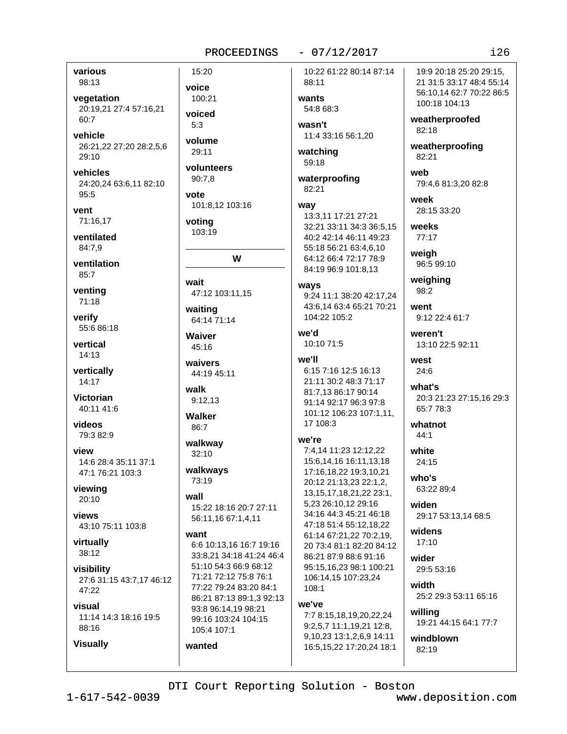$-07/12/2017$ 

various 98:13

vegetation 20:19.21 27:4 57:16.21 60:7

vehicle 26:21,22 27:20 28:2,5,6 29:10

vehicles 24:20,24 63:6,11 82:10  $95:5$ 

vent 71:16.17

ventilated 84:7.9

ventilation 85:7

venting 71:18

verify 55:6 86:18

vertical  $14:13$ 

vertically 14:17

**Victorian** 40:11 41:6

videos 79:3 82:9

view 14:6 28:4 35:11 37:1 47:1 76:21 103:3

viewing  $20:10$ 

views 43:10 75:11 103:8

virtually 38:12

**Visually** 

visibility 27:6 31:15 43:7,17 46:12 47:22

visual 11:14 14:3 18:16 19:5 88:16

15:20 voice 100:21 voiced  $5.3$ volume

29:11 volunteers

90:7,8

vote 101:8.12 103:16

voting 103:19

W

wait 47:12 103:11,15

waiting 64:14 71:14

Waiver 45:16

waivers 44:19 45:11

walk  $9:12.13$ 

Walker 86:7

walkway 32:10

walkways 73:19

#### wall

15:22 18:16 20:7 27:11 56:11,16 67:1,4,11

#### want

wanted

6:6 10:13,16 16:7 19:16 33:8,21 34:18 41:24 46:4 51:10 54:3 66:9 68:12 71:21 72:12 75:8 76:1 77:22 79:24 83:20 84:1 86:21 87:13 89:1,3 92:13 93:8 96:14.19 98:21 99:16 103:24 104:15 105:4 107:1

10:22 61:22 80:14 87:14 88:11

wants 54:8 68:3

wasn't 11:4 33:16 56:1,20

watching 59:18

waterproofing 82:21

#### wav 13:3.11 17:21 27:21 32:21 33:11 34:3 36:5,15 40:2 42:14 46:11 49:23 55:18 56:21 63:4.6.10 64:12 66:4 72:17 78:9 84:19 96:9 101:8,13

ways 9:24 11:1 38:20 42:17,24 43:6.14 63:4 65:21 70:21 104:22 105:2

we'd 10:10 71:5

#### we'll

6:15 7:16 12:5 16:13 21:11 30:2 48:3 71:17 81:7.13 86:17 90:14 91:14 92:17 96:3 97:8 101:12 106:23 107:1,11, 17 108:3

#### we're

7:4.14 11:23 12:12.22 15:6,14,16 16:11,13,18 17:16,18,22 19:3,10,21 20:12 21:13.23 22:1.2. 13, 15, 17, 18, 21, 22 23: 1, 5,23 26:10,12 29:16 34:16 44:3 45:21 46:18 47:18 51:4 55:12,18,22 61:14 67:21,22 70:2,19, 20 73:4 81:1 82:20 84:12 86:21 87:9 88:6 91:16 95:15,16,23 98:1 100:21 106:14,15 107:23,24 108:1

#### we've

7:7 8:15,18,19,20,22,24 9:2,5,7 11:1,19,21 12:8, 9,10,23 13:1,2,6,9 14:11 16:5,15,22 17:20,24 18:1

19:9 20:18 25:20 29:15. 21 31:5 33:17 48:4 55:14 56:10,14 62:7 70:22 86:5 100:18 104:13

weatherproofed 82:18

weatherproofing 82:21

weh 79:4,6 81:3,20 82:8

week 28:15 33:20

weeks 77:17

weigh 96:5 99:10

weighing 98:2

went 9:12 22:4 61:7

weren't 13:10 22:5 92:11

west 24:6

what's 20:3 21:23 27:15,16 29:3 65:7 78:3

whatnot  $44:1$ 

white  $24:15$ 

 $who's$ 63:22 89:4

widen 29:17 53:13,14 68:5

widens  $17:10$ 

wider 29:5 53:16

width 25:2 29:3 53:11 65:16

willing 19:21 44:15 64:1 77:7

windblown  $82:19$